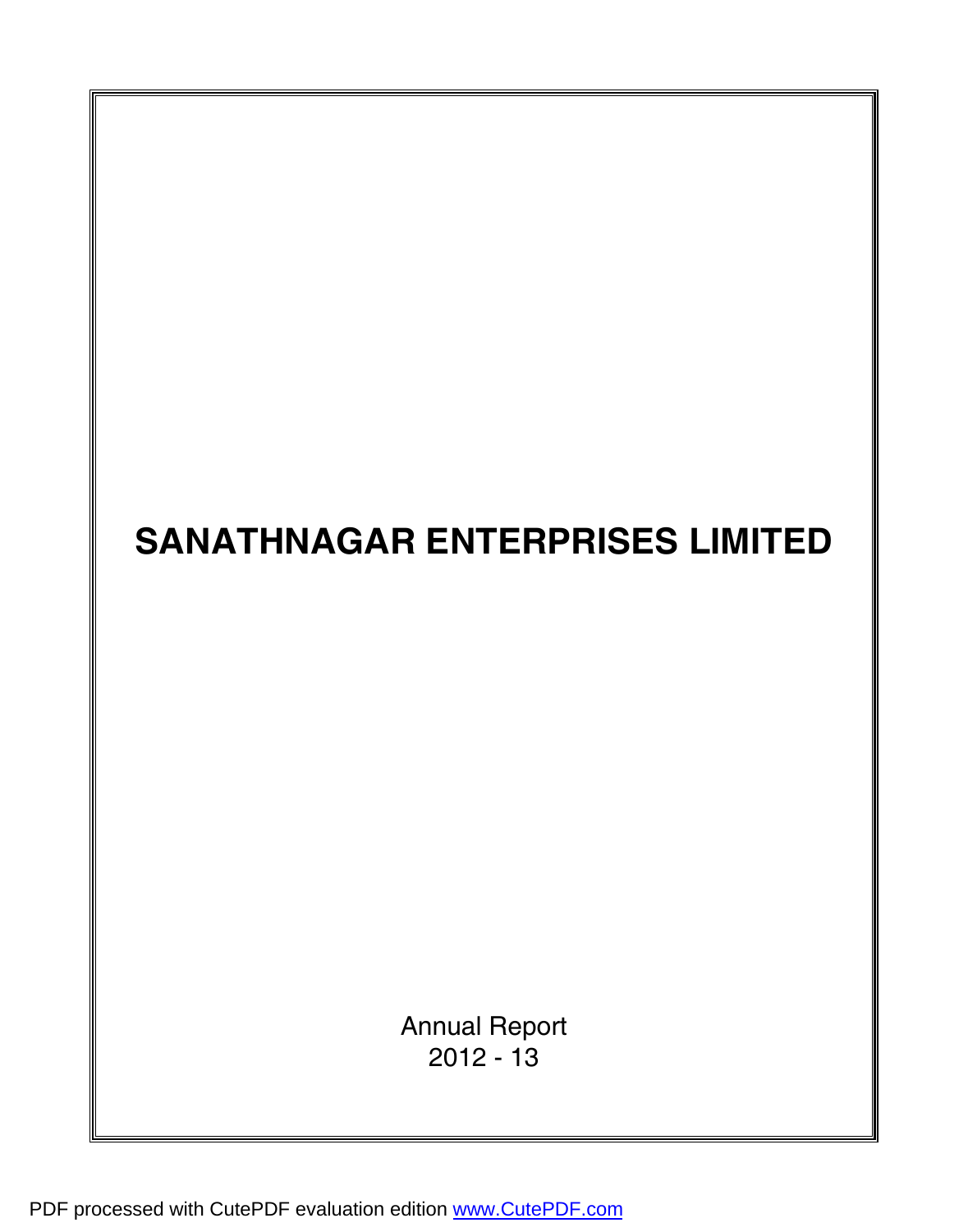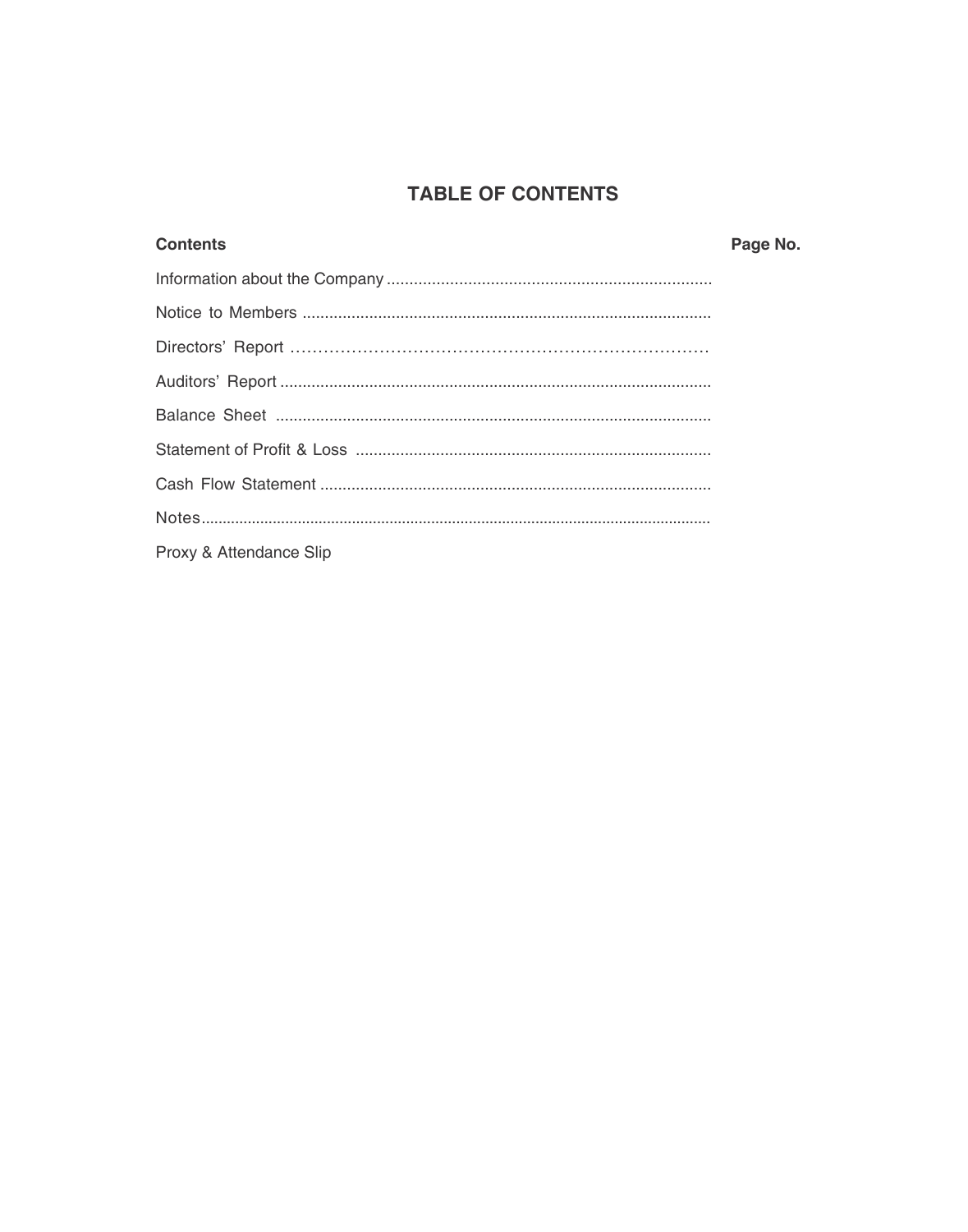# **TABLE OF CONTENTS**

| <b>Contents</b>         | Page No. |
|-------------------------|----------|
|                         |          |
|                         |          |
|                         |          |
|                         |          |
|                         |          |
|                         |          |
|                         |          |
|                         |          |
| Proxy & Attendance Slip |          |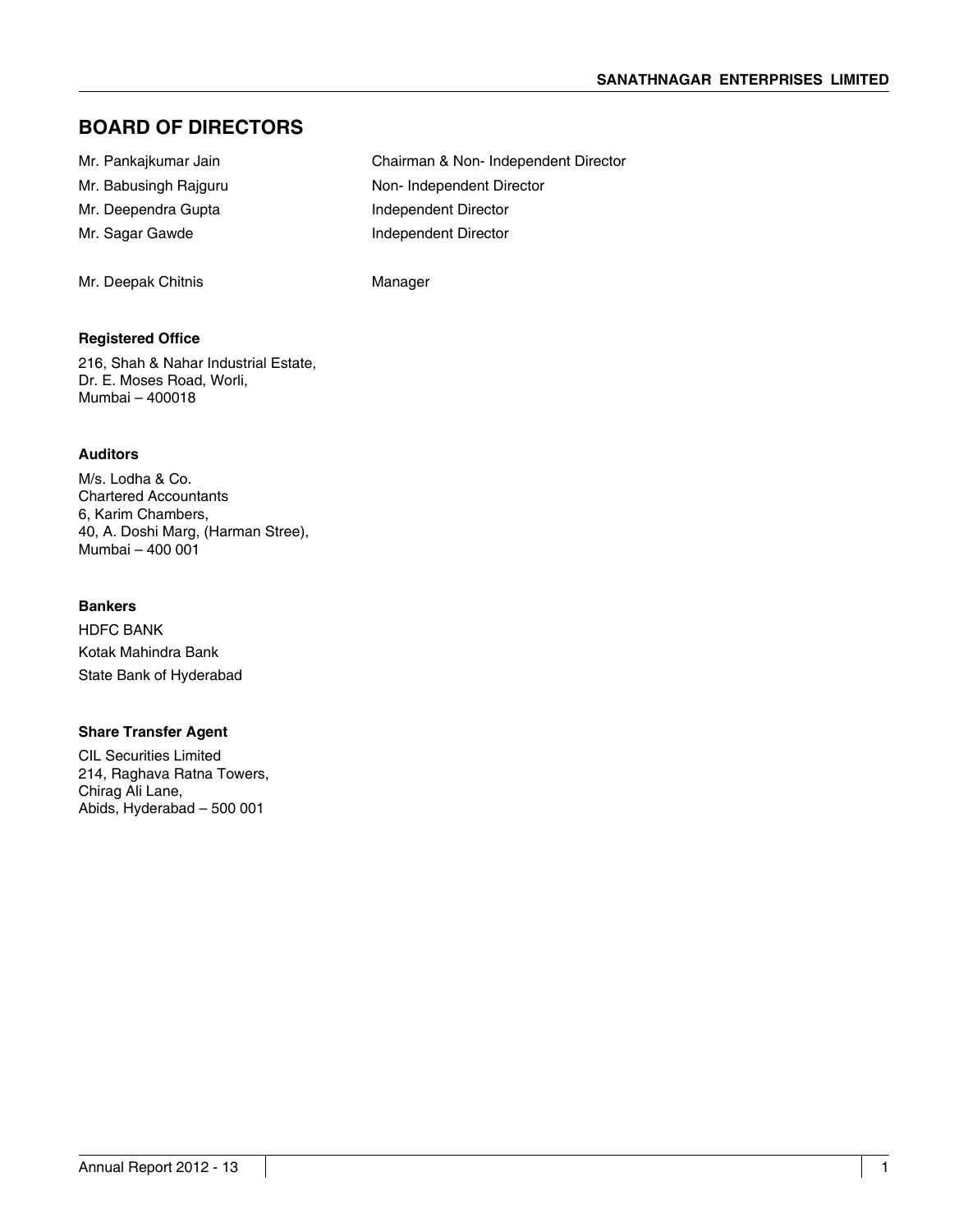# **Board of Directors**

| Mr. Pankajkumar Jain  | Chairman & Non-Independent Director |
|-----------------------|-------------------------------------|
| Mr. Babusingh Rajguru | Non-Independent Director            |
| Mr. Deependra Gupta   | Independent Director                |
| Mr. Sagar Gawde       | Independent Director                |
|                       |                                     |
|                       |                                     |

Mr. Deepak Chitnis **Manager** Manager

### **Registered Office**

216, Shah & Nahar Industrial Estate, Dr. E. Moses Road, Worli, Mumbai – 400018

### **Auditors**

M/s. Lodha & Co. Chartered Accountants 6, Karim Chambers, 40, A. Doshi Marg, (Harman Stree), Mumbai – 400 001

### **Bankers**

HDFC BANK Kotak Mahindra Bank State Bank of Hyderabad

### **Share Transfer Agent**

CIL Securities Limited 214, Raghava Ratna Towers, Chirag Ali Lane, Abids, Hyderabad – 500 001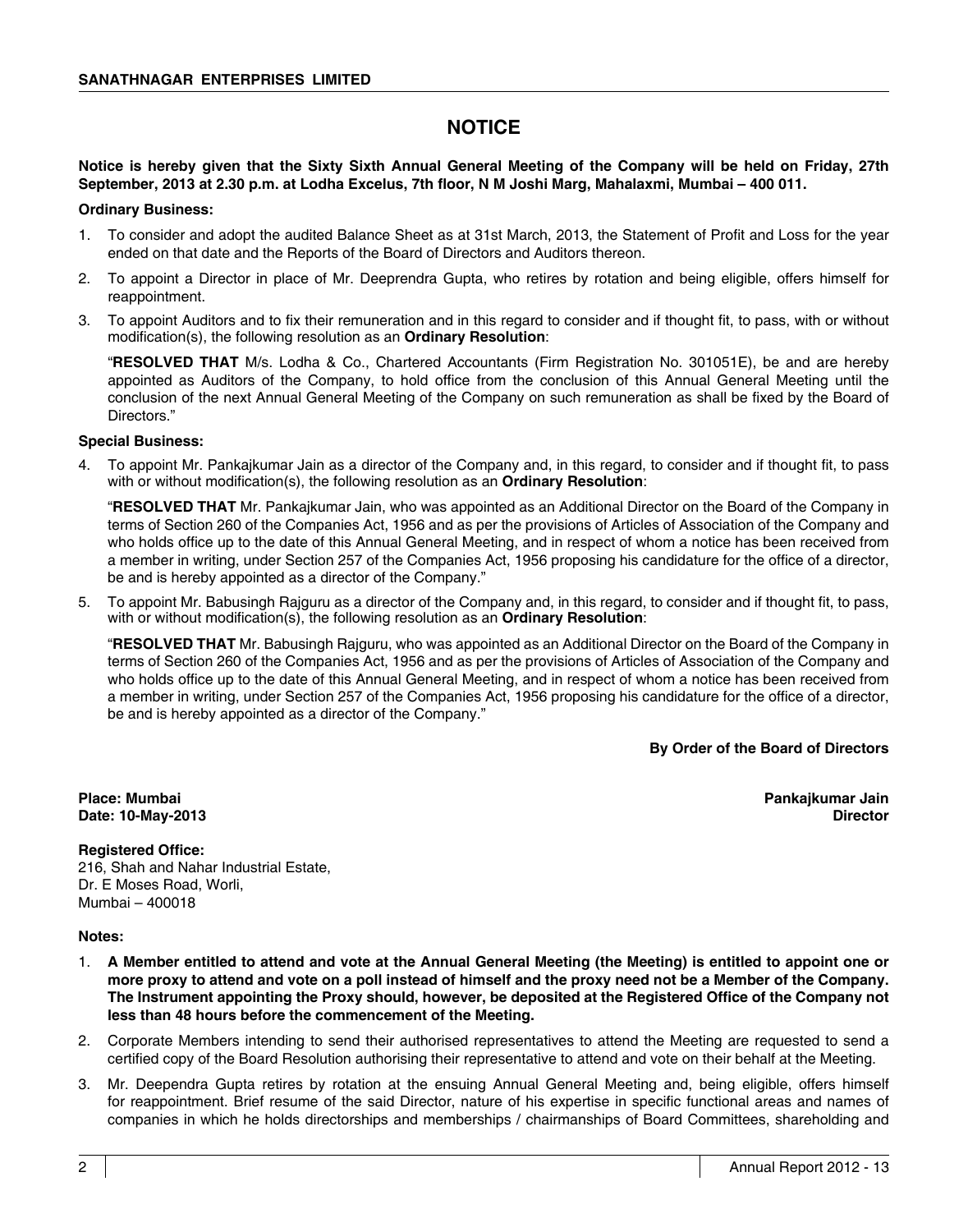# **Notice**

### **Notice is hereby given that the Sixty Sixth Annual General Meeting of the Company will be held on Friday, 27th September, 2013 at 2.30 p.m. at Lodha Excelus, 7th floor, N M Joshi Marg, Mahalaxmi, Mumbai – 400 011.**

### **Ordinary Business:**

- 1. To consider and adopt the audited Balance Sheet as at 31st March, 2013, the Statement of Profit and Loss for the year ended on that date and the Reports of the Board of Directors and Auditors thereon.
- 2. To appoint a Director in place of Mr. Deeprendra Gupta, who retires by rotation and being eligible, offers himself for reappointment.
- 3. To appoint Auditors and to fix their remuneration and in this regard to consider and if thought fit, to pass, with or without modification(s), the following resolution as an **Ordinary Resolution**:

"**RESOLVED THAT** M/s. Lodha & Co., Chartered Accountants (Firm Registration No. 301051E), be and are hereby appointed as Auditors of the Company, to hold office from the conclusion of this Annual General Meeting until the conclusion of the next Annual General Meeting of the Company on such remuneration as shall be fixed by the Board of Directors."

### **Special Business:**

4. To appoint Mr. Pankajkumar Jain as a director of the Company and, in this regard, to consider and if thought fit, to pass with or without modification(s), the following resolution as an **Ordinary Resolution**:

"**RESOLVED THAT** Mr. Pankajkumar Jain, who was appointed as an Additional Director on the Board of the Company in terms of Section 260 of the Companies Act, 1956 and as per the provisions of Articles of Association of the Company and who holds office up to the date of this Annual General Meeting, and in respect of whom a notice has been received from a member in writing, under Section 257 of the Companies Act, 1956 proposing his candidature for the office of a director, be and is hereby appointed as a director of the Company."

5. To appoint Mr. Babusingh Rajguru as a director of the Company and, in this regard, to consider and if thought fit, to pass, with or without modification(s), the following resolution as an **Ordinary Resolution**:

"**RESOLVED THAT** Mr. Babusingh Rajguru, who was appointed as an Additional Director on the Board of the Company in terms of Section 260 of the Companies Act, 1956 and as per the provisions of Articles of Association of the Company and who holds office up to the date of this Annual General Meeting, and in respect of whom a notice has been received from a member in writing, under Section 257 of the Companies Act, 1956 proposing his candidature for the office of a director, be and is hereby appointed as a director of the Company."

**By Order of the Board of Directors**

**Place: Mumbai Pankajkumar Jain Date: 10-May-2013 Director** 

### **Registered Office:**

216, Shah and Nahar Industrial Estate, Dr. E Moses Road, Worli, Mumbai – 400018

### **Notes:**

- 1. **A Member entitled to attend and vote at the Annual General Meeting (the Meeting) is entitled to appoint one or more proxy to attend and vote on a poll instead of himself and the proxy need not be a Member of the Company. The Instrument appointing the Proxy should, however, be deposited at the Registered Office of the Company not less than 48 hours before the commencement of the Meeting.**
- 2. Corporate Members intending to send their authorised representatives to attend the Meeting are requested to send a certified copy of the Board Resolution authorising their representative to attend and vote on their behalf at the Meeting.
- 3. Mr. Deependra Gupta retires by rotation at the ensuing Annual General Meeting and, being eligible, offers himself for reappointment. Brief resume of the said Director, nature of his expertise in specific functional areas and names of companies in which he holds directorships and memberships / chairmanships of Board Committees, shareholding and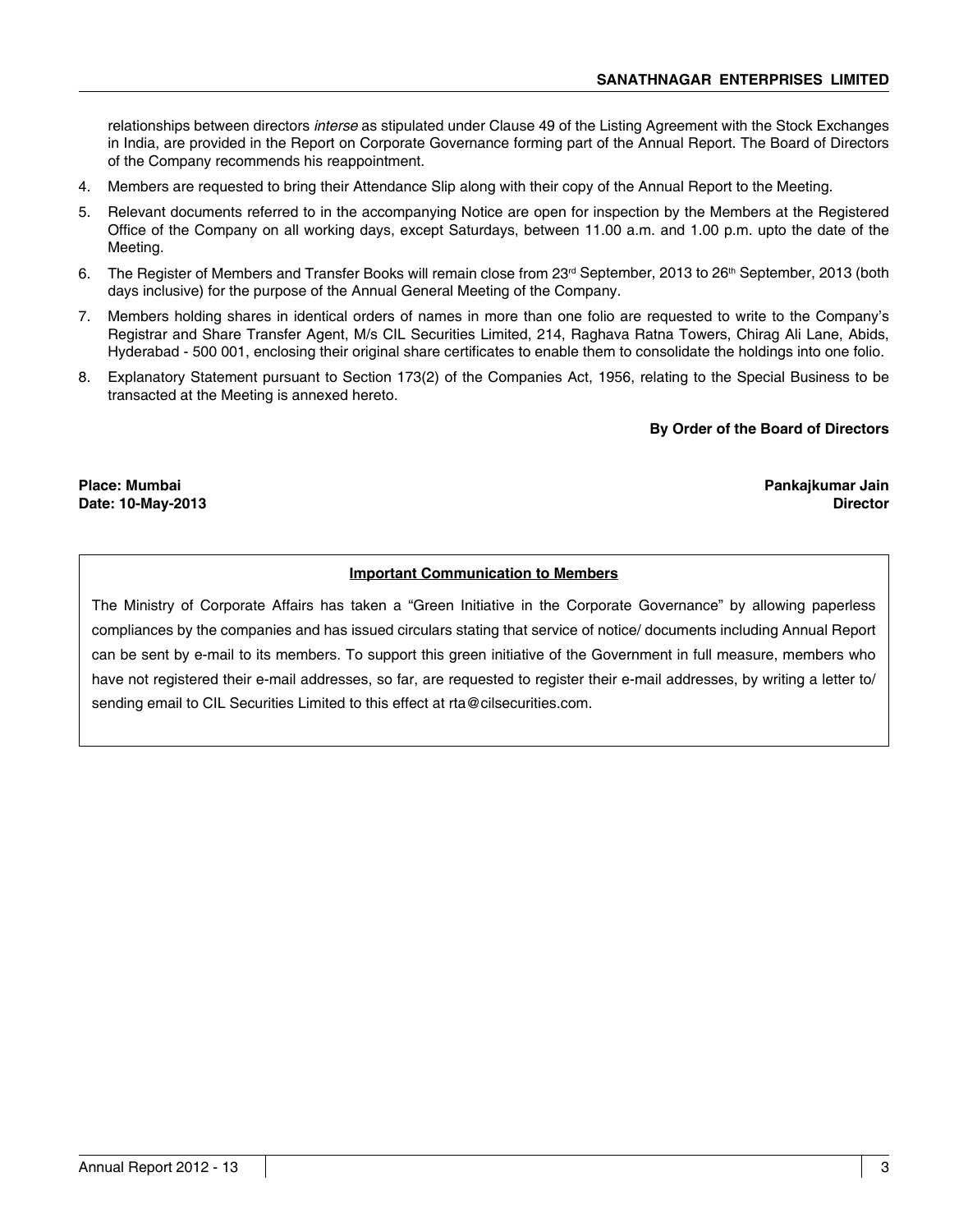relationships between directors *interse* as stipulated under Clause 49 of the Listing Agreement with the Stock Exchanges in India, are provided in the Report on Corporate Governance forming part of the Annual Report. The Board of Directors of the Company recommends his reappointment.

- 4. Members are requested to bring their Attendance Slip along with their copy of the Annual Report to the Meeting.
- 5. Relevant documents referred to in the accompanying Notice are open for inspection by the Members at the Registered Office of the Company on all working days, except Saturdays, between 11.00 a.m. and 1.00 p.m. upto the date of the Meeting.
- 6. The Register of Members and Transfer Books will remain close from 23<sup>rd</sup> September, 2013 to 26<sup>th</sup> September, 2013 (both days inclusive) for the purpose of the Annual General Meeting of the Company.
- 7. Members holding shares in identical orders of names in more than one folio are requested to write to the Company's Registrar and Share Transfer Agent, M/s CIL Securities Limited, 214, Raghava Ratna Towers, Chirag Ali Lane, Abids, Hyderabad - 500 001, enclosing their original share certificates to enable them to consolidate the holdings into one folio.
- 8. Explanatory Statement pursuant to Section 173(2) of the Companies Act, 1956, relating to the Special Business to be transacted at the Meeting is annexed hereto.

### **By Order of the Board of Directors**

**Place: Mumbai Pankajkumar Jain Date: 10-May-2013** 

### **Important Communication to Members**

The Ministry of Corporate Affairs has taken a "Green Initiative in the Corporate Governance" by allowing paperless compliances by the companies and has issued circulars stating that service of notice/ documents including Annual Report can be sent by e-mail to its members. To support this green initiative of the Government in full measure, members who have not registered their e-mail addresses, so far, are requested to register their e-mail addresses, by writing a letter to/ sending email to CIL Securities Limited to this effect at rta@cilsecurities.com.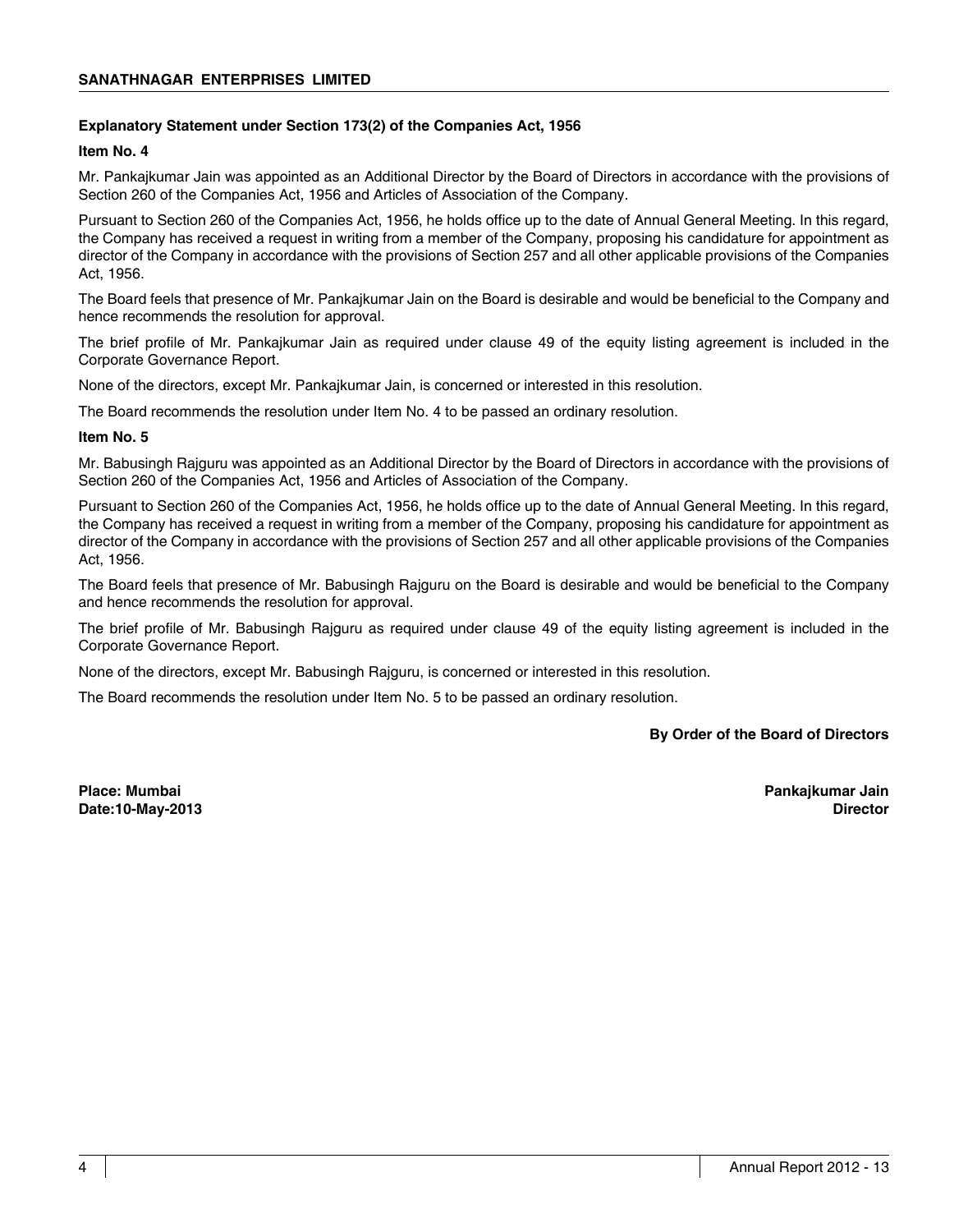### **Explanatory Statement under Section 173(2) of the Companies Act, 1956**

### **Item No. 4**

Mr. Pankajkumar Jain was appointed as an Additional Director by the Board of Directors in accordance with the provisions of Section 260 of the Companies Act, 1956 and Articles of Association of the Company.

Pursuant to Section 260 of the Companies Act, 1956, he holds office up to the date of Annual General Meeting. In this regard, the Company has received a request in writing from a member of the Company, proposing his candidature for appointment as director of the Company in accordance with the provisions of Section 257 and all other applicable provisions of the Companies Act, 1956.

The Board feels that presence of Mr. Pankajkumar Jain on the Board is desirable and would be beneficial to the Company and hence recommends the resolution for approval.

The brief profile of Mr. Pankajkumar Jain as required under clause 49 of the equity listing agreement is included in the Corporate Governance Report.

None of the directors, except Mr. Pankajkumar Jain, is concerned or interested in this resolution.

The Board recommends the resolution under Item No. 4 to be passed an ordinary resolution.

### **Item No. 5**

Mr. Babusingh Rajguru was appointed as an Additional Director by the Board of Directors in accordance with the provisions of Section 260 of the Companies Act, 1956 and Articles of Association of the Company.

Pursuant to Section 260 of the Companies Act, 1956, he holds office up to the date of Annual General Meeting. In this regard, the Company has received a request in writing from a member of the Company, proposing his candidature for appointment as director of the Company in accordance with the provisions of Section 257 and all other applicable provisions of the Companies Act, 1956.

The Board feels that presence of Mr. Babusingh Rajguru on the Board is desirable and would be beneficial to the Company and hence recommends the resolution for approval.

The brief profile of Mr. Babusingh Rajguru as required under clause 49 of the equity listing agreement is included in the Corporate Governance Report.

None of the directors, except Mr. Babusingh Rajguru, is concerned or interested in this resolution.

The Board recommends the resolution under Item No. 5 to be passed an ordinary resolution.

### **By Order of the Board of Directors**

**Place: Mumbai Pankajkumar Jain Date:10-May-2013 Director**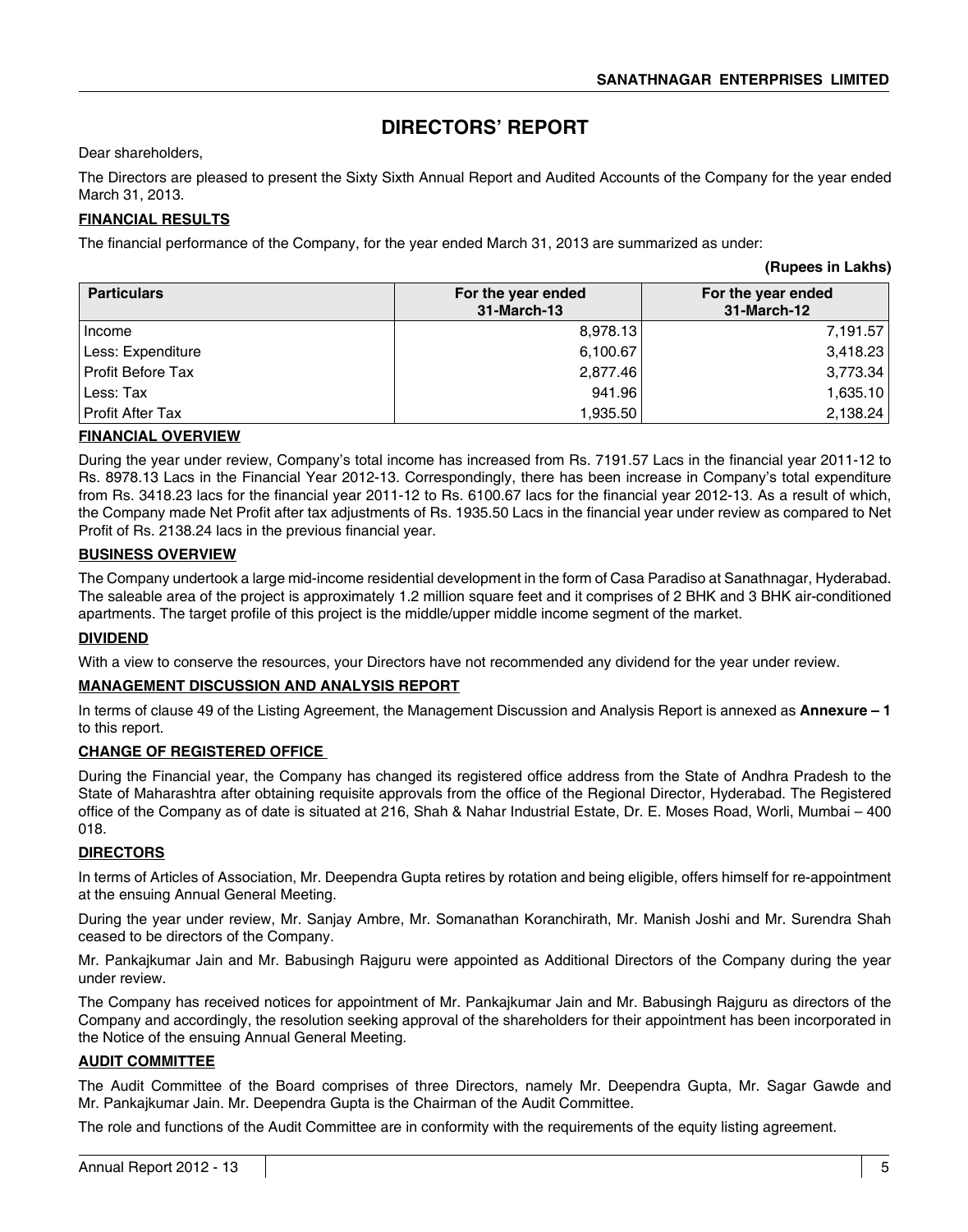**(Rupees in Lakhs)**

# **DIRECTORS' REPORT**

Dear shareholders,

The Directors are pleased to present the Sixty Sixth Annual Report and Audited Accounts of the Company for the year ended March 31, 2013.

### **FINANCIAL RESULTS**

The financial performance of the Company, for the year ended March 31, 2013 are summarized as under:

|                    |                                   | (1.4999901112013107)              |
|--------------------|-----------------------------------|-----------------------------------|
| <b>Particulars</b> | For the year ended<br>31-March-13 | For the year ended<br>31-March-12 |
| Income             | 8,978.13                          | 7,191.57                          |
| Less: Expenditure  | 6,100.67                          | 3,418.23                          |
| Profit Before Tax  | 2,877.46                          | 3,773.34                          |
| Less: Tax          | 941.96                            | 1,635.10                          |
| Profit After Tax   | 1,935.50                          | 2,138.24                          |

### **FINANCIAL OVERVIEW**

During the year under review, Company's total income has increased from Rs. 7191.57 Lacs in the financial year 2011-12 to Rs. 8978.13 Lacs in the Financial Year 2012-13. Correspondingly, there has been increase in Company's total expenditure from Rs. 3418.23 lacs for the financial year 2011-12 to Rs. 6100.67 lacs for the financial year 2012-13. As a result of which, the Company made Net Profit after tax adjustments of Rs. 1935.50 Lacs in the financial year under review as compared to Net Profit of Rs. 2138.24 lacs in the previous financial year.

### **BUSINESS OVERVIEW**

The Company undertook a large mid-income residential development in the form of Casa Paradiso at Sanathnagar, Hyderabad. The saleable area of the project is approximately 1.2 million square feet and it comprises of 2 BHK and 3 BHK air-conditioned apartments. The target profile of this project is the middle/upper middle income segment of the market.

### **DIVIDEND**

With a view to conserve the resources, your Directors have not recommended any dividend for the year under review.

### **MANAGEMENT DISCUSSION AND ANALYSIS REPORT**

In terms of clause 49 of the Listing Agreement, the Management Discussion and Analysis Report is annexed as **Annexure – 1** to this report.

### **CHANGE OF REGISTERED OFFICE**

During the Financial year, the Company has changed its registered office address from the State of Andhra Pradesh to the State of Maharashtra after obtaining requisite approvals from the office of the Regional Director, Hyderabad. The Registered office of the Company as of date is situated at 216, Shah & Nahar Industrial Estate, Dr. E. Moses Road, Worli, Mumbai – 400 018.

### **DIRECTORS**

In terms of Articles of Association, Mr. Deependra Gupta retires by rotation and being eligible, offers himself for re-appointment at the ensuing Annual General Meeting.

During the year under review, Mr. Sanjay Ambre, Mr. Somanathan Koranchirath, Mr. Manish Joshi and Mr. Surendra Shah ceased to be directors of the Company.

Mr. Pankajkumar Jain and Mr. Babusingh Rajguru were appointed as Additional Directors of the Company during the year under review.

The Company has received notices for appointment of Mr. Pankajkumar Jain and Mr. Babusingh Rajguru as directors of the Company and accordingly, the resolution seeking approval of the shareholders for their appointment has been incorporated in the Notice of the ensuing Annual General Meeting.

### **AUDIT COMMITTEE**

The Audit Committee of the Board comprises of three Directors, namely Mr. Deependra Gupta, Mr. Sagar Gawde and Mr. Pankajkumar Jain. Mr. Deependra Gupta is the Chairman of the Audit Committee.

The role and functions of the Audit Committee are in conformity with the requirements of the equity listing agreement.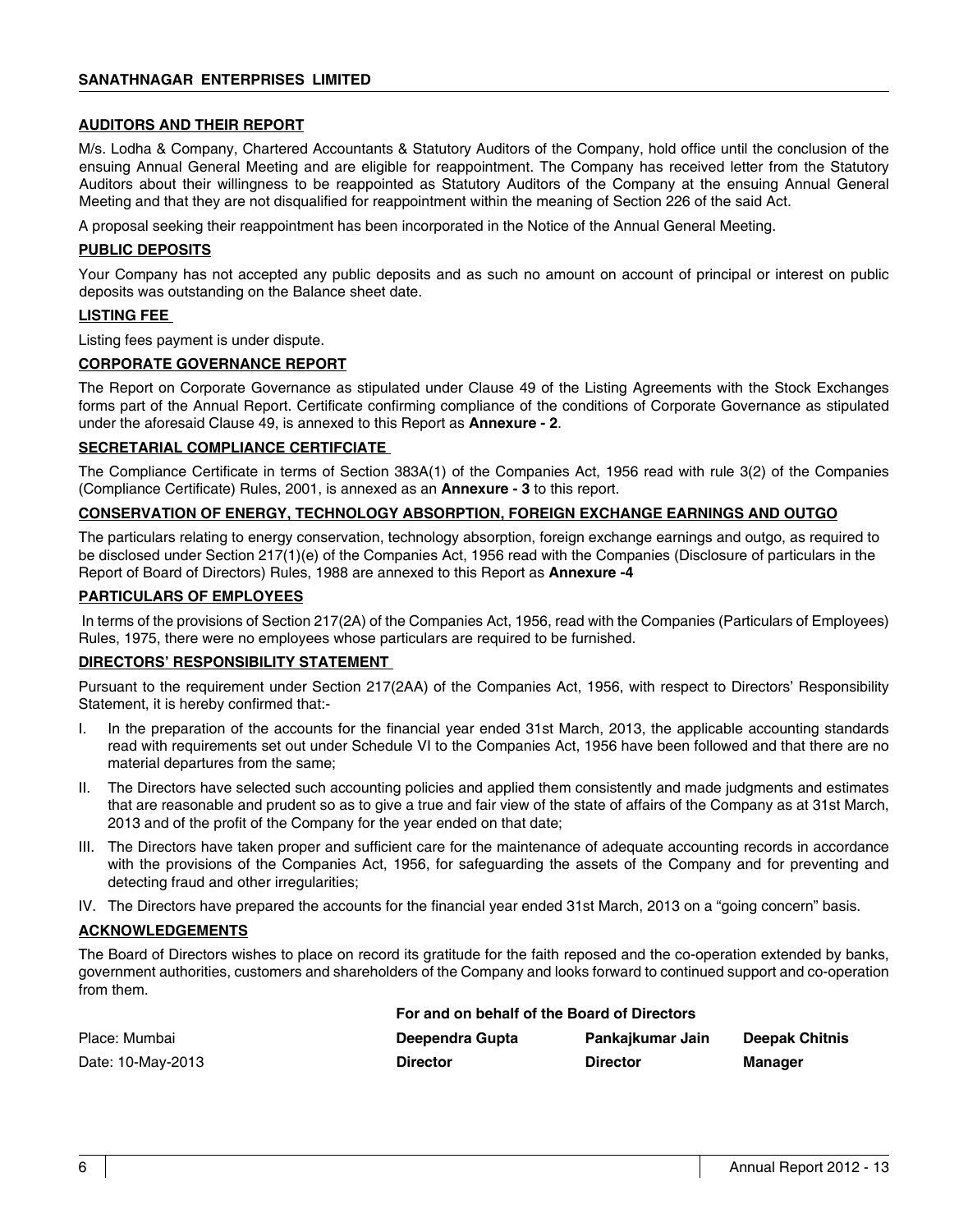### **AUDITORS AND THEIR REPORT**

M/s. Lodha & Company, Chartered Accountants & Statutory Auditors of the Company, hold office until the conclusion of the ensuing Annual General Meeting and are eligible for reappointment. The Company has received letter from the Statutory Auditors about their willingness to be reappointed as Statutory Auditors of the Company at the ensuing Annual General Meeting and that they are not disqualified for reappointment within the meaning of Section 226 of the said Act.

A proposal seeking their reappointment has been incorporated in the Notice of the Annual General Meeting.

### **PUBLIC DEPOSITS**

Your Company has not accepted any public deposits and as such no amount on account of principal or interest on public deposits was outstanding on the Balance sheet date.

### **LISTING FEE**

Listing fees payment is under dispute.

### **CORPORATE GOVERNANCE REPORT**

The Report on Corporate Governance as stipulated under Clause 49 of the Listing Agreements with the Stock Exchanges forms part of the Annual Report. Certificate confirming compliance of the conditions of Corporate Governance as stipulated under the aforesaid Clause 49, is annexed to this Report as **Annexure - 2**.

### **SECRETARIAL COMPLIANCE CERTIFCIATE**

The Compliance Certificate in terms of Section 383A(1) of the Companies Act, 1956 read with rule 3(2) of the Companies (Compliance Certificate) Rules, 2001, is annexed as an **Annexure - 3** to this report.

### **CONSERVATION OF ENERGY, TECHNOLOGY ABSORPTION, FOREIGN EXCHANGE EARNINGS AND OUTGO**

The particulars relating to energy conservation, technology absorption, foreign exchange earnings and outgo, as required to be disclosed under Section 217(1)(e) of the Companies Act, 1956 read with the Companies (Disclosure of particulars in the Report of Board of Directors) Rules, 1988 are annexed to this Report as **Annexure -4**

### **PARTICULARS OF EMPLOYEES**

 In terms of the provisions of Section 217(2A) of the Companies Act, 1956, read with the Companies (Particulars of Employees) Rules, 1975, there were no employees whose particulars are required to be furnished.

### **DIRECTORS' RESPONSIBILITY STATEMENT**

Pursuant to the requirement under Section 217(2AA) of the Companies Act, 1956, with respect to Directors' Responsibility Statement, it is hereby confirmed that:-

- I. In the preparation of the accounts for the financial year ended 31st March, 2013, the applicable accounting standards read with requirements set out under Schedule VI to the Companies Act, 1956 have been followed and that there are no material departures from the same;
- II. The Directors have selected such accounting policies and applied them consistently and made judgments and estimates that are reasonable and prudent so as to give a true and fair view of the state of affairs of the Company as at 31st March, 2013 and of the profit of the Company for the year ended on that date;
- III. The Directors have taken proper and sufficient care for the maintenance of adequate accounting records in accordance with the provisions of the Companies Act, 1956, for safeguarding the assets of the Company and for preventing and detecting fraud and other irregularities;
- IV. The Directors have prepared the accounts for the financial year ended 31st March, 2013 on a "going concern" basis.

### **ACKNOWLEDGEMENTS**

The Board of Directors wishes to place on record its gratitude for the faith reposed and the co-operation extended by banks, government authorities, customers and shareholders of the Company and looks forward to continued support and co-operation from them.

|                   | For and on behalf of the Board of Directors |                  |                       |
|-------------------|---------------------------------------------|------------------|-----------------------|
| Place: Mumbai     | Deependra Gupta                             | Pankajkumar Jain | <b>Deepak Chitnis</b> |
| Date: 10-May-2013 | <b>Director</b>                             | <b>Director</b>  | Manager               |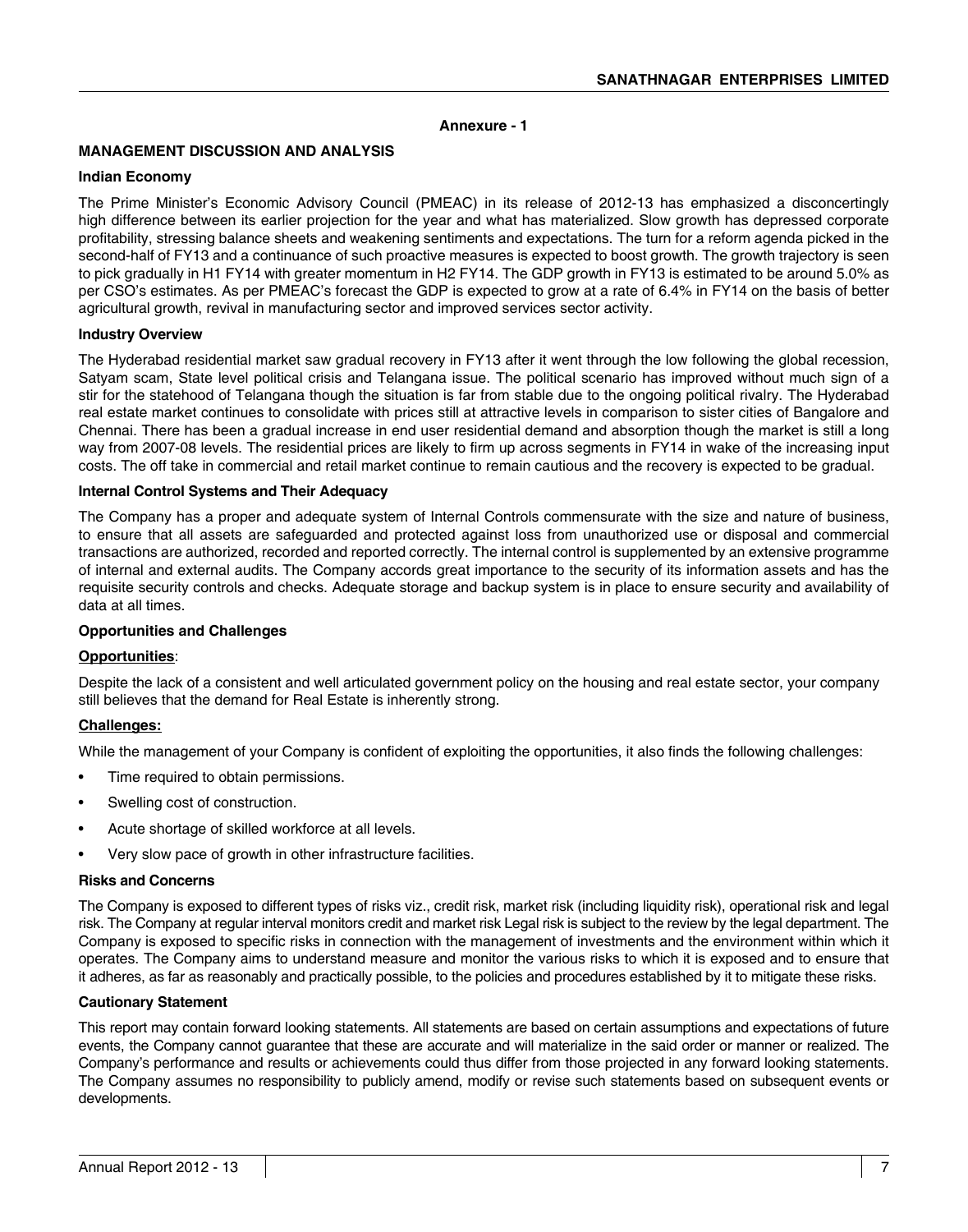### **Annexure - 1**

### **MANAGEMENT DISCUSSION AND ANALYSIS**

### **Indian Economy**

The Prime Minister's Economic Advisory Council (PMEAC) in its release of 2012-13 has emphasized a disconcertingly high difference between its earlier projection for the year and what has materialized. Slow growth has depressed corporate profitability, stressing balance sheets and weakening sentiments and expectations. The turn for a reform agenda picked in the second-half of FY13 and a continuance of such proactive measures is expected to boost growth. The growth trajectory is seen to pick gradually in H1 FY14 with greater momentum in H2 FY14. The GDP growth in FY13 is estimated to be around 5.0% as per CSO's estimates. As per PMEAC's forecast the GDP is expected to grow at a rate of 6.4% in FY14 on the basis of better agricultural growth, revival in manufacturing sector and improved services sector activity.

### **Industry Overview**

The Hyderabad residential market saw gradual recovery in FY13 after it went through the low following the global recession, Satyam scam, State level political crisis and Telangana issue. The political scenario has improved without much sign of a stir for the statehood of Telangana though the situation is far from stable due to the ongoing political rivalry. The Hyderabad real estate market continues to consolidate with prices still at attractive levels in comparison to sister cities of Bangalore and Chennai. There has been a gradual increase in end user residential demand and absorption though the market is still a long way from 2007-08 levels. The residential prices are likely to firm up across segments in FY14 in wake of the increasing input costs. The off take in commercial and retail market continue to remain cautious and the recovery is expected to be gradual.

### **Internal Control Systems and Their Adequacy**

The Company has a proper and adequate system of Internal Controls commensurate with the size and nature of business, to ensure that all assets are safeguarded and protected against loss from unauthorized use or disposal and commercial transactions are authorized, recorded and reported correctly. The internal control is supplemented by an extensive programme of internal and external audits. The Company accords great importance to the security of its information assets and has the requisite security controls and checks. Adequate storage and backup system is in place to ensure security and availability of data at all times.

### **Opportunities and Challenges**

### **Opportunities**:

Despite the lack of a consistent and well articulated government policy on the housing and real estate sector, your company still believes that the demand for Real Estate is inherently strong.

### **Challenges:**

While the management of your Company is confident of exploiting the opportunities, it also finds the following challenges:

- Time required to obtain permissions.
- Swelling cost of construction.
- Acute shortage of skilled workforce at all levels.
- Very slow pace of growth in other infrastructure facilities.

### **Risks and Concerns**

The Company is exposed to different types of risks viz., credit risk, market risk (including liquidity risk), operational risk and legal risk. The Company at regular interval monitors credit and market risk Legal risk is subject to the review by the legal department. The Company is exposed to specific risks in connection with the management of investments and the environment within which it operates. The Company aims to understand measure and monitor the various risks to which it is exposed and to ensure that it adheres, as far as reasonably and practically possible, to the policies and procedures established by it to mitigate these risks.

### **Cautionary Statement**

This report may contain forward looking statements. All statements are based on certain assumptions and expectations of future events, the Company cannot guarantee that these are accurate and will materialize in the said order or manner or realized. The Company's performance and results or achievements could thus differ from those projected in any forward looking statements. The Company assumes no responsibility to publicly amend, modify or revise such statements based on subsequent events or developments.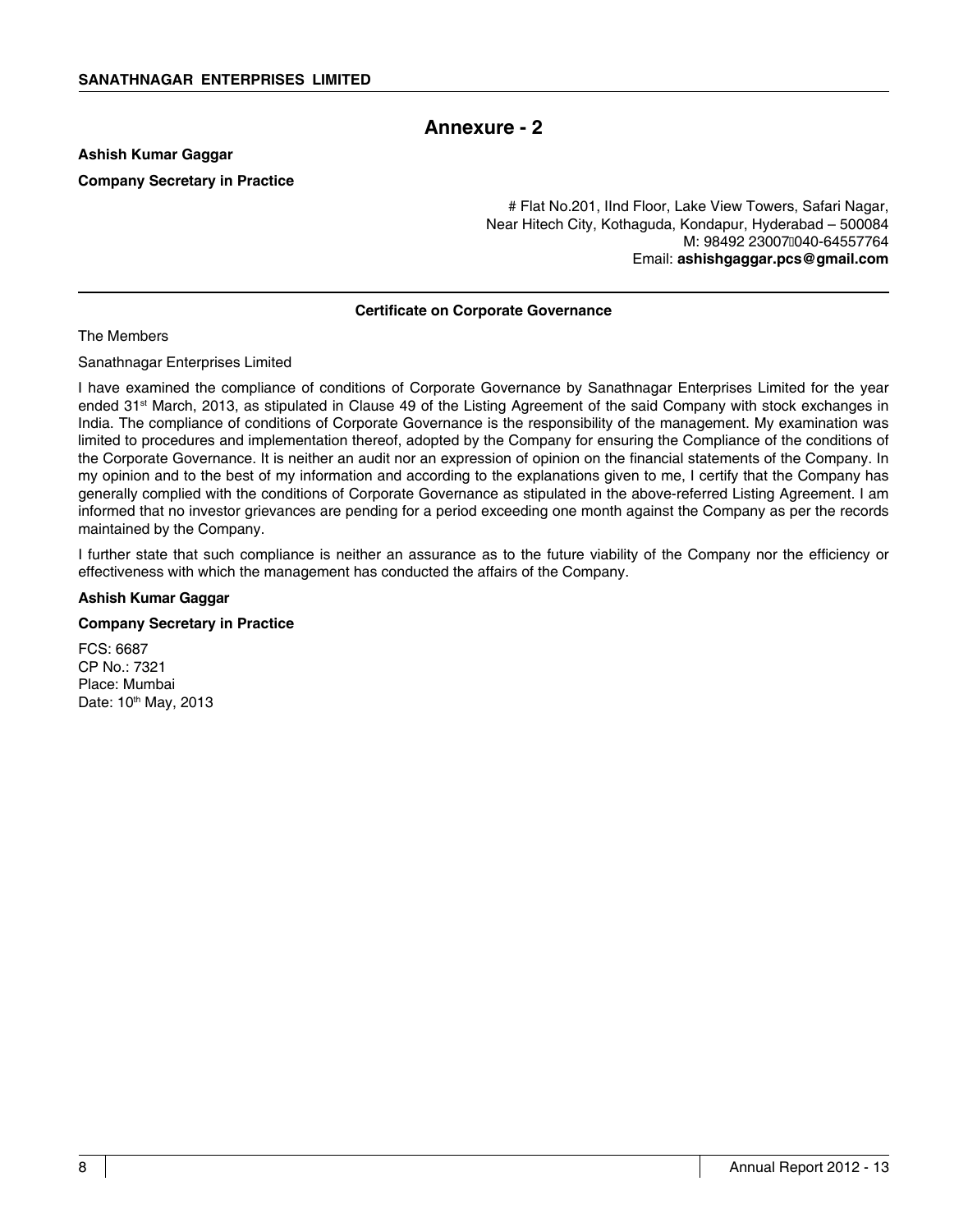# **Annexure - 2**

**Ashish Kumar Gaggar Company Secretary in Practice**

> # Flat No.201, IInd Floor, Lake View Towers, Safari Nagar, Near Hitech City, Kothaguda, Kondapur, Hyderabad – 500084 M: 98492 23007040-64557764 Email: **ashishgaggar.pcs@gmail.com**

### **Certificate on Corporate Governance**

The Members

Sanathnagar Enterprises Limited

I have examined the compliance of conditions of Corporate Governance by Sanathnagar Enterprises Limited for the year ended  $31<sup>st</sup>$  March, 2013, as stipulated in Clause 49 of the Listing Agreement of the said Company with stock exchanges in India. The compliance of conditions of Corporate Governance is the responsibility of the management. My examination was limited to procedures and implementation thereof, adopted by the Company for ensuring the Compliance of the conditions of the Corporate Governance. It is neither an audit nor an expression of opinion on the financial statements of the Company. In my opinion and to the best of my information and according to the explanations given to me, I certify that the Company has generally complied with the conditions of Corporate Governance as stipulated in the above-referred Listing Agreement. I am informed that no investor grievances are pending for a period exceeding one month against the Company as per the records maintained by the Company.

I further state that such compliance is neither an assurance as to the future viability of the Company nor the efficiency or effectiveness with which the management has conducted the affairs of the Company.

### **Ashish Kumar Gaggar**

### **Company Secretary in Practice**

FCS: 6687 CP No.: 7321 Place: Mumbai Date: 10<sup>th</sup> May, 2013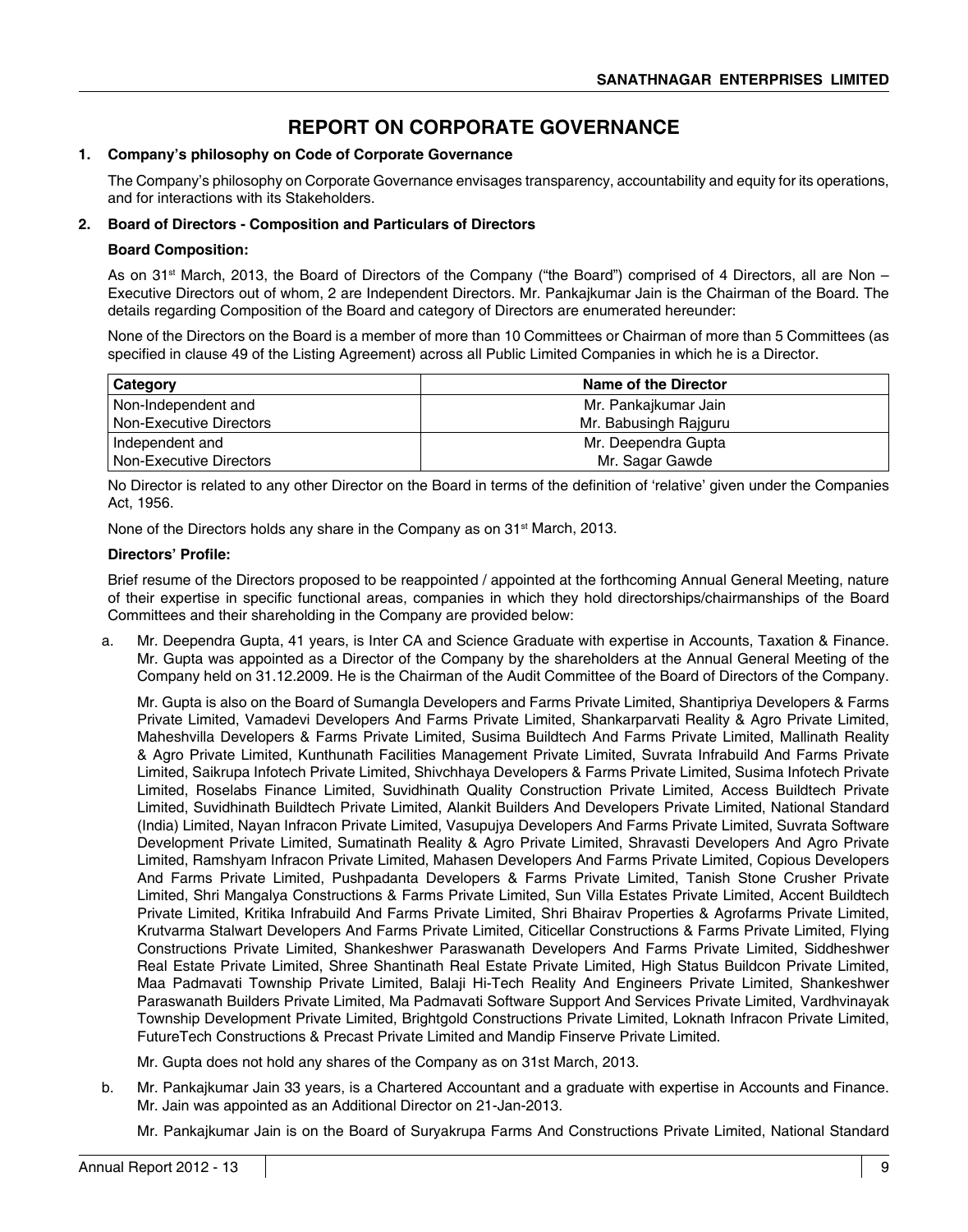# **Report on Corporate Governance**

### **1. Company's philosophy on Code of Corporate Governance**

The Company's philosophy on Corporate Governance envisages transparency, accountability and equity for its operations, and for interactions with its Stakeholders.

### **2. Board of Directors - Composition and Particulars of Directors**

### **Board Composition:**

As on 31<sup>st</sup> March, 2013, the Board of Directors of the Company ("the Board") comprised of 4 Directors, all are Non – Executive Directors out of whom, 2 are Independent Directors. Mr. Pankajkumar Jain is the Chairman of the Board. The details regarding Composition of the Board and category of Directors are enumerated hereunder:

None of the Directors on the Board is a member of more than 10 Committees or Chairman of more than 5 Committees (as specified in clause 49 of the Listing Agreement) across all Public Limited Companies in which he is a Director.

| Category                       | Name of the Director  |
|--------------------------------|-----------------------|
| Non-Independent and            | Mr. Pankajkumar Jain  |
| <b>Non-Executive Directors</b> | Mr. Babusingh Rajguru |
| Independent and                | Mr. Deependra Gupta   |
| <b>Non-Executive Directors</b> | Mr. Sagar Gawde       |

 No Director is related to any other Director on the Board in terms of the definition of 'relative' given under the Companies Act, 1956.

None of the Directors holds any share in the Company as on 31<sup>st</sup> March, 2013.

### **Directors' Profile:**

Brief resume of the Directors proposed to be reappointed / appointed at the forthcoming Annual General Meeting, nature of their expertise in specific functional areas, companies in which they hold directorships/chairmanships of the Board Committees and their shareholding in the Company are provided below:

a. Mr. Deependra Gupta, 41 years, is Inter CA and Science Graduate with expertise in Accounts, Taxation & Finance. Mr. Gupta was appointed as a Director of the Company by the shareholders at the Annual General Meeting of the Company held on 31.12.2009. He is the Chairman of the Audit Committee of the Board of Directors of the Company.

 Mr. Gupta is also on the Board of Sumangla Developers and Farms Private Limited, Shantipriya Developers & Farms Private Limited, Vamadevi Developers And Farms Private Limited, Shankarparvati Reality & Agro Private Limited, Maheshvilla Developers & Farms Private Limited, Susima Buildtech And Farms Private Limited, Mallinath Reality & Agro Private Limited, Kunthunath Facilities Management Private Limited, Suvrata Infrabuild And Farms Private Limited, Saikrupa Infotech Private Limited, Shivchhaya Developers & Farms Private Limited, Susima Infotech Private Limited, Roselabs Finance Limited, Suvidhinath Quality Construction Private Limited, Access Buildtech Private Limited, Suvidhinath Buildtech Private Limited, Alankit Builders And Developers Private Limited, National Standard (India) Limited, Nayan Infracon Private Limited, Vasupujya Developers And Farms Private Limited, Suvrata Software Development Private Limited, Sumatinath Reality & Agro Private Limited, Shravasti Developers And Agro Private Limited, Ramshyam Infracon Private Limited, Mahasen Developers And Farms Private Limited, Copious Developers And Farms Private Limited, Pushpadanta Developers & Farms Private Limited, Tanish Stone Crusher Private Limited, Shri Mangalya Constructions & Farms Private Limited, Sun Villa Estates Private Limited, Accent Buildtech Private Limited, Kritika Infrabuild And Farms Private Limited, Shri Bhairav Properties & Agrofarms Private Limited, Krutvarma Stalwart Developers And Farms Private Limited, Citicellar Constructions & Farms Private Limited, Flying Constructions Private Limited, Shankeshwer Paraswanath Developers And Farms Private Limited, Siddheshwer Real Estate Private Limited, Shree Shantinath Real Estate Private Limited, High Status Buildcon Private Limited, Maa Padmavati Township Private Limited, Balaji Hi-Tech Reality And Engineers Private Limited, Shankeshwer Paraswanath Builders Private Limited, Ma Padmavati Software Support And Services Private Limited, Vardhvinayak Township Development Private Limited, Brightgold Constructions Private Limited, Loknath Infracon Private Limited, FutureTech Constructions & Precast Private Limited and Mandip Finserve Private Limited.

Mr. Gupta does not hold any shares of the Company as on 31st March, 2013.

b. Mr. Pankajkumar Jain 33 years, is a Chartered Accountant and a graduate with expertise in Accounts and Finance. Mr. Jain was appointed as an Additional Director on 21-Jan-2013.

Mr. Pankajkumar Jain is on the Board of Suryakrupa Farms And Constructions Private Limited, National Standard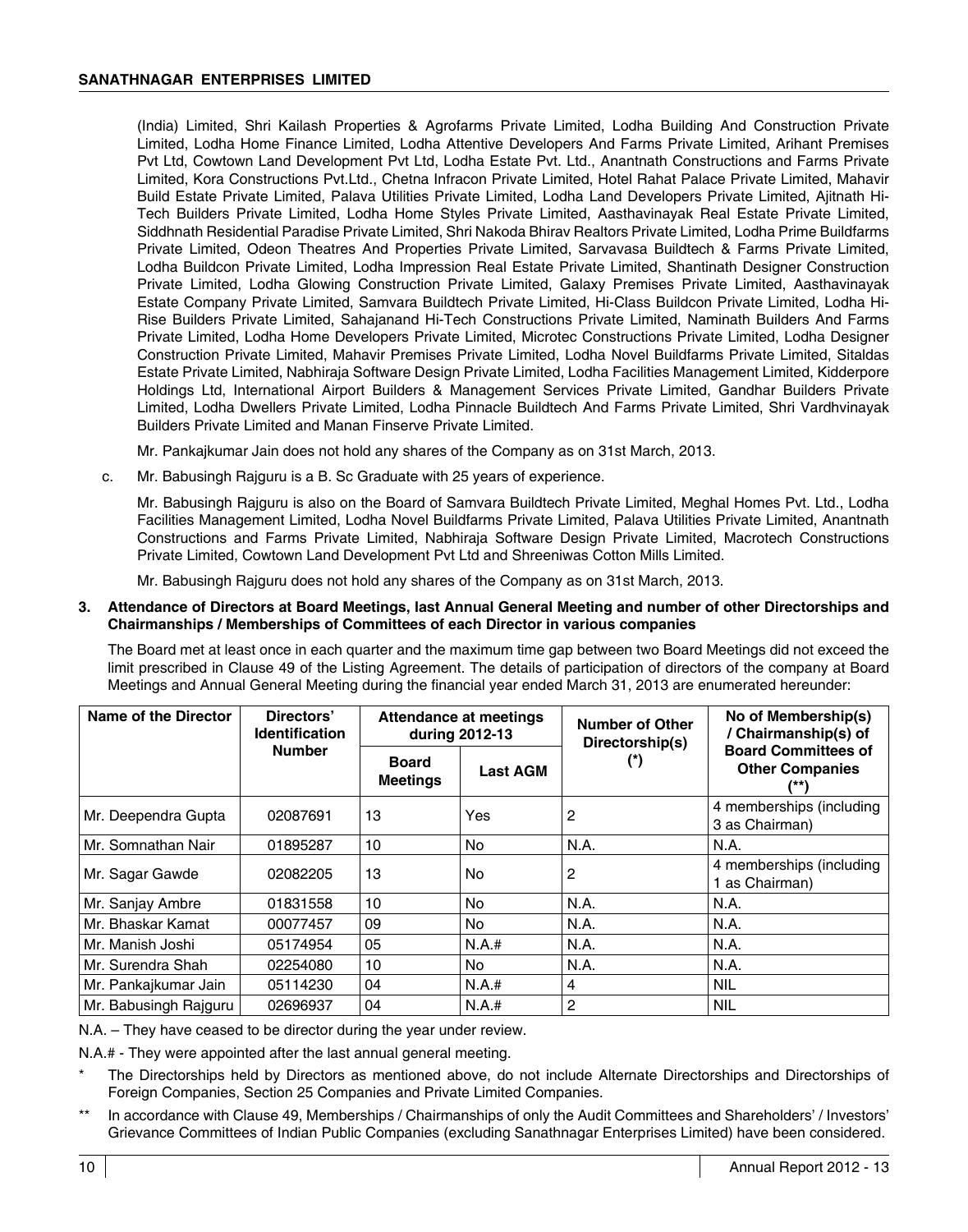(India) Limited, Shri Kailash Properties & Agrofarms Private Limited, Lodha Building And Construction Private Limited, Lodha Home Finance Limited, Lodha Attentive Developers And Farms Private Limited, Arihant Premises Pvt Ltd, Cowtown Land Development Pvt Ltd, Lodha Estate Pvt. Ltd., Anantnath Constructions and Farms Private Limited, Kora Constructions Pvt.Ltd., Chetna Infracon Private Limited, Hotel Rahat Palace Private Limited, Mahavir Build Estate Private Limited, Palava Utilities Private Limited, Lodha Land Developers Private Limited, Ajitnath Hi-Tech Builders Private Limited, Lodha Home Styles Private Limited, Aasthavinayak Real Estate Private Limited, Siddhnath Residential Paradise Private Limited, Shri Nakoda Bhirav Realtors Private Limited, Lodha Prime Buildfarms Private Limited, Odeon Theatres And Properties Private Limited, Sarvavasa Buildtech & Farms Private Limited, Lodha Buildcon Private Limited, Lodha Impression Real Estate Private Limited, Shantinath Designer Construction Private Limited, Lodha Glowing Construction Private Limited, Galaxy Premises Private Limited, Aasthavinayak Estate Company Private Limited, Samvara Buildtech Private Limited, Hi-Class Buildcon Private Limited, Lodha Hi-Rise Builders Private Limited, Sahajanand Hi-Tech Constructions Private Limited, Naminath Builders And Farms Private Limited, Lodha Home Developers Private Limited, Microtec Constructions Private Limited, Lodha Designer Construction Private Limited, Mahavir Premises Private Limited, Lodha Novel Buildfarms Private Limited, Sitaldas Estate Private Limited, Nabhiraja Software Design Private Limited, Lodha Facilities Management Limited, Kidderpore Holdings Ltd, International Airport Builders & Management Services Private Limited, Gandhar Builders Private Limited, Lodha Dwellers Private Limited, Lodha Pinnacle Buildtech And Farms Private Limited, Shri Vardhvinayak Builders Private Limited and Manan Finserve Private Limited.

Mr. Pankajkumar Jain does not hold any shares of the Company as on 31st March, 2013.

 c. Mr. Babusingh Rajguru is a B. Sc Graduate with 25 years of experience.

 Mr. Babusingh Rajguru is also on the Board of Samvara Buildtech Private Limited, Meghal Homes Pvt. Ltd., Lodha Facilities Management Limited, Lodha Novel Buildfarms Private Limited, Palava Utilities Private Limited, Anantnath Constructions and Farms Private Limited, Nabhiraja Software Design Private Limited, Macrotech Constructions Private Limited, Cowtown Land Development Pvt Ltd and Shreeniwas Cotton Mills Limited.

Mr. Babusingh Rajguru does not hold any shares of the Company as on 31st March, 2013.

### **3. Attendance of Directors at Board Meetings, last Annual General Meeting and number of other Directorships and Chairmanships / Memberships of Committees of each Director in various companies**

 The Board met at least once in each quarter and the maximum time gap between two Board Meetings did not exceed the limit prescribed in Clause 49 of the Listing Agreement. The details of participation of directors of the company at Board Meetings and Annual General Meeting during the financial year ended March 31, 2013 are enumerated hereunder:

| Name of the Director  | Directors'<br><b>Identification</b> | Attendance at meetings<br>during 2012-13 |                 | Number of Other<br>Directorship(s) | No of Membership(s)<br>/ Chairmanship(s) of          |  |
|-----------------------|-------------------------------------|------------------------------------------|-----------------|------------------------------------|------------------------------------------------------|--|
|                       | <b>Number</b>                       | <b>Board</b><br><b>Meetings</b>          | <b>Last AGM</b> |                                    | <b>Board Committees of</b><br><b>Other Companies</b> |  |
| Mr. Deependra Gupta   | 02087691                            | 13                                       | Yes             | 2                                  | 4 memberships (including<br>3 as Chairman)           |  |
| Mr. Somnathan Nair    | 01895287                            | 10                                       | No.             | N.A.                               | N.A.                                                 |  |
| Mr. Sagar Gawde       | 02082205                            | 13                                       | No              | 2                                  | 4 memberships (including<br>1 as Chairman)           |  |
| Mr. Sanjay Ambre      | 01831558                            | 10                                       | No.             | N.A.                               | N.A.                                                 |  |
| Mr. Bhaskar Kamat     | 00077457                            | 09                                       | No.             | N.A.                               | N.A.                                                 |  |
| Mr. Manish Joshi      | 05174954                            | 05                                       | N.A.#           | N.A.                               | N.A.                                                 |  |
| Mr. Surendra Shah     | 02254080                            | 10                                       | No              | N.A.                               | N.A.                                                 |  |
| Mr. Pankajkumar Jain  | 05114230                            | 04                                       | N.A.#           | 4                                  | <b>NIL</b>                                           |  |
| Mr. Babusingh Rajguru | 02696937                            | 04                                       | N.A.#           | 2                                  | <b>NIL</b>                                           |  |

N.A. – They have ceased to be director during the year under review.

N.A.# - They were appointed after the last annual general meeting.

- The Directorships held by Directors as mentioned above, do not include Alternate Directorships and Directorships of Foreign Companies, Section 25 Companies and Private Limited Companies.
- In accordance with Clause 49, Memberships / Chairmanships of only the Audit Committees and Shareholders' / Investors' Grievance Committees of Indian Public Companies (excluding Sanathnagar Enterprises Limited) have been considered.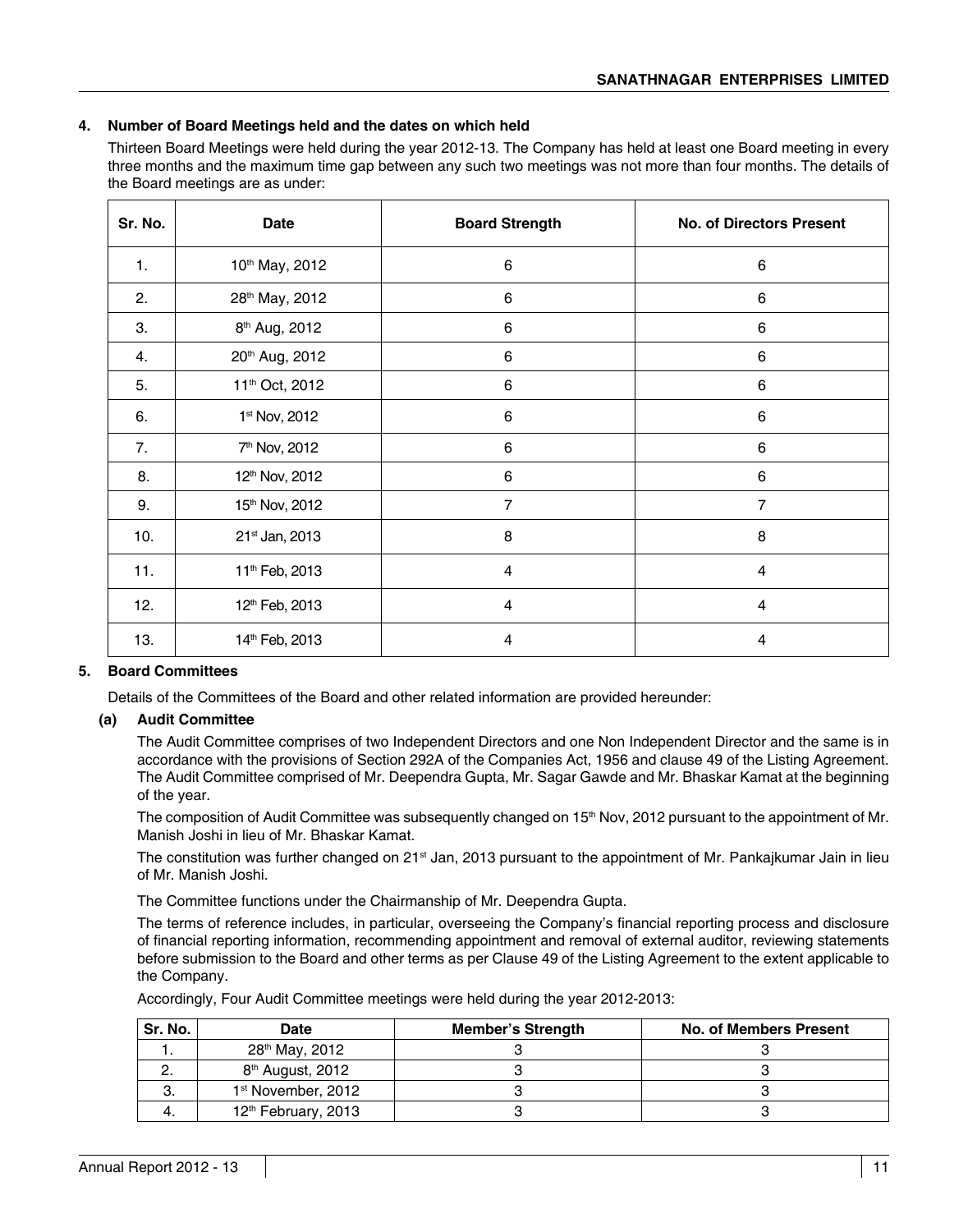### **4. Number of Board Meetings held and the dates on which held**

Thirteen Board Meetings were held during the year 2012-13. The Company has held at least one Board meeting in every three months and the maximum time gap between any such two meetings was not more than four months. The details of the Board meetings are as under:

| Sr. No. | Date                       | <b>Board Strength</b>   | <b>No. of Directors Present</b> |
|---------|----------------------------|-------------------------|---------------------------------|
| 1.      | 10th May, 2012             | $\,6$                   | 6                               |
| 2.      | 28th May, 2012             | $\,6$                   | 6                               |
| 3.      | 8 <sup>th</sup> Aug, 2012  | 6                       | 6                               |
| 4.      | 20th Aug, 2012             | $\,6$                   | $\,6\,$                         |
| 5.      | 11 <sup>th</sup> Oct, 2012 | $\,6\,$                 | 6                               |
| 6.      | 1st Nov, 2012              | 6                       | 6                               |
| 7.      | 7 <sup>th</sup> Nov, 2012  | $\,6$                   | $\,6\,$                         |
| 8.      | 12th Nov, 2012             | 6                       | 6                               |
| 9.      | 15th Nov, 2012             | $\overline{7}$          | $\overline{7}$                  |
| 10.     | 21st Jan, 2013             | 8                       | 8                               |
| 11.     | 11 <sup>th</sup> Feb, 2013 | $\overline{\mathbf{4}}$ | $\overline{\mathbf{4}}$         |
| 12.     | 12th Feb, 2013             | $\overline{4}$          | $\overline{4}$                  |
| 13.     | 14th Feb, 2013             | $\overline{\mathbf{4}}$ | $\overline{\mathbf{4}}$         |

### **5. Board Committees**

Details of the Committees of the Board and other related information are provided hereunder:

### **(a) Audit Committee**

 The Audit Committee comprises of two Independent Directors and one Non Independent Director and the same is in accordance with the provisions of Section 292A of the Companies Act, 1956 and clause 49 of the Listing Agreement. The Audit Committee comprised of Mr. Deependra Gupta, Mr. Sagar Gawde and Mr. Bhaskar Kamat at the beginning of the year.

The composition of Audit Committee was subsequently changed on 15<sup>th</sup> Nov, 2012 pursuant to the appointment of Mr. Manish Joshi in lieu of Mr. Bhaskar Kamat.

The constitution was further changed on 21<sup>st</sup> Jan, 2013 pursuant to the appointment of Mr. Pankajkumar Jain in lieu of Mr. Manish Joshi.

The Committee functions under the Chairmanship of Mr. Deependra Gupta.

 The terms of reference includes, in particular, overseeing the Company's financial reporting process and disclosure of financial reporting information, recommending appointment and removal of external auditor, reviewing statements before submission to the Board and other terms as per Clause 49 of the Listing Agreement to the extent applicable to the Company.

Accordingly, Four Audit Committee meetings were held during the year 2012-2013:

| Sr. No. | <b>Date</b>                     | <b>Member's Strength</b> | <b>No. of Members Present</b> |
|---------|---------------------------------|--------------------------|-------------------------------|
|         | 28 <sup>th</sup> May, 2012      |                          |                               |
|         | 8 <sup>th</sup> August, 2012    |                          |                               |
| Ő.      | 1 <sup>st</sup> November, 2012  |                          |                               |
|         | 12 <sup>th</sup> February, 2013 |                          |                               |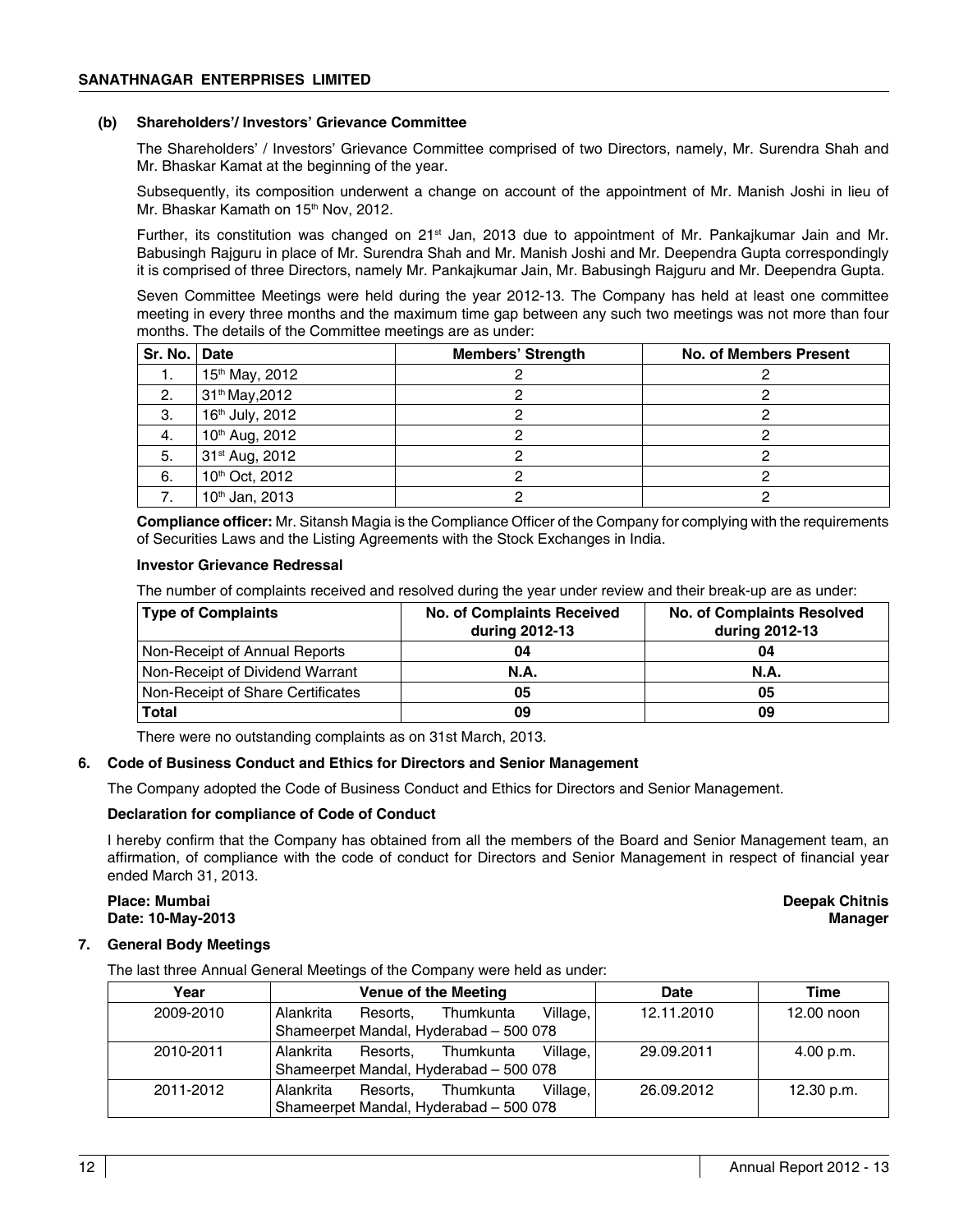### **(b) Shareholders'/ Investors' Grievance Committee**

 The Shareholders' / Investors' Grievance Committee comprised of two Directors, namely, Mr. Surendra Shah and Mr. Bhaskar Kamat at the beginning of the year.

 Subsequently, its composition underwent a change on account of the appointment of Mr. Manish Joshi in lieu of Mr. Bhaskar Kamath on 15<sup>th</sup> Nov, 2012.

Further, its constitution was changed on 21<sup>st</sup> Jan, 2013 due to appointment of Mr. Pankajkumar Jain and Mr. Babusingh Rajguru in place of Mr. Surendra Shah and Mr. Manish Joshi and Mr. Deependra Gupta correspondingly it is comprised of three Directors, namely Mr. Pankajkumar Jain, Mr. Babusingh Rajguru and Mr. Deependra Gupta.

 Seven Committee Meetings were held during the year 2012-13. The Company has held at least one committee meeting in every three months and the maximum time gap between any such two meetings was not more than four months. The details of the Committee meetings are as under:

| Sr. No.   Date |                            | <b>Members' Strength</b> | <b>No. of Members Present</b> |
|----------------|----------------------------|--------------------------|-------------------------------|
| 1.             | 15th May, 2012             |                          |                               |
| 2.             | 31 <sup>th</sup> May, 2012 |                          |                               |
| 3.             | 16th July, 2012            |                          |                               |
| 4.             | 10th Aug, 2012             |                          |                               |
| 5.             | 31 <sup>st</sup> Aug, 2012 |                          |                               |
| 6.             | 10th Oct, 2012             |                          |                               |
|                | 10 <sup>th</sup> Jan, 2013 |                          |                               |

 **Compliance officer:** Mr. Sitansh Magia is the Compliance Officer of the Company for complying with the requirements of Securities Laws and the Listing Agreements with the Stock Exchanges in India.

### **Investor Grievance Redressal**

The number of complaints received and resolved during the year under review and their break-up are as under:

| <b>Type of Complaints</b>         | <b>No. of Complaints Received</b><br>during 2012-13 | <b>No. of Complaints Resolved</b><br>during 2012-13 |
|-----------------------------------|-----------------------------------------------------|-----------------------------------------------------|
| Non-Receipt of Annual Reports     | 04                                                  | 04                                                  |
| Non-Receipt of Dividend Warrant   | N.A.                                                | N.A.                                                |
| Non-Receipt of Share Certificates | 05                                                  | 05                                                  |
| Total                             | 09                                                  | 09                                                  |

There were no outstanding complaints as on 31st March, 2013.

### **6. Code of Business Conduct and Ethics for Directors and Senior Management**

The Company adopted the Code of Business Conduct and Ethics for Directors and Senior Management.

### **Declaration for compliance of Code of Conduct**

 I hereby confirm that the Company has obtained from all the members of the Board and Senior Management team, an affirmation, of compliance with the code of conduct for Directors and Senior Management in respect of financial year ended March 31, 2013.

### **Place: Mumbai Deepak Chitnis Date: 10-May-2013 Manager**

### **7. General Body Meetings**

The last three Annual General Meetings of the Company were held as under:

| Year      | Venue of the Meeting                           | Date       | Time       |
|-----------|------------------------------------------------|------------|------------|
| 2009-2010 | Village,<br>Alankrita<br>Thumkunta<br>Resorts. | 12.11.2010 | 12.00 noon |
|           | Shameerpet Mandal, Hyderabad - 500 078         |            |            |
| 2010-2011 | Village,<br>Alankrita<br>Thumkunta<br>Resorts. | 29.09.2011 | 4.00 p.m.  |
|           | Shameerpet Mandal, Hyderabad - 500 078         |            |            |
| 2011-2012 | Village,<br>Alankrita<br>Thumkunta<br>Resorts. | 26.09.2012 | 12.30 p.m. |
|           | Shameerpet Mandal, Hyderabad - 500 078         |            |            |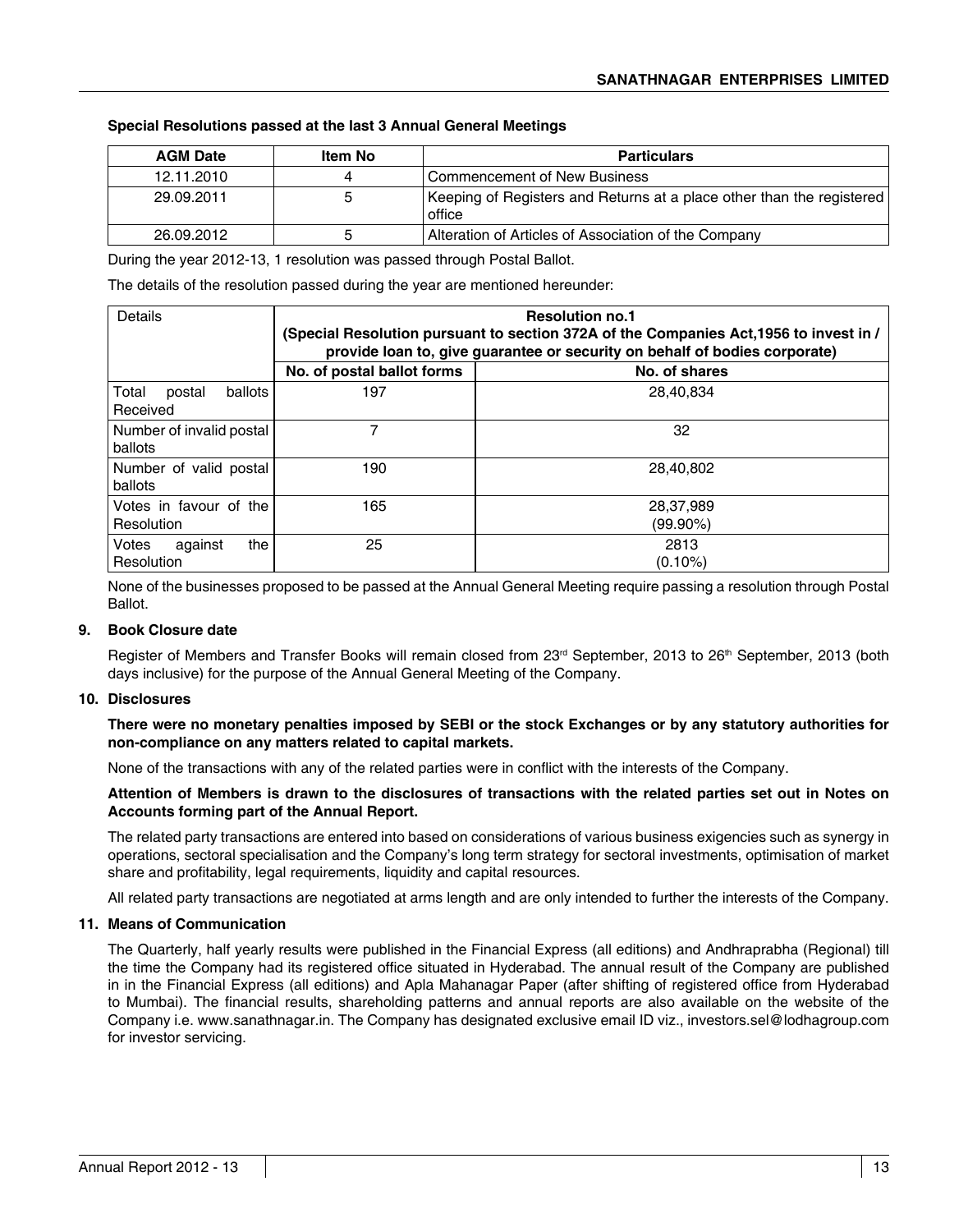### **Special Resolutions passed at the last 3 Annual General Meetings**

| <b>AGM Date</b> | Item No | <b>Particulars</b>                                                              |
|-----------------|---------|---------------------------------------------------------------------------------|
| 12.11.2010      |         | <b>Commencement of New Business</b>                                             |
| 29.09.2011      | ۰.      | Keeping of Registers and Returns at a place other than the registered<br>office |
| 26.09.2012      |         | Alteration of Articles of Association of the Company                            |

During the year 2012-13, 1 resolution was passed through Postal Ballot.

The details of the resolution passed during the year are mentioned hereunder:

| Details                                | <b>Resolution no.1</b><br>(Special Resolution pursuant to section 372A of the Companies Act, 1956 to invest in /<br>provide loan to, give guarantee or security on behalf of bodies corporate) |                          |  |
|----------------------------------------|------------------------------------------------------------------------------------------------------------------------------------------------------------------------------------------------|--------------------------|--|
|                                        | No. of postal ballot forms                                                                                                                                                                     | No. of shares            |  |
| Total<br>ballots<br>postal<br>Received | 197                                                                                                                                                                                            | 28,40,834                |  |
| Number of invalid postal<br>ballots    |                                                                                                                                                                                                | 32                       |  |
| Number of valid postal<br>ballots      | 190                                                                                                                                                                                            | 28,40,802                |  |
| Votes in favour of the<br>Resolution   | 165                                                                                                                                                                                            | 28,37,989<br>$(99.90\%)$ |  |
| Votes<br>the<br>against<br>Resolution  | 25                                                                                                                                                                                             | 2813<br>$(0.10\%)$       |  |

None of the businesses proposed to be passed at the Annual General Meeting require passing a resolution through Postal Ballot.

### **9. Book Closure date**

Register of Members and Transfer Books will remain closed from 23<sup>rd</sup> September, 2013 to 26<sup>th</sup> September, 2013 (both days inclusive) for the purpose of the Annual General Meeting of the Company.

### **10. Disclosures**

**There were no monetary penalties imposed by SEBI or the stock Exchanges or by any statutory authorities for non-compliance on any matters related to capital markets.**

None of the transactions with any of the related parties were in conflict with the interests of the Company.

### **Attention of Members is drawn to the disclosures of transactions with the related parties set out in Notes on Accounts forming part of the Annual Report.**

The related party transactions are entered into based on considerations of various business exigencies such as synergy in operations, sectoral specialisation and the Company's long term strategy for sectoral investments, optimisation of market share and profitability, legal requirements, liquidity and capital resources.

All related party transactions are negotiated at arms length and are only intended to further the interests of the Company.

### **11. Means of Communication**

The Quarterly, half yearly results were published in the Financial Express (all editions) and Andhraprabha (Regional) till the time the Company had its registered office situated in Hyderabad. The annual result of the Company are published in in the Financial Express (all editions) and Apla Mahanagar Paper (after shifting of registered office from Hyderabad to Mumbai). The financial results, shareholding patterns and annual reports are also available on the website of the Company i.e. www.sanathnagar.in. The Company has designated exclusive email ID viz., investors.sel@lodhagroup.com for investor servicing.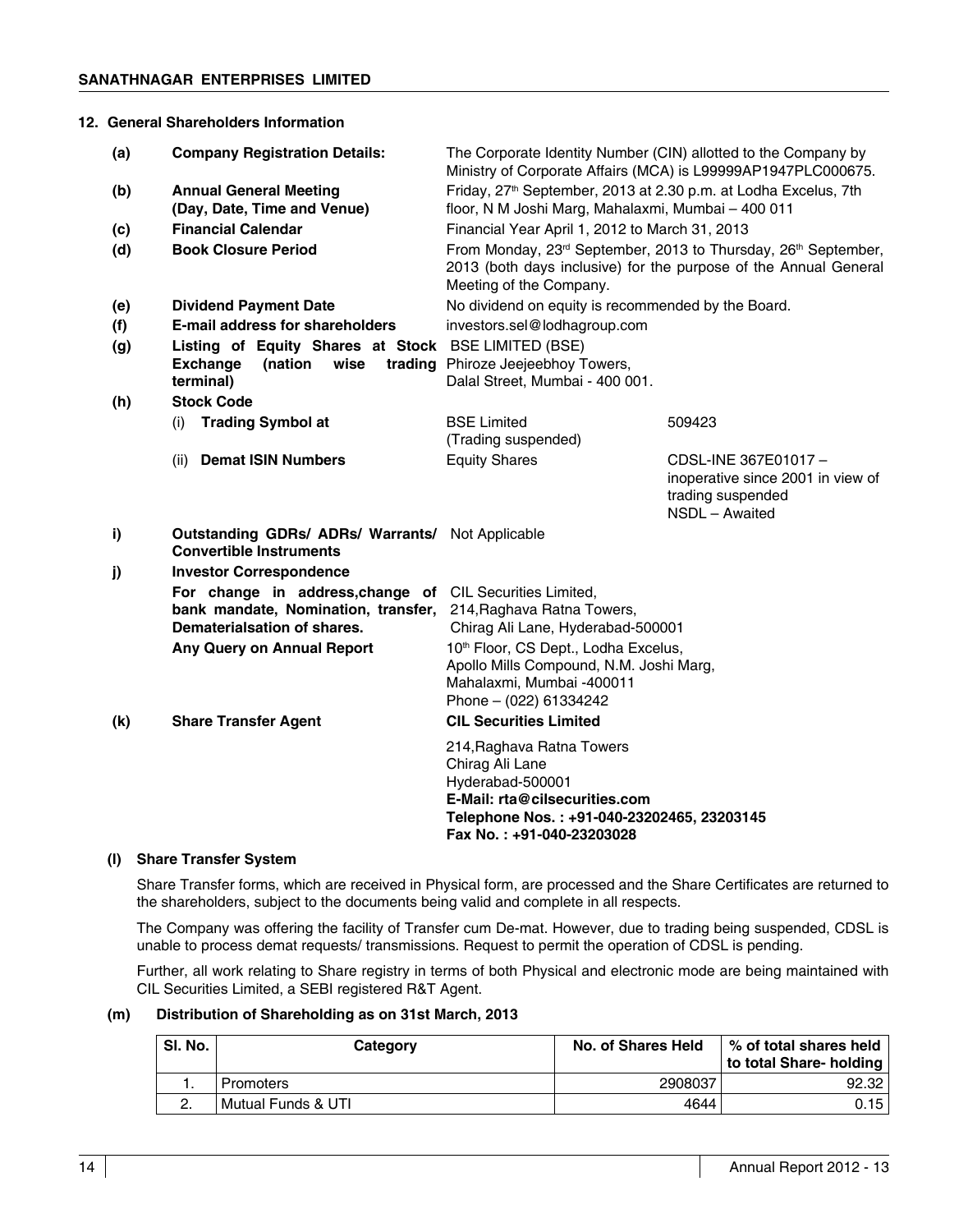### **12. General Shareholders Information**

| (a) | <b>Company Registration Details:</b>                                                                                           | The Corporate Identity Number (CIN) allotted to the Company by<br>Ministry of Corporate Affairs (MCA) is L99999AP1947PLC000675.                                              |                                                                                                 |  |
|-----|--------------------------------------------------------------------------------------------------------------------------------|------------------------------------------------------------------------------------------------------------------------------------------------------------------------------|-------------------------------------------------------------------------------------------------|--|
| (b) | <b>Annual General Meeting</b>                                                                                                  | Friday, 27 <sup>th</sup> September, 2013 at 2.30 p.m. at Lodha Excelus, 7th                                                                                                  |                                                                                                 |  |
|     | (Day, Date, Time and Venue)                                                                                                    | floor, N M Joshi Marg, Mahalaxmi, Mumbai - 400 011                                                                                                                           |                                                                                                 |  |
| (c) | <b>Financial Calendar</b>                                                                                                      | Financial Year April 1, 2012 to March 31, 2013                                                                                                                               |                                                                                                 |  |
| (d) | <b>Book Closure Period</b>                                                                                                     | From Monday, 23rd September, 2013 to Thursday, 26th September,<br>2013 (both days inclusive) for the purpose of the Annual General<br>Meeting of the Company.                |                                                                                                 |  |
| (e) | <b>Dividend Payment Date</b>                                                                                                   | No dividend on equity is recommended by the Board.                                                                                                                           |                                                                                                 |  |
| (f) | <b>E-mail address for shareholders</b>                                                                                         | investors.sel@lodhagroup.com                                                                                                                                                 |                                                                                                 |  |
| (g) | Listing of Equity Shares at Stock BSE LIMITED (BSE)                                                                            |                                                                                                                                                                              |                                                                                                 |  |
|     | (nation<br>wise<br><b>Exchange</b><br>terminal)                                                                                | trading Phiroze Jeejeebhoy Towers,<br>Dalal Street, Mumbai - 400 001.                                                                                                        |                                                                                                 |  |
| (h) | <b>Stock Code</b>                                                                                                              |                                                                                                                                                                              |                                                                                                 |  |
|     | <b>Trading Symbol at</b><br>(i)                                                                                                | <b>BSE Limited</b>                                                                                                                                                           | 509423                                                                                          |  |
|     |                                                                                                                                | (Trading suspended)                                                                                                                                                          |                                                                                                 |  |
|     | <b>Demat ISIN Numbers</b><br>(ii)                                                                                              | <b>Equity Shares</b>                                                                                                                                                         | CDSL-INE 367E01017-<br>inoperative since 2001 in view of<br>trading suspended<br>NSDL - Awaited |  |
| i)  | <b>Outstanding GDRs/ ADRs/ Warrants/ Not Applicable</b><br><b>Convertible Instruments</b>                                      |                                                                                                                                                                              |                                                                                                 |  |
| j)  | <b>Investor Correspondence</b>                                                                                                 |                                                                                                                                                                              |                                                                                                 |  |
|     | For change in address, change of CIL Securities Limited,<br>bank mandate, Nomination, transfer,<br>Dematerialsation of shares. | 214, Raghava Ratna Towers,<br>Chirag Ali Lane, Hyderabad-500001                                                                                                              |                                                                                                 |  |
|     | Any Query on Annual Report                                                                                                     | 10 <sup>th</sup> Floor, CS Dept., Lodha Excelus,<br>Apollo Mills Compound, N.M. Joshi Marg,<br>Mahalaxmi, Mumbai -400011<br>Phone $-$ (022) 61334242                         |                                                                                                 |  |
| (k) | <b>Share Transfer Agent</b>                                                                                                    | <b>CIL Securities Limited</b>                                                                                                                                                |                                                                                                 |  |
|     |                                                                                                                                | 214, Raghava Ratna Towers<br>Chirag Ali Lane<br>Hyderabad-500001<br>E-Mail: rta@cilsecurities.com<br>Telephone Nos.: +91-040-23202465, 23203145<br>Fax No.: +91-040-23203028 |                                                                                                 |  |

### **(l) Share Transfer System**

Share Transfer forms, which are received in Physical form, are processed and the Share Certificates are returned to the shareholders, subject to the documents being valid and complete in all respects.

The Company was offering the facility of Transfer cum De-mat. However, due to trading being suspended, CDSL is unable to process demat requests/ transmissions. Request to permit the operation of CDSL is pending.

Further, all work relating to Share registry in terms of both Physical and electronic mode are being maintained with CIL Securities Limited, a SEBI registered R&T Agent.

### **(m) Distribution of Shareholding as on 31st March, 2013**

| SI. No. | Category           | No. of Shares Held | % of total shares held<br>to total Share- holding |
|---------|--------------------|--------------------|---------------------------------------------------|
|         | Promoters          | 2908037            | 92.32                                             |
|         | Mutual Funds & UTI | 4644               | 0.15                                              |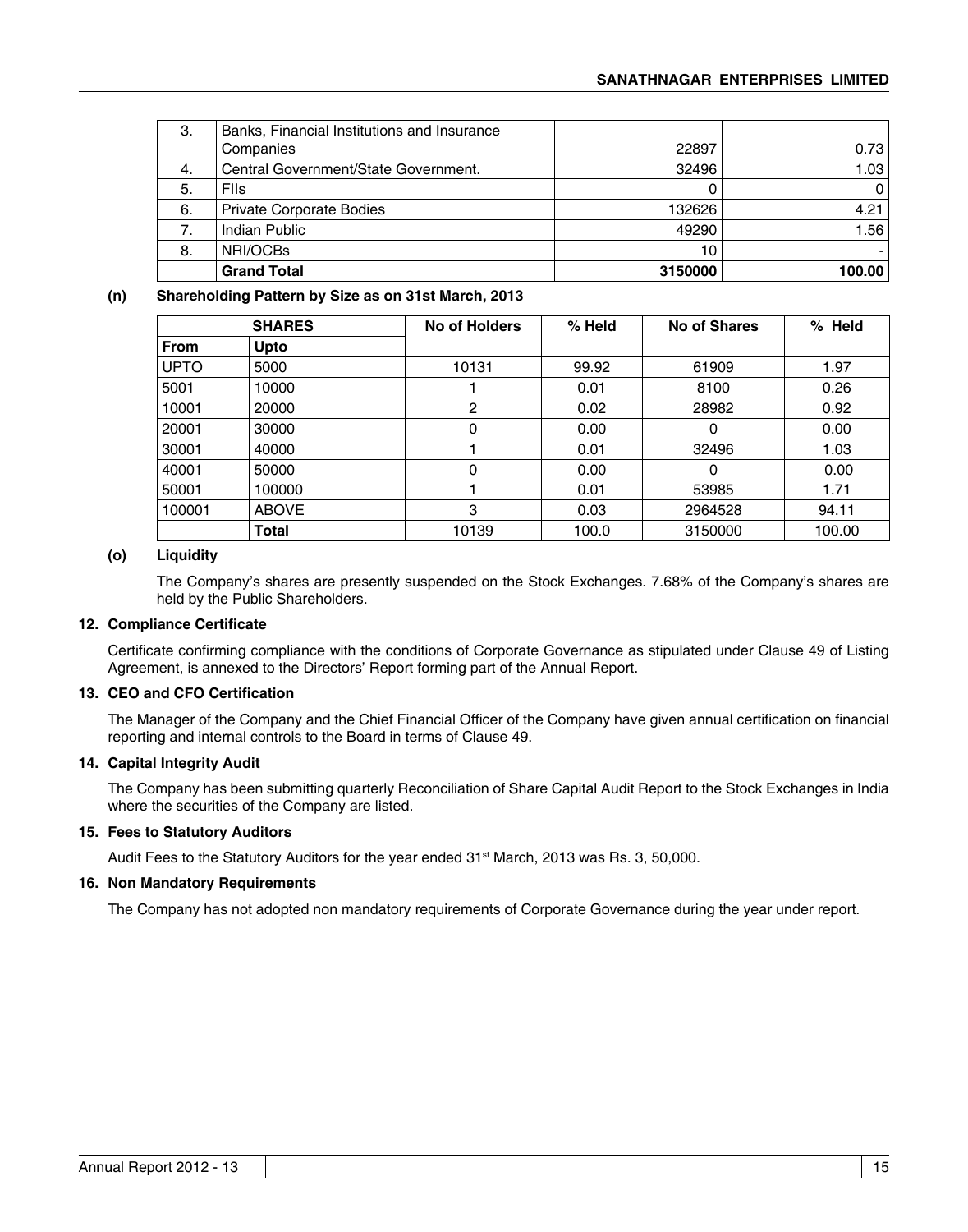| 3. | Banks, Financial Institutions and Insurance |         |        |
|----|---------------------------------------------|---------|--------|
|    | Companies                                   | 22897   | 0.73   |
| 4. | Central Government/State Government.        | 32496   | 1.03   |
| 5. | <b>Flis</b>                                 |         | 0      |
| 6. | <b>Private Corporate Bodies</b>             | 132626  | 4.21   |
| 7. | Indian Public                               | 49290   | 1.56   |
| 8. | NRI/OCBs                                    | 10      |        |
|    | <b>Grand Total</b>                          | 3150000 | 100.00 |

### **(n) Shareholding Pattern by Size as on 31st March, 2013**

|             | <b>SHARES</b> | No of Holders | % Held | No of Shares | % Held |
|-------------|---------------|---------------|--------|--------------|--------|
| <b>From</b> | Upto          |               |        |              |        |
| <b>UPTO</b> | 5000          | 10131         | 99.92  | 61909        | 1.97   |
| 5001        | 10000         |               | 0.01   | 8100         | 0.26   |
| 10001       | 20000         | 2             | 0.02   | 28982        | 0.92   |
| 20001       | 30000         | 0             | 0.00   | 0            | 0.00   |
| 30001       | 40000         |               | 0.01   | 32496        | 1.03   |
| 40001       | 50000         | 0             | 0.00   | $\Omega$     | 0.00   |
| 50001       | 100000        |               | 0.01   | 53985        | 1.71   |
| 100001      | <b>ABOVE</b>  | 3             | 0.03   | 2964528      | 94.11  |
|             | Total         | 10139         | 100.0  | 3150000      | 100.00 |

### **(o) Liquidity**

 The Company's shares are presently suspended on the Stock Exchanges. 7.68% of the Company's shares are held by the Public Shareholders.

### **12. Compliance Certificate**

Certificate confirming compliance with the conditions of Corporate Governance as stipulated under Clause 49 of Listing Agreement, is annexed to the Directors' Report forming part of the Annual Report.

### **13. CEO and CFO Certification**

The Manager of the Company and the Chief Financial Officer of the Company have given annual certification on financial reporting and internal controls to the Board in terms of Clause 49.

### **14. Capital Integrity Audit**

The Company has been submitting quarterly Reconciliation of Share Capital Audit Report to the Stock Exchanges in India where the securities of the Company are listed.

### **15. Fees to Statutory Auditors**

Audit Fees to the Statutory Auditors for the year ended 31st March, 2013 was Rs. 3, 50,000.

### **16. Non Mandatory Requirements**

The Company has not adopted non mandatory requirements of Corporate Governance during the year under report.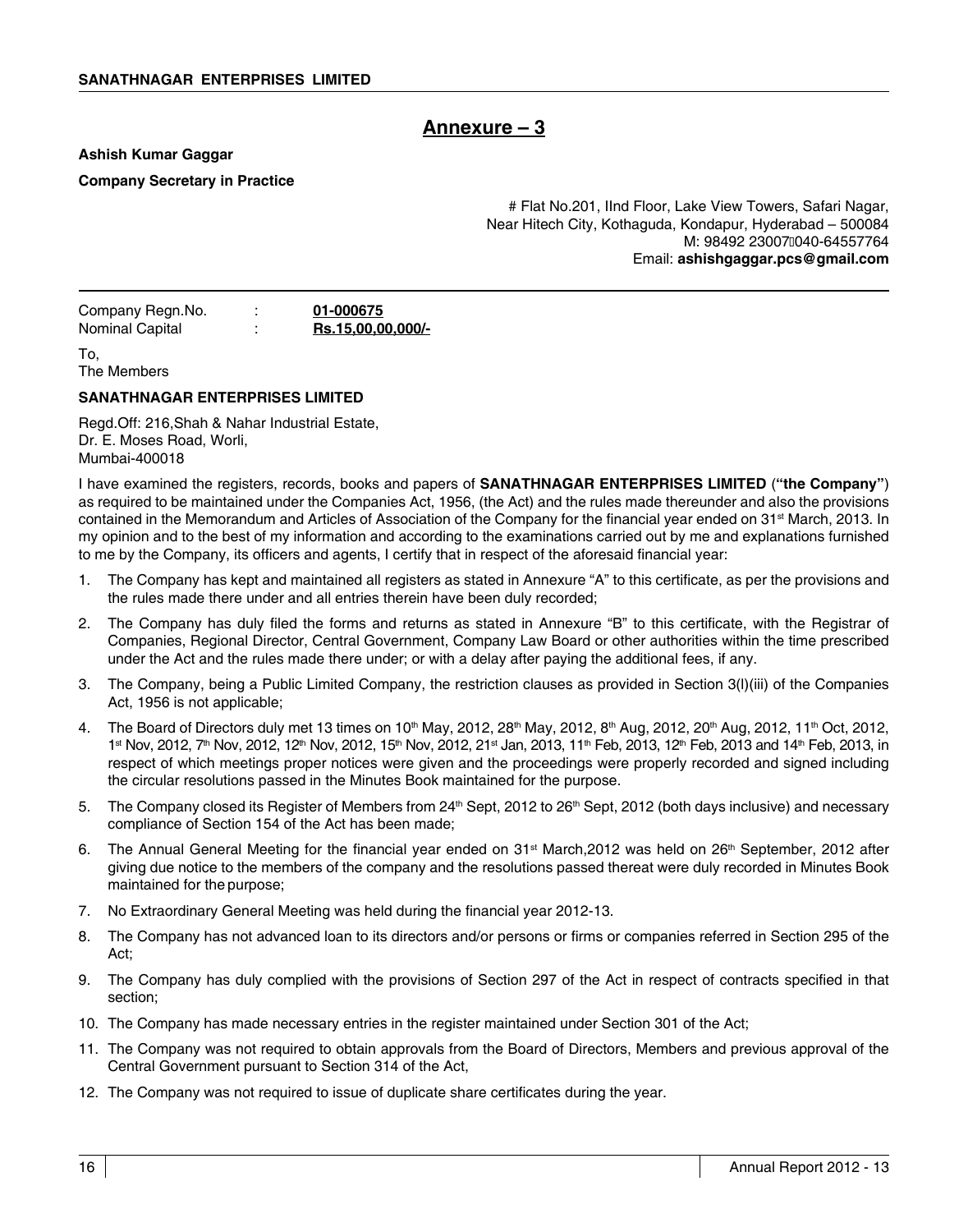# **Annexure – 3**

**Ashish Kumar Gaggar**

**Company Secretary in Practice**

# Flat No.201, IInd Floor, Lake View Towers, Safari Nagar, Near Hitech City, Kothaguda, Kondapur, Hyderabad – 500084 M: 98492 23007040-64557764 Email: **ashishgaggar.pcs@gmail.com**

| Company Regn.No. | 01-000675                |
|------------------|--------------------------|
| Nominal Capital  | <u>Rs.15,00,00,000/-</u> |

To, The Members

### **SANATHNAGAR ENTERPRISES LIMITED**

Regd.Off: 216,Shah & Nahar Industrial Estate, Dr. E. Moses Road, Worli, Mumbai-400018

I have examined the registers, records, books and papers of **SANATHNAGAR ENTERPRISES LIMITED** (**"the Company"**) as required to be maintained under the Companies Act, 1956, (the Act) and the rules made thereunder and also the provisions contained in the Memorandum and Articles of Association of the Company for the financial year ended on 31<sup>st</sup> March, 2013. In my opinion and to the best of my information and according to the examinations carried out by me and explanations furnished to me by the Company, its officers and agents, I certify that in respect of the aforesaid financial year:

- 1. The Company has kept and maintained all registers as stated in Annexure "A" to this certificate, as per the provisions and the rules made there under and all entries therein have been duly recorded;
- 2. The Company has duly filed the forms and returns as stated in Annexure "B" to this certificate, with the Registrar of Companies, Regional Director, Central Government, Company Law Board or other authorities within the time prescribed under the Act and the rules made there under; or with a delay after paying the additional fees, if any.
- 3. The Company, being a Public Limited Company, the restriction clauses as provided in Section 3(l)(iii) of the Companies Act, 1956 is not applicable;
- 4. The Board of Directors duly met 13 times on 10<sup>th</sup> May, 2012, 28<sup>th</sup> May, 2012, 8<sup>th</sup> Aug, 2012, 20<sup>th</sup> Aug, 2012, 11<sup>th</sup> Oct, 2012, 1st Nov, 2012, 7<sup>th</sup> Nov, 2012, 12<sup>th</sup> Nov, 2012, 15<sup>th</sup> Nov, 2012, 21st Jan, 2013, 11<sup>th</sup> Feb, 2013, 12<sup>th</sup> Feb, 2013 and 14<sup>th</sup> Feb, 2013, in respect of which meetings proper notices were given and the proceedings were properly recorded and signed including the circular resolutions passed in the Minutes Book maintained for the purpose.
- 5. The Company closed its Register of Members from 24<sup>th</sup> Sept, 2012 to 26<sup>th</sup> Sept, 2012 (both days inclusive) and necessary compliance of Section 154 of the Act has been made;
- 6. The Annual General Meeting for the financial year ended on  $31<sup>st</sup>$  March, 2012 was held on  $26<sup>th</sup>$  September, 2012 after giving due notice to the members of the company and the resolutions passed thereat were duly recorded in Minutes Book maintained for the purpose;
- 7. No Extraordinary General Meeting was held during the financial year 2012-13.
- 8. The Company has not advanced loan to its directors and/or persons or firms or companies referred in Section 295 of the Act;
- 9. The Company has duly complied with the provisions of Section 297 of the Act in respect of contracts specified in that section;
- 10. The Company has made necessary entries in the register maintained under Section 301 of the Act;
- 11. The Company was not required to obtain approvals from the Board of Directors, Members and previous approval of the Central Government pursuant to Section 314 of the Act,
- 12. The Company was not required to issue of duplicate share certificates during the year.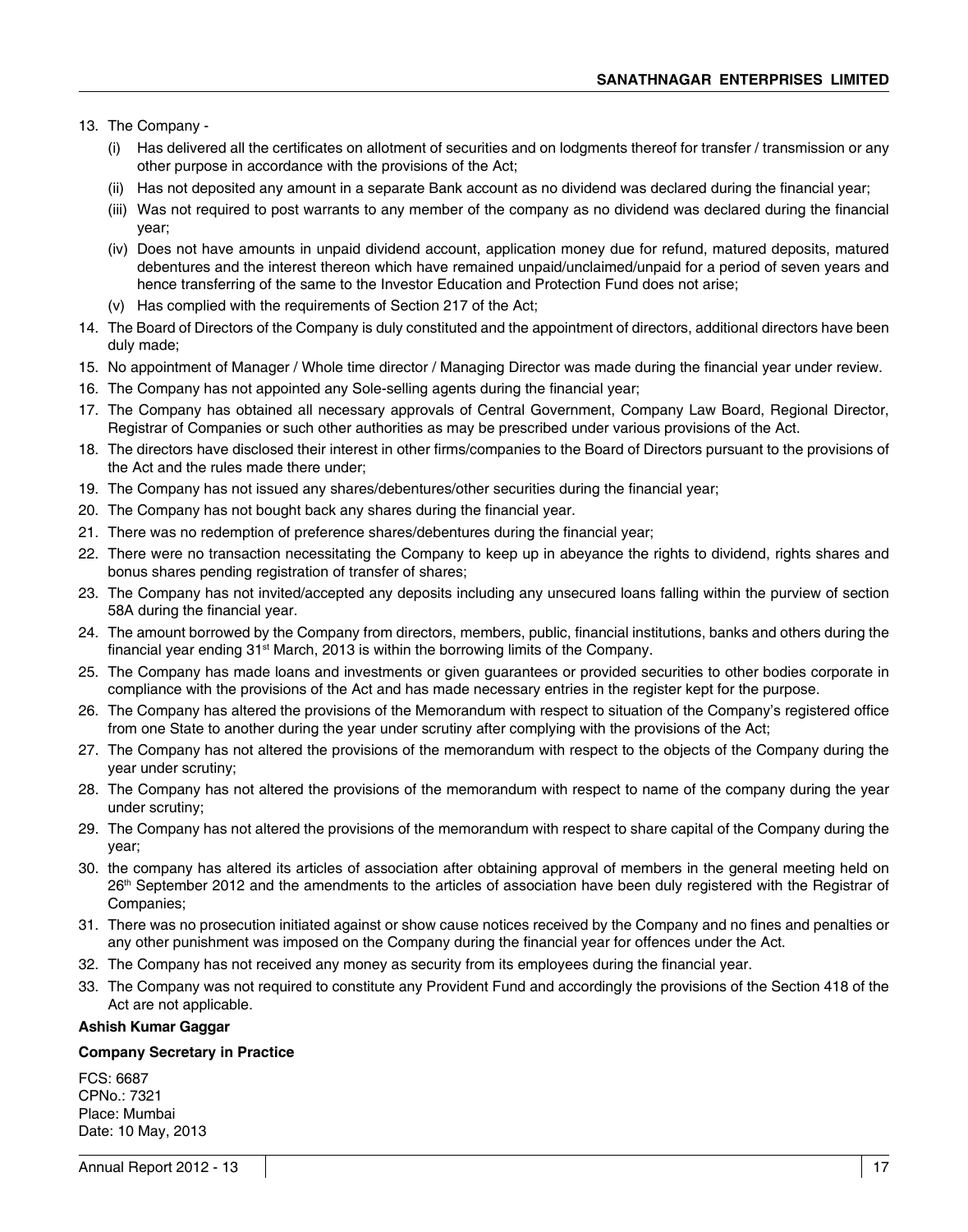13. The Company -

- (i) Has delivered all the certificates on allotment of securities and on lodgments thereof for transfer / transmission or any other purpose in accordance with the provisions of the Act;
- (ii) Has not deposited any amount in a separate Bank account as no dividend was declared during the financial year;
- (iii) Was not required to post warrants to any member of the company as no dividend was declared during the financial year;
- (iv) Does not have amounts in unpaid dividend account, application money due for refund, matured deposits, matured debentures and the interest thereon which have remained unpaid/unclaimed/unpaid for a period of seven years and hence transferring of the same to the Investor Education and Protection Fund does not arise;
- (v) Has complied with the requirements of Section 217 of the Act;
- 14. The Board of Directors of the Company is duly constituted and the appointment of directors, additional directors have been duly made;
- 15. No appointment of Manager / Whole time director / Managing Director was made during the financial year under review.
- 16. The Company has not appointed any Sole-selling agents during the financial year;
- 17. The Company has obtained all necessary approvals of Central Government, Company Law Board, Regional Director, Registrar of Companies or such other authorities as may be prescribed under various provisions of the Act.
- 18. The directors have disclosed their interest in other firms/companies to the Board of Directors pursuant to the provisions of the Act and the rules made there under;
- 19. The Company has not issued any shares/debentures/other securities during the financial year;
- 20. The Company has not bought back any shares during the financial year.
- 21. There was no redemption of preference shares/debentures during the financial year;
- 22. There were no transaction necessitating the Company to keep up in abeyance the rights to dividend, rights shares and bonus shares pending registration of transfer of shares;
- 23. The Company has not invited/accepted any deposits including any unsecured loans falling within the purview of section 58A during the financial year.
- 24. The amount borrowed by the Company from directors, members, public, financial institutions, banks and others during the financial year ending  $31<sup>st</sup>$  March, 2013 is within the borrowing limits of the Company.
- 25. The Company has made loans and investments or given guarantees or provided securities to other bodies corporate in compliance with the provisions of the Act and has made necessary entries in the register kept for the purpose.
- 26. The Company has altered the provisions of the Memorandum with respect to situation of the Company's registered office from one State to another during the year under scrutiny after complying with the provisions of the Act;
- 27. The Company has not altered the provisions of the memorandum with respect to the objects of the Company during the year under scrutiny;
- 28. The Company has not altered the provisions of the memorandum with respect to name of the company during the year under scrutiny;
- 29. The Company has not altered the provisions of the memorandum with respect to share capital of the Company during the year;
- 30. the company has altered its articles of association after obtaining approval of members in the general meeting held on 26<sup>th</sup> September 2012 and the amendments to the articles of association have been duly registered with the Registrar of Companies;
- 31. There was no prosecution initiated against or show cause notices received by the Company and no fines and penalties or any other punishment was imposed on the Company during the financial year for offences under the Act.
- 32. The Company has not received any money as security from its employees during the financial year.
- 33. The Company was not required to constitute any Provident Fund and accordingly the provisions of the Section 418 of the Act are not applicable.

### **Ashish Kumar Gaggar**

### **Company Secretary in Practice**

FCS: 6687 CPNo.: 7321 Place: Mumbai Date: 10 May, 2013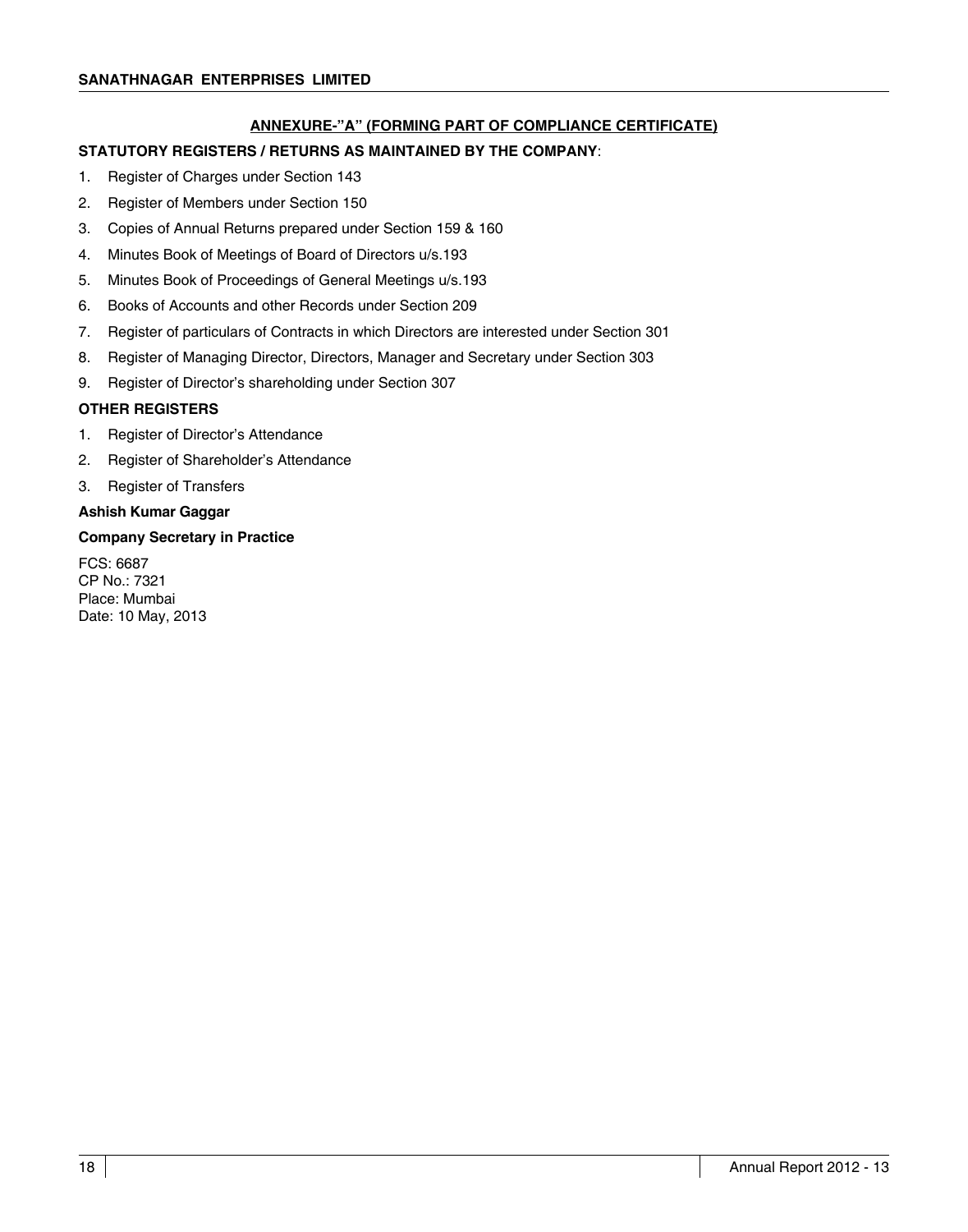### **ANNEXURE-"A" (FORMING PART OF COMPLIANCE CERTIFICATE)**

### **STATUTORY REGISTERS / RETURNS AS MAINTAINED BY THE COMPANY**:

- 1. Register of Charges under Section 143
- 2. Register of Members under Section 150
- 3. Copies of Annual Returns prepared under Section 159 & 160
- 4. Minutes Book of Meetings of Board of Directors u/s.193
- 5. Minutes Book of Proceedings of General Meetings u/s.193
- 6. Books of Accounts and other Records under Section 209
- 7. Register of particulars of Contracts in which Directors are interested under Section 301
- 8. Register of Managing Director, Directors, Manager and Secretary under Section 303
- 9. Register of Director's shareholding under Section 307

### **OTHER REGISTERS**

- 1. Register of Director's Attendance
- 2. Register of Shareholder's Attendance
- 3. Register of Transfers

### **Ashish Kumar Gaggar**

### **Company Secretary in Practice**

FCS: 6687 CP No.: 7321 Place: Mumbai Date: 10 May, 2013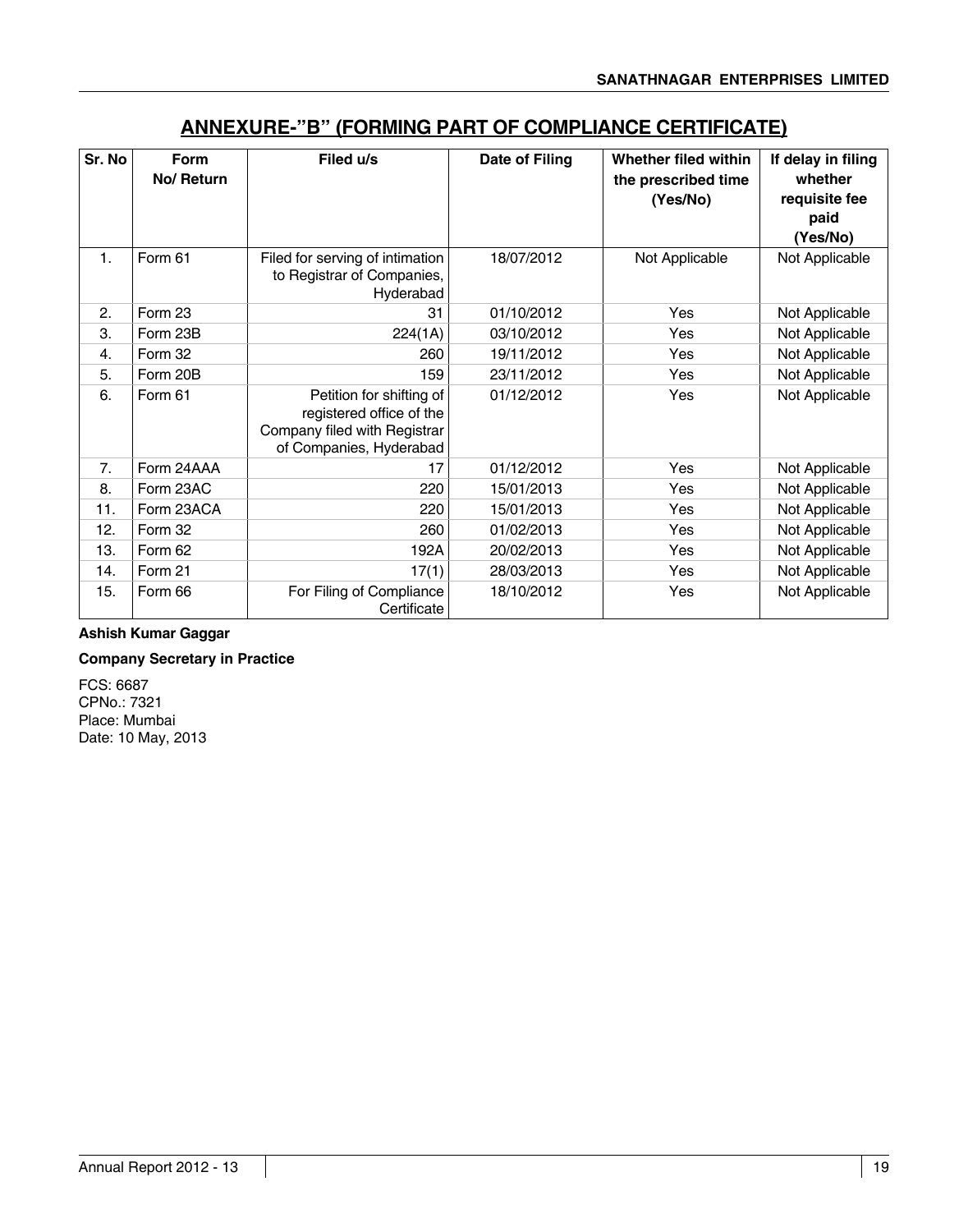| Sr. No | Form<br>No/ Return | Filed u/s                                                                                                       | Date of Filing | Whether filed within<br>the prescribed time<br>(Yes/No) | If delay in filing<br>whether<br>requisite fee<br>paid |
|--------|--------------------|-----------------------------------------------------------------------------------------------------------------|----------------|---------------------------------------------------------|--------------------------------------------------------|
| 1.     | Form 61            | Filed for serving of intimation<br>to Registrar of Companies,<br>Hyderabad                                      | 18/07/2012     | Not Applicable                                          | (Yes/No)<br>Not Applicable                             |
| 2.     | Form 23            | 31                                                                                                              | 01/10/2012     | Yes                                                     | Not Applicable                                         |
| 3.     | Form 23B           | 224(1A)                                                                                                         | 03/10/2012     | Yes                                                     | Not Applicable                                         |
| 4.     | Form 32            | 260                                                                                                             | 19/11/2012     | Yes                                                     | Not Applicable                                         |
| 5.     | Form 20B           | 159                                                                                                             | 23/11/2012     | Yes                                                     | Not Applicable                                         |
| 6.     | Form 61            | Petition for shifting of<br>registered office of the<br>Company filed with Registrar<br>of Companies, Hyderabad | 01/12/2012     | Yes                                                     | Not Applicable                                         |
| 7.     | Form 24AAA         | 17                                                                                                              | 01/12/2012     | Yes                                                     | Not Applicable                                         |
| 8.     | Form 23AC          | 220                                                                                                             | 15/01/2013     | Yes                                                     | Not Applicable                                         |
| 11.    | Form 23ACA         | 220                                                                                                             | 15/01/2013     | Yes                                                     | Not Applicable                                         |
| 12.    | Form 32            | 260                                                                                                             | 01/02/2013     | Yes                                                     | Not Applicable                                         |
| 13.    | Form 62            | 192A                                                                                                            | 20/02/2013     | Yes                                                     | Not Applicable                                         |
| 14.    | Form 21            | 17(1)                                                                                                           | 28/03/2013     | Yes                                                     | Not Applicable                                         |
| 15.    | Form 66            | For Filing of Compliance<br>Certificate                                                                         | 18/10/2012     | Yes                                                     | Not Applicable                                         |

# **ANNEXURE-"B" (FORMING PART OF COMPLIANCE CERTIFICATE)**

### **Ashish Kumar Gaggar**

### **Company Secretary in Practice**

FCS: 6687 CPNo.: 7321 Place: Mumbai Date: 10 May, 2013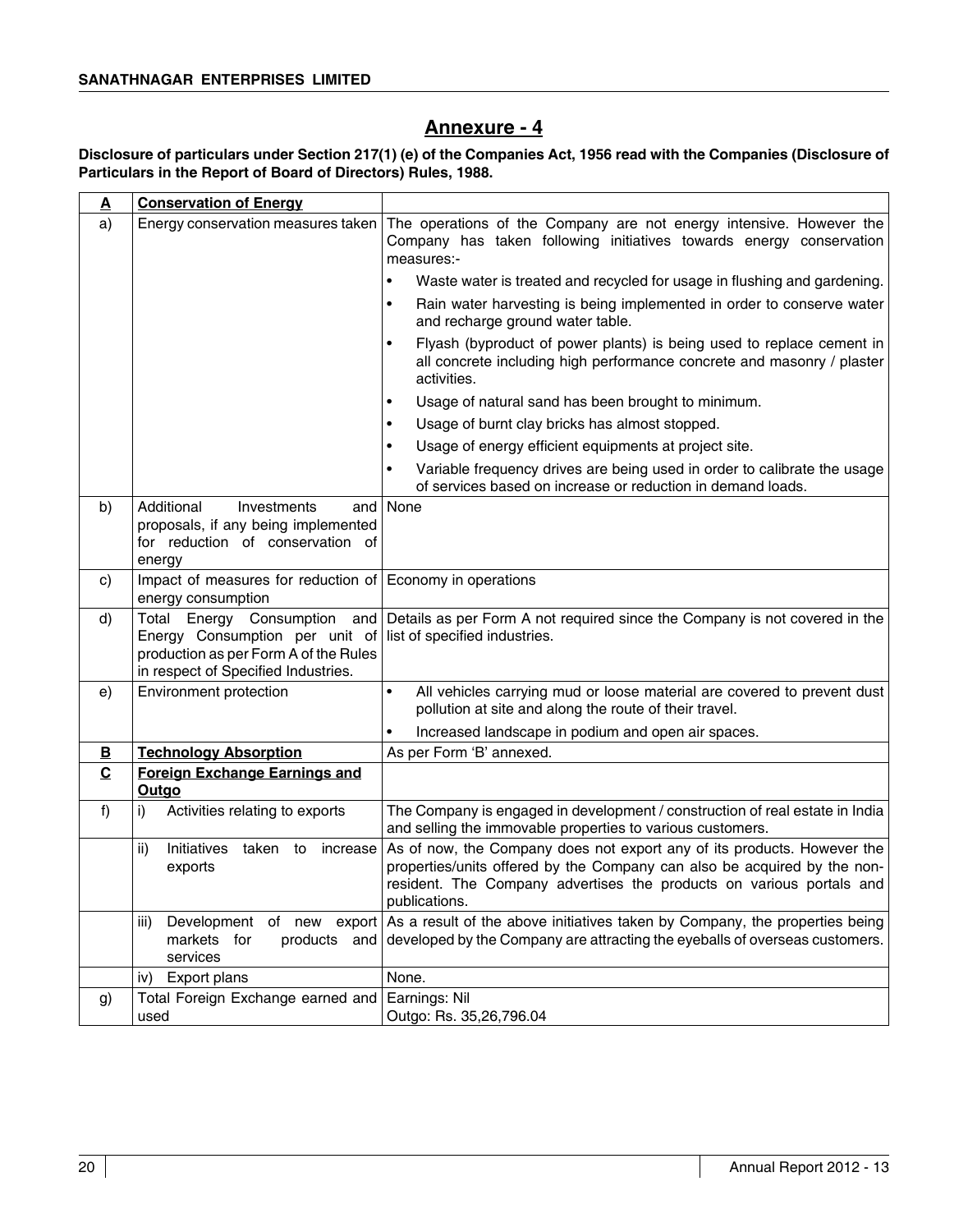# **Annexure - 4**

### **Disclosure of particulars under Section 217(1) (e) of the Companies Act, 1956 read with the Companies (Disclosure of Particulars in the Report of Board of Directors) Rules, 1988.**

| $\overline{\mathbf{A}}$ | <b>Conservation of Energy</b>                                                                                                                                                     |                                                                                                                                                                                                                                              |  |  |
|-------------------------|-----------------------------------------------------------------------------------------------------------------------------------------------------------------------------------|----------------------------------------------------------------------------------------------------------------------------------------------------------------------------------------------------------------------------------------------|--|--|
| a)                      | Energy conservation measures taken                                                                                                                                                | The operations of the Company are not energy intensive. However the<br>Company has taken following initiatives towards energy conservation<br>measures:-                                                                                     |  |  |
|                         |                                                                                                                                                                                   | $\bullet$<br>Waste water is treated and recycled for usage in flushing and gardening.                                                                                                                                                        |  |  |
|                         |                                                                                                                                                                                   | Rain water harvesting is being implemented in order to conserve water<br>$\bullet$<br>and recharge ground water table.                                                                                                                       |  |  |
|                         |                                                                                                                                                                                   | Flyash (byproduct of power plants) is being used to replace cement in<br>$\bullet$<br>all concrete including high performance concrete and masonry / plaster<br>activities.                                                                  |  |  |
|                         |                                                                                                                                                                                   | Usage of natural sand has been brought to minimum.<br>$\bullet$                                                                                                                                                                              |  |  |
|                         |                                                                                                                                                                                   | Usage of burnt clay bricks has almost stopped.<br>$\bullet$                                                                                                                                                                                  |  |  |
|                         |                                                                                                                                                                                   | Usage of energy efficient equipments at project site.<br>$\bullet$                                                                                                                                                                           |  |  |
|                         |                                                                                                                                                                                   | Variable frequency drives are being used in order to calibrate the usage<br>$\bullet$<br>of services based on increase or reduction in demand loads.                                                                                         |  |  |
| b)                      | Additional<br>Investments<br>and  <br>proposals, if any being implemented<br>for reduction of conservation of<br>energy                                                           | None                                                                                                                                                                                                                                         |  |  |
| C)                      | Impact of measures for reduction of Economy in operations<br>energy consumption                                                                                                   |                                                                                                                                                                                                                                              |  |  |
| d)                      | Total Energy Consumption<br>and  <br>Energy Consumption per unit of list of specified industries.<br>production as per Form A of the Rules<br>in respect of Specified Industries. | Details as per Form A not required since the Company is not covered in the                                                                                                                                                                   |  |  |
| e)                      | Environment protection                                                                                                                                                            | $\bullet$<br>All vehicles carrying mud or loose material are covered to prevent dust<br>pollution at site and along the route of their travel.                                                                                               |  |  |
|                         |                                                                                                                                                                                   | Increased landscape in podium and open air spaces.<br>$\bullet$                                                                                                                                                                              |  |  |
| В                       | <b>Technology Absorption</b>                                                                                                                                                      | As per Form 'B' annexed.                                                                                                                                                                                                                     |  |  |
| C                       | <b>Foreign Exchange Earnings and</b><br>Outgo                                                                                                                                     |                                                                                                                                                                                                                                              |  |  |
| f                       | Activities relating to exports<br>i)                                                                                                                                              | The Company is engaged in development / construction of real estate in India<br>and selling the immovable properties to various customers.                                                                                                   |  |  |
|                         | ii)<br>Initiatives<br>taken to increase<br>exports                                                                                                                                | As of now, the Company does not export any of its products. However the<br>properties/units offered by the Company can also be acquired by the non-<br>resident. The Company advertises the products on various portals and<br>publications. |  |  |
|                         | Development of new export<br>iii)<br>markets for<br>products<br>and  <br>services                                                                                                 | As a result of the above initiatives taken by Company, the properties being<br>developed by the Company are attracting the eyeballs of overseas customers.                                                                                   |  |  |
|                         | iv)<br>Export plans                                                                                                                                                               | None.                                                                                                                                                                                                                                        |  |  |
| g)                      | Total Foreign Exchange earned and<br>used                                                                                                                                         | Earnings: Nil<br>Outgo: Rs. 35,26,796.04                                                                                                                                                                                                     |  |  |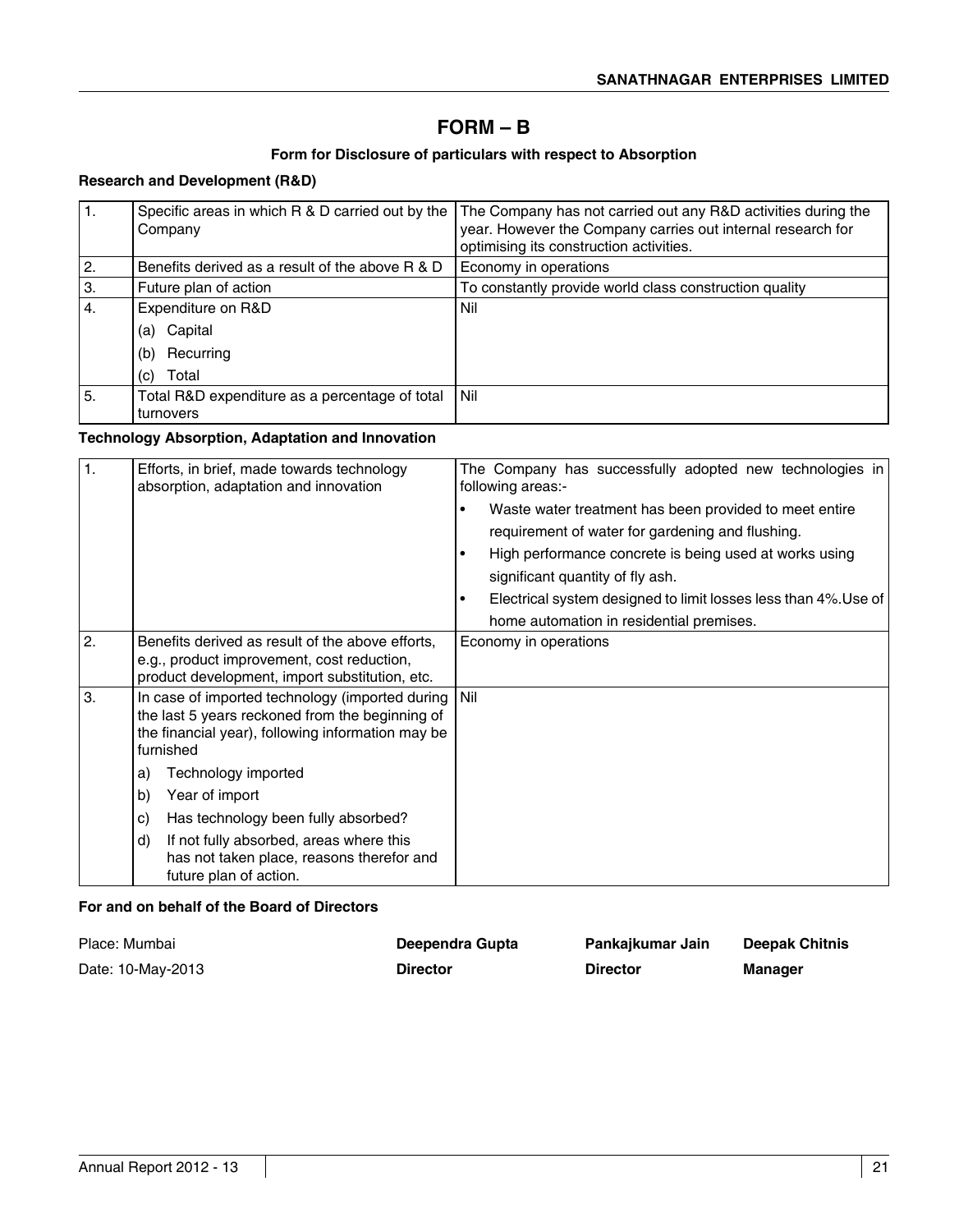# **FORM – B**

### **Form for Disclosure of particulars with respect to Absorption**

### **Research and Development (R&D)**

| 1. | Specific areas in which R & D carried out by the<br>Company | The Company has not carried out any R&D activities during the<br>year. However the Company carries out internal research for<br>optimising its construction activities. |
|----|-------------------------------------------------------------|-------------------------------------------------------------------------------------------------------------------------------------------------------------------------|
| 2. | Benefits derived as a result of the above R & D             | Economy in operations                                                                                                                                                   |
| 3. | Future plan of action                                       | To constantly provide world class construction quality                                                                                                                  |
| 4. | Expenditure on R&D                                          | Nil                                                                                                                                                                     |
|    | Capital<br>(a)                                              |                                                                                                                                                                         |
|    | Recurring<br>(b)                                            |                                                                                                                                                                         |
|    | Total<br>(c)                                                |                                                                                                                                                                         |
| 5. | Total R&D expenditure as a percentage of total              | l Nil                                                                                                                                                                   |
|    | turnovers                                                   |                                                                                                                                                                         |

### **Technology Absorption, Adaptation and Innovation**

| $\mathbf{1}$ . | Efforts, in brief, made towards technology<br>absorption, adaptation and innovation                                                                                  | The Company has successfully adopted new technologies in<br>following areas:- |
|----------------|----------------------------------------------------------------------------------------------------------------------------------------------------------------------|-------------------------------------------------------------------------------|
|                |                                                                                                                                                                      | Waste water treatment has been provided to meet entire                        |
|                |                                                                                                                                                                      | requirement of water for gardening and flushing.                              |
|                |                                                                                                                                                                      | High performance concrete is being used at works using                        |
|                |                                                                                                                                                                      | significant quantity of fly ash.                                              |
|                |                                                                                                                                                                      | Electrical system designed to limit losses less than 4%. Use of               |
|                |                                                                                                                                                                      | home automation in residential premises.                                      |
| 2.             | Benefits derived as result of the above efforts,                                                                                                                     | Economy in operations                                                         |
|                | e.g., product improvement, cost reduction,<br>product development, import substitution, etc.                                                                         |                                                                               |
| 3.             | In case of imported technology (imported during<br>the last 5 years reckoned from the beginning of<br>the financial year), following information may be<br>furnished | l Nil                                                                         |
|                | Technology imported<br>a)                                                                                                                                            |                                                                               |
|                | b)<br>Year of import                                                                                                                                                 |                                                                               |
|                | Has technology been fully absorbed?<br>C)                                                                                                                            |                                                                               |
|                | d)<br>If not fully absorbed, areas where this<br>has not taken place, reasons therefor and<br>future plan of action.                                                 |                                                                               |

### **For and on behalf of the Board of Directors**

| Place: Mumbai     | Deependra Gupta | Pankaikumar Jain | <b>Deepak Chitnis</b> |
|-------------------|-----------------|------------------|-----------------------|
| Date: 10-May-2013 | <b>Director</b> | <b>Director</b>  | Manager               |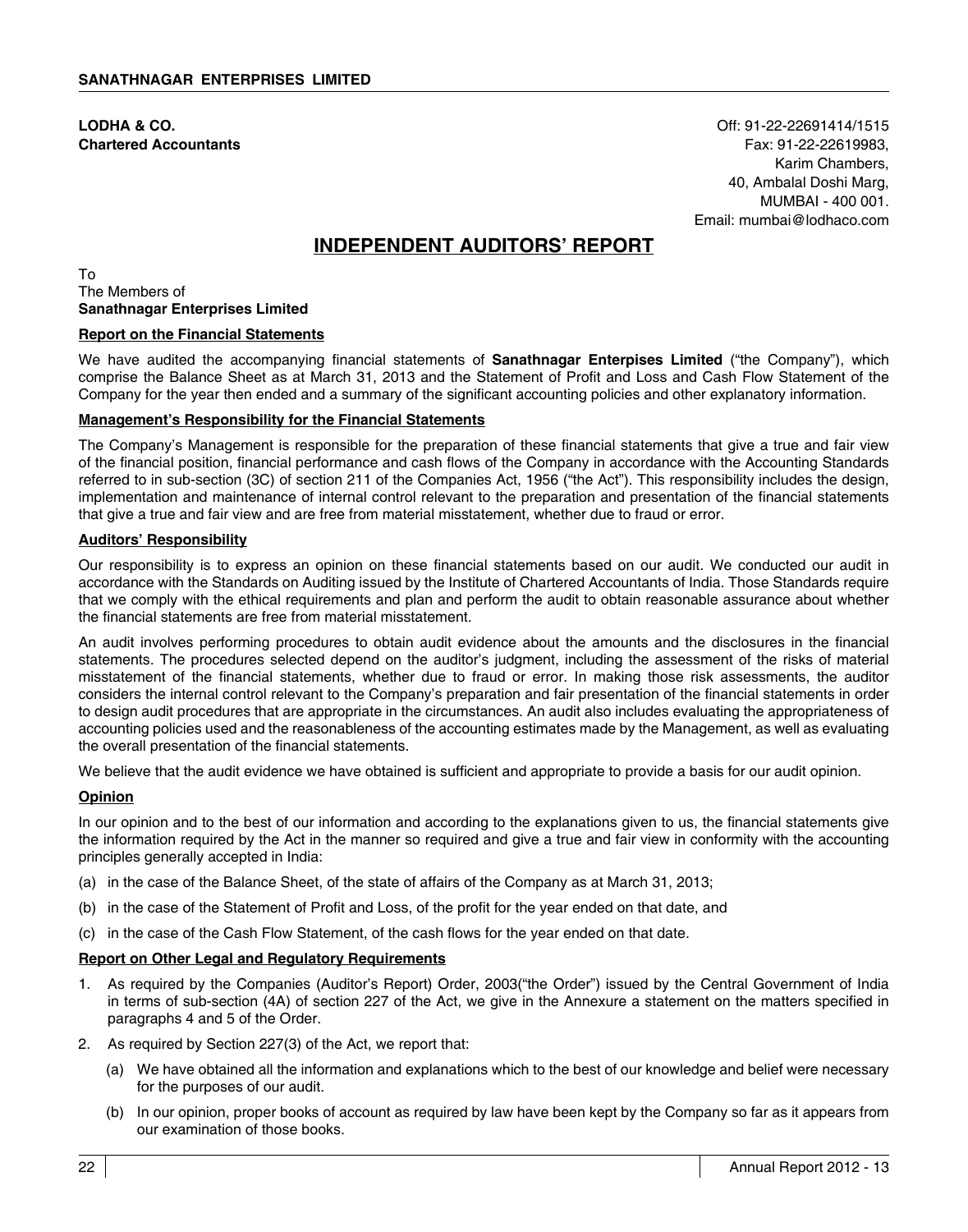**LODHA & CO.** Off: 91-22-22691414/1515 **Chartered Accountants** Fax: 91-22-22619983, Karim Chambers, 40, Ambalal Doshi Marg, MUMBAI - 400 001. Email: mumbai@lodhaco.com

# **INDEPENDENT AUDITORS' REPORT**

To The Members of **Sanathnagar Enterprises Limited**

### **Report on the Financial Statements**

We have audited the accompanying financial statements of **Sanathnagar Enterpises Limited** ("the Company"), which comprise the Balance Sheet as at March 31, 2013 and the Statement of Profit and Loss and Cash Flow Statement of the Company for the year then ended and a summary of the significant accounting policies and other explanatory information.

### **Management's Responsibility for the Financial Statements**

The Company's Management is responsible for the preparation of these financial statements that give a true and fair view of the financial position, financial performance and cash flows of the Company in accordance with the Accounting Standards referred to in sub-section (3C) of section 211 of the Companies Act, 1956 ("the Act"). This responsibility includes the design, implementation and maintenance of internal control relevant to the preparation and presentation of the financial statements that give a true and fair view and are free from material misstatement, whether due to fraud or error.

### **Auditors' Responsibility**

Our responsibility is to express an opinion on these financial statements based on our audit. We conducted our audit in accordance with the Standards on Auditing issued by the Institute of Chartered Accountants of India. Those Standards require that we comply with the ethical requirements and plan and perform the audit to obtain reasonable assurance about whether the financial statements are free from material misstatement.

An audit involves performing procedures to obtain audit evidence about the amounts and the disclosures in the financial statements. The procedures selected depend on the auditor's judgment, including the assessment of the risks of material misstatement of the financial statements, whether due to fraud or error. In making those risk assessments, the auditor considers the internal control relevant to the Company's preparation and fair presentation of the financial statements in order to design audit procedures that are appropriate in the circumstances. An audit also includes evaluating the appropriateness of accounting policies used and the reasonableness of the accounting estimates made by the Management, as well as evaluating the overall presentation of the financial statements.

We believe that the audit evidence we have obtained is sufficient and appropriate to provide a basis for our audit opinion.

### **Opinion**

In our opinion and to the best of our information and according to the explanations given to us, the financial statements give the information required by the Act in the manner so required and give a true and fair view in conformity with the accounting principles generally accepted in India:

- (a) in the case of the Balance Sheet, of the state of affairs of the Company as at March 31, 2013;
- (b) in the case of the Statement of Profit and Loss, of the profit for the year ended on that date, and
- (c) in the case of the Cash Flow Statement, of the cash flows for the year ended on that date.

### **Report on Other Legal and Regulatory Requirements**

- 1. As required by the Companies (Auditor's Report) Order, 2003("the Order") issued by the Central Government of India in terms of sub-section (4A) of section 227 of the Act, we give in the Annexure a statement on the matters specified in paragraphs 4 and 5 of the Order.
- 2. As required by Section 227(3) of the Act, we report that:
	- (a) We have obtained all the information and explanations which to the best of our knowledge and belief were necessary for the purposes of our audit.
	- (b) In our opinion, proper books of account as required by law have been kept by the Company so far as it appears from our examination of those books.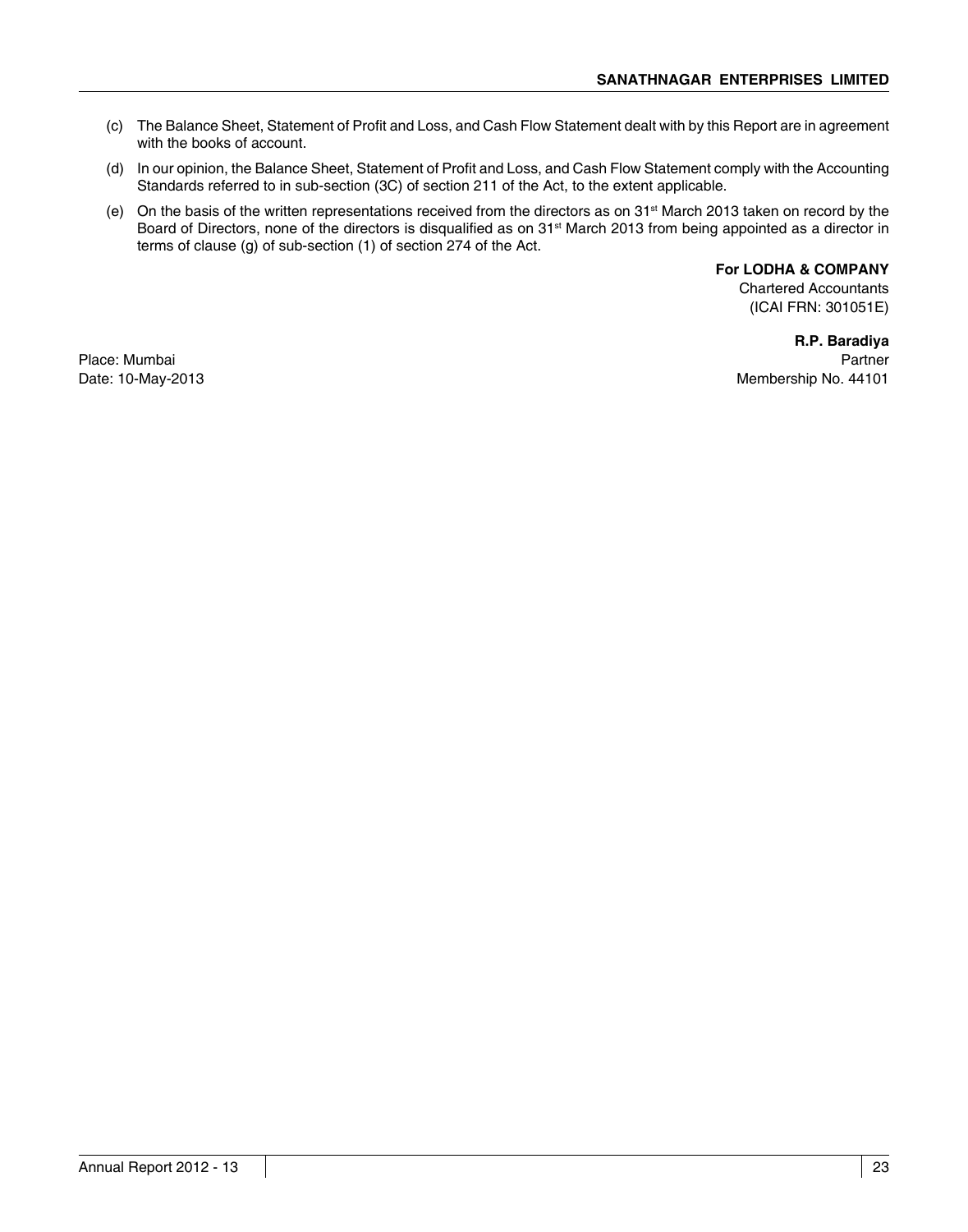- (c) The Balance Sheet, Statement of Profit and Loss, and Cash Flow Statement dealt with by this Report are in agreement with the books of account.
- (d) In our opinion, the Balance Sheet, Statement of Profit and Loss, and Cash Flow Statement comply with the Accounting Standards referred to in sub-section (3C) of section 211 of the Act, to the extent applicable.
- (e) On the basis of the written representations received from the directors as on  $31<sup>st</sup>$  March 2013 taken on record by the Board of Directors, none of the directors is disqualified as on 31<sup>st</sup> March 2013 from being appointed as a director in terms of clause (g) of sub-section (1) of section 274 of the Act.

**For LODHA & COMPANY**

Chartered Accountants (ICAI FRN: 301051E)

**R.P. Baradiya** Place: Mumbai Partner Date: 10-May-2013 **Membership No. 44101**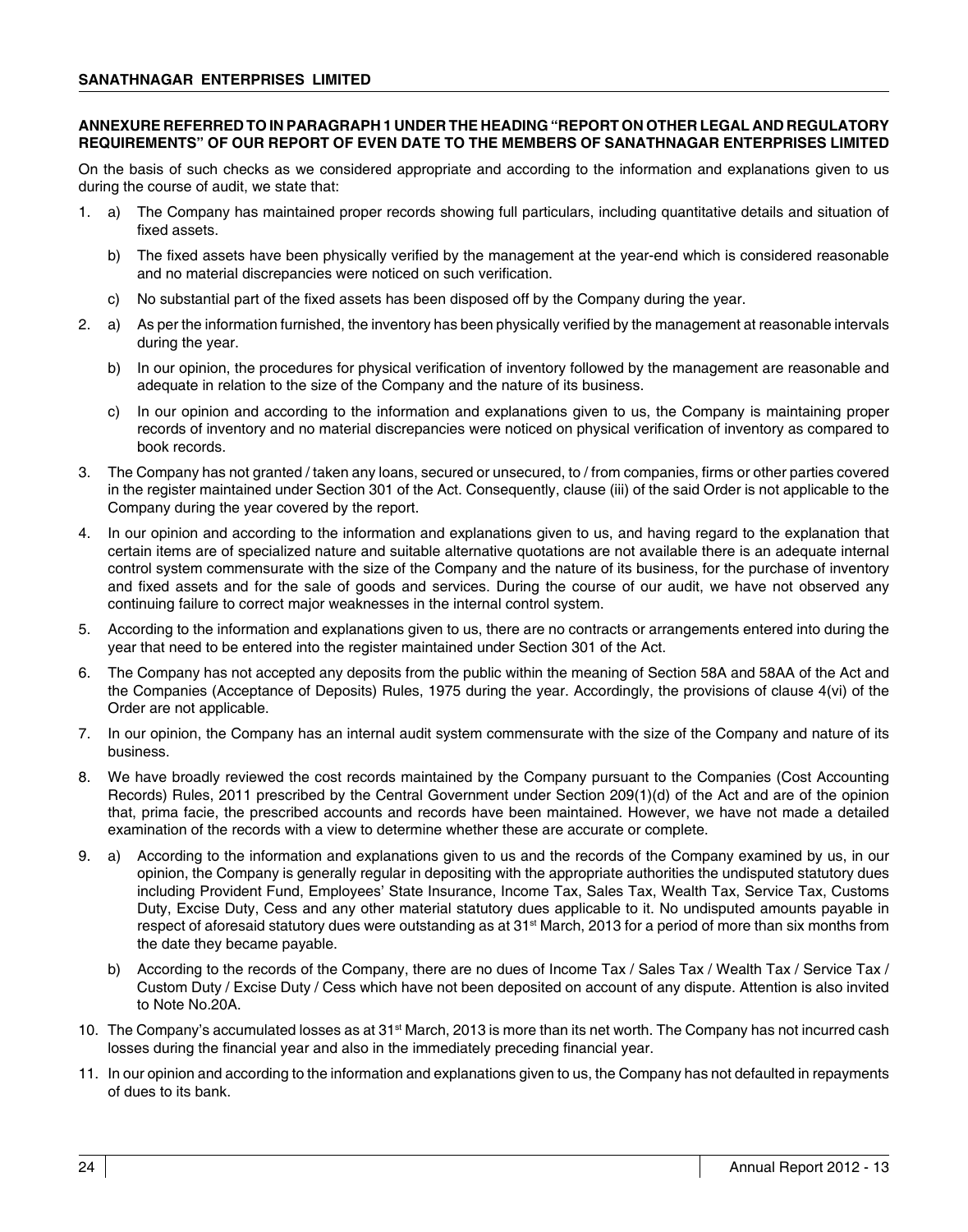### **ANNEXURE REFERRED TO IN PARAGRAPH 1 UNDER THE HEADING "REPORT ON OTHER LEGAL AND REGULATORY REQUIREMENTS" OF OUR REPORT OF EVEN DATE TO THE MEMBERS OF SANATHNAGAR ENTERPRISES LIMITED**

On the basis of such checks as we considered appropriate and according to the information and explanations given to us during the course of audit, we state that:

- 1. a) The Company has maintained proper records showing full particulars, including quantitative details and situation of fixed assets.
	- b) The fixed assets have been physically verified by the management at the year-end which is considered reasonable and no material discrepancies were noticed on such verification.
	- c) No substantial part of the fixed assets has been disposed off by the Company during the year.
- 2. a) As per the information furnished, the inventory has been physically verified by the management at reasonable intervals during the year.
	- b) In our opinion, the procedures for physical verification of inventory followed by the management are reasonable and adequate in relation to the size of the Company and the nature of its business.
	- c) In our opinion and according to the information and explanations given to us, the Company is maintaining proper records of inventory and no material discrepancies were noticed on physical verification of inventory as compared to book records.
- 3. The Company has not granted / taken any loans, secured or unsecured, to / from companies, firms or other parties covered in the register maintained under Section 301 of the Act. Consequently, clause (iii) of the said Order is not applicable to the Company during the year covered by the report.
- 4. In our opinion and according to the information and explanations given to us, and having regard to the explanation that certain items are of specialized nature and suitable alternative quotations are not available there is an adequate internal control system commensurate with the size of the Company and the nature of its business, for the purchase of inventory and fixed assets and for the sale of goods and services. During the course of our audit, we have not observed any continuing failure to correct major weaknesses in the internal control system.
- 5. According to the information and explanations given to us, there are no contracts or arrangements entered into during the year that need to be entered into the register maintained under Section 301 of the Act.
- 6. The Company has not accepted any deposits from the public within the meaning of Section 58A and 58AA of the Act and the Companies (Acceptance of Deposits) Rules, 1975 during the year. Accordingly, the provisions of clause 4(vi) of the Order are not applicable.
- 7. In our opinion, the Company has an internal audit system commensurate with the size of the Company and nature of its business.
- 8. We have broadly reviewed the cost records maintained by the Company pursuant to the Companies (Cost Accounting Records) Rules, 2011 prescribed by the Central Government under Section 209(1)(d) of the Act and are of the opinion that, prima facie, the prescribed accounts and records have been maintained. However, we have not made a detailed examination of the records with a view to determine whether these are accurate or complete.
- 9. a) According to the information and explanations given to us and the records of the Company examined by us, in our opinion, the Company is generally regular in depositing with the appropriate authorities the undisputed statutory dues including Provident Fund, Employees' State Insurance, Income Tax, Sales Tax, Wealth Tax, Service Tax, Customs Duty, Excise Duty, Cess and any other material statutory dues applicable to it. No undisputed amounts payable in respect of aforesaid statutory dues were outstanding as at 31<sup>st</sup> March, 2013 for a period of more than six months from the date they became payable.
	- b) According to the records of the Company, there are no dues of Income Tax / Sales Tax / Wealth Tax / Service Tax / Custom Duty / Excise Duty / Cess which have not been deposited on account of any dispute. Attention is also invited to Note No.20A.
- 10. The Company's accumulated losses as at  $31<sup>st</sup>$  March, 2013 is more than its net worth. The Company has not incurred cash losses during the financial year and also in the immediately preceding financial year.
- 11. In our opinion and according to the information and explanations given to us, the Company has not defaulted in repayments of dues to its bank.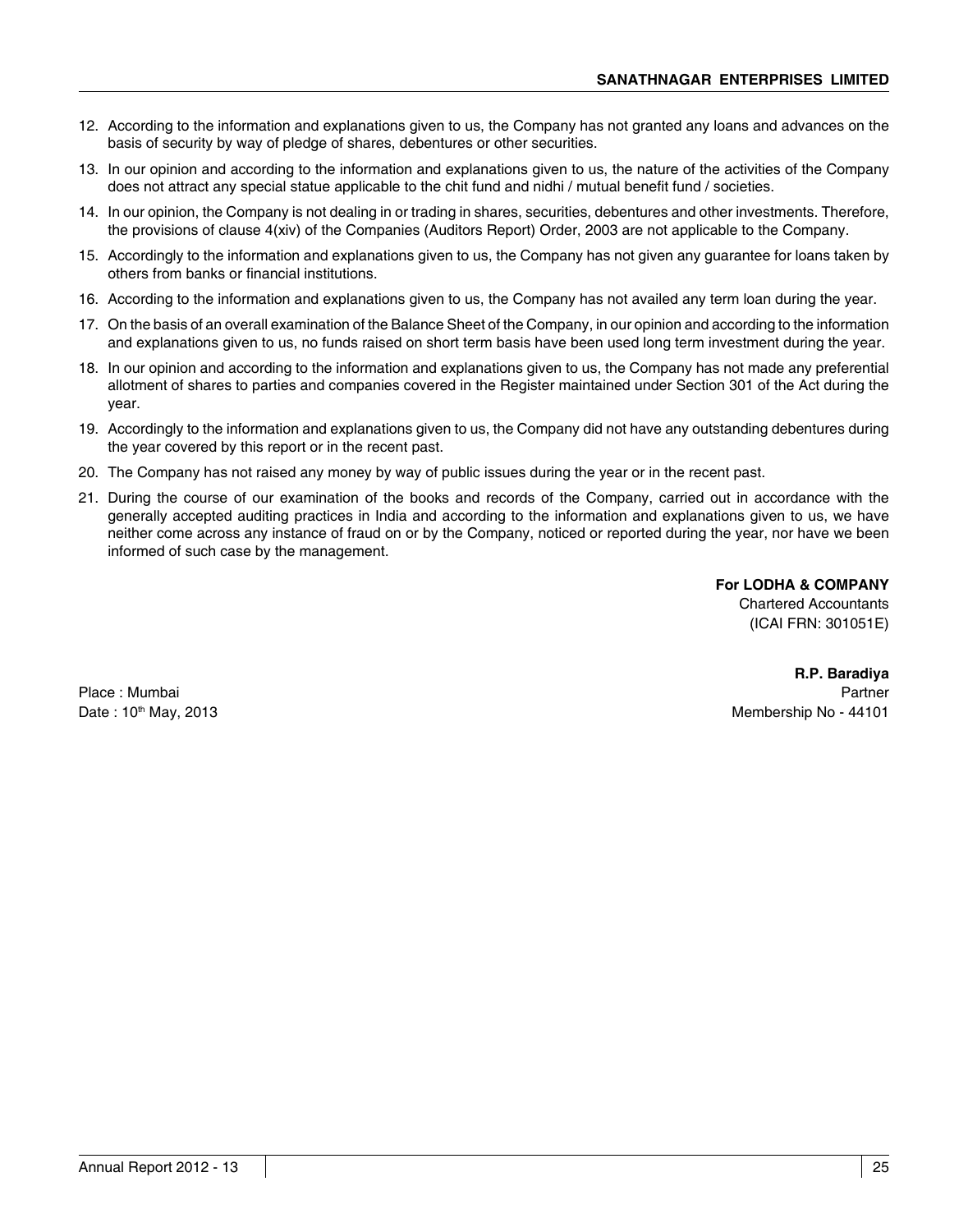- 12. According to the information and explanations given to us, the Company has not granted any loans and advances on the basis of security by way of pledge of shares, debentures or other securities.
- 13. In our opinion and according to the information and explanations given to us, the nature of the activities of the Company does not attract any special statue applicable to the chit fund and nidhi / mutual benefit fund / societies.
- 14. In our opinion, the Company is not dealing in or trading in shares, securities, debentures and other investments. Therefore, the provisions of clause 4(xiv) of the Companies (Auditors Report) Order, 2003 are not applicable to the Company.
- 15. Accordingly to the information and explanations given to us, the Company has not given any guarantee for loans taken by others from banks or financial institutions.
- 16. According to the information and explanations given to us, the Company has not availed any term loan during the year.
- 17. On the basis of an overall examination of the Balance Sheet of the Company, in our opinion and according to the information and explanations given to us, no funds raised on short term basis have been used long term investment during the year.
- 18. In our opinion and according to the information and explanations given to us, the Company has not made any preferential allotment of shares to parties and companies covered in the Register maintained under Section 301 of the Act during the year.
- 19. Accordingly to the information and explanations given to us, the Company did not have any outstanding debentures during the year covered by this report or in the recent past.
- 20. The Company has not raised any money by way of public issues during the year or in the recent past.
- 21. During the course of our examination of the books and records of the Company, carried out in accordance with the generally accepted auditing practices in India and according to the information and explanations given to us, we have neither come across any instance of fraud on or by the Company, noticed or reported during the year, nor have we been informed of such case by the management.

**For LODHA & COMPANY** Chartered Accountants

(ICAI FRN: 301051E)

**R.P. Baradiya** Place : Mumbai Partner Date : 10<sup>th</sup> May, 2013 **Membership No - 44101**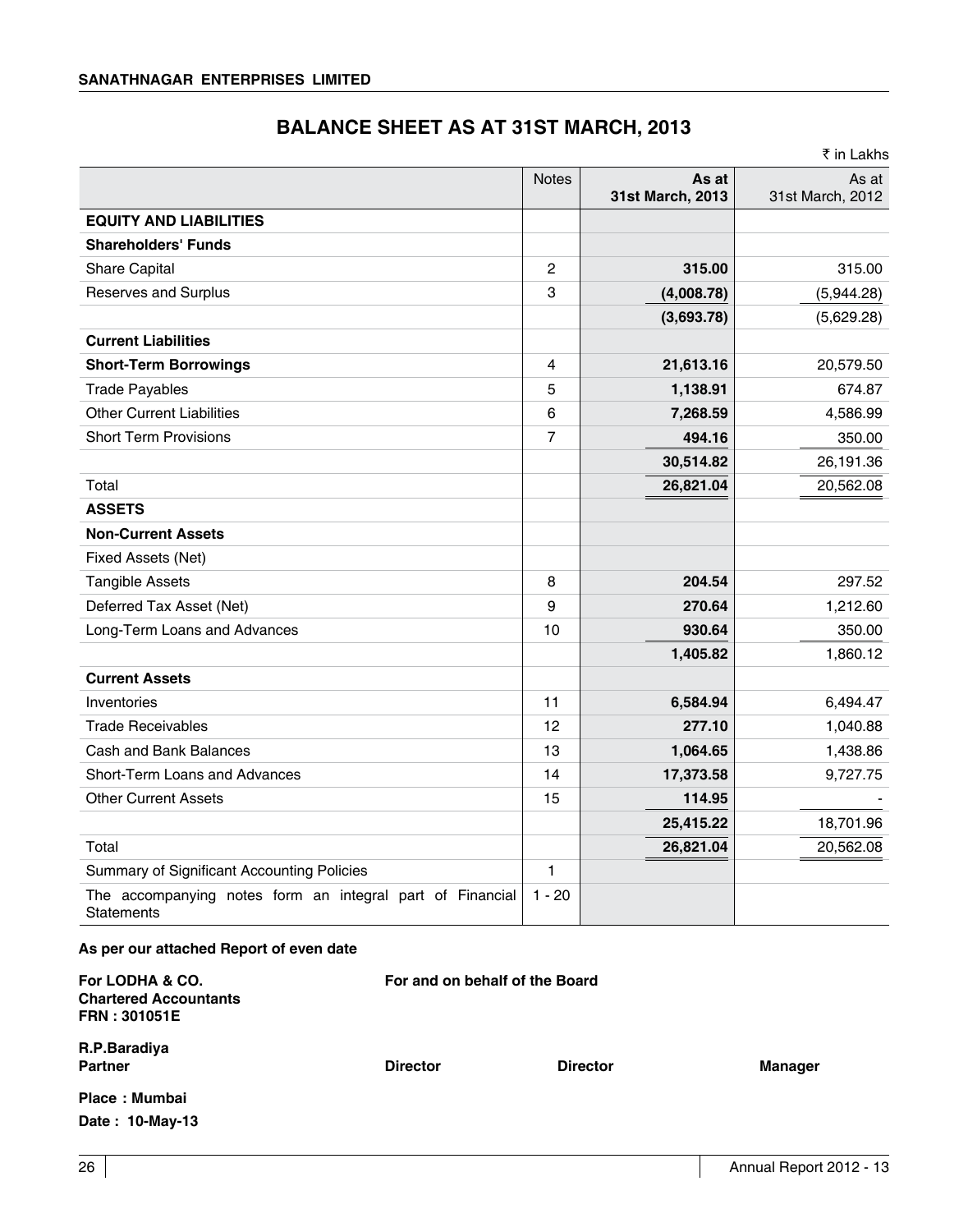# **BALANCE SHEET AS AT 31ST MARCH, 2013**

|                                                                                |              |                           | ₹ in Lakhs                |
|--------------------------------------------------------------------------------|--------------|---------------------------|---------------------------|
|                                                                                | <b>Notes</b> | As at<br>31st March, 2013 | As at<br>31st March, 2012 |
| <b>EQUITY AND LIABILITIES</b>                                                  |              |                           |                           |
| <b>Shareholders' Funds</b>                                                     |              |                           |                           |
| Share Capital                                                                  | 2            | 315.00                    | 315.00                    |
| Reserves and Surplus                                                           | 3            | (4,008.78)                | (5,944.28)                |
|                                                                                |              | (3,693.78)                | (5,629.28)                |
| <b>Current Liabilities</b>                                                     |              |                           |                           |
| <b>Short-Term Borrowings</b>                                                   | 4            | 21,613.16                 | 20,579.50                 |
| <b>Trade Payables</b>                                                          | 5            | 1,138.91                  | 674.87                    |
| <b>Other Current Liabilities</b>                                               | 6            | 7,268.59                  | 4,586.99                  |
| <b>Short Term Provisions</b>                                                   | 7            | 494.16                    | 350.00                    |
|                                                                                |              | 30,514.82                 | 26,191.36                 |
| Total                                                                          |              | 26,821.04                 | 20,562.08                 |
| <b>ASSETS</b>                                                                  |              |                           |                           |
| <b>Non-Current Assets</b>                                                      |              |                           |                           |
| Fixed Assets (Net)                                                             |              |                           |                           |
| <b>Tangible Assets</b>                                                         | 8            | 204.54                    | 297.52                    |
| Deferred Tax Asset (Net)                                                       | 9            | 270.64                    | 1,212.60                  |
| Long-Term Loans and Advances                                                   | 10           | 930.64                    | 350.00                    |
|                                                                                |              | 1,405.82                  | 1,860.12                  |
| <b>Current Assets</b>                                                          |              |                           |                           |
| Inventories                                                                    | 11           | 6,584.94                  | 6,494.47                  |
| <b>Trade Receivables</b>                                                       | 12           | 277.10                    | 1,040.88                  |
| Cash and Bank Balances                                                         | 13           | 1,064.65                  | 1,438.86                  |
| Short-Term Loans and Advances                                                  | 14           | 17,373.58                 | 9,727.75                  |
| <b>Other Current Assets</b>                                                    | 15           | 114.95                    |                           |
|                                                                                |              | 25,415.22                 | 18,701.96                 |
| Total                                                                          |              | 26,821.04                 | 20,562.08                 |
| Summary of Significant Accounting Policies                                     | $\mathbf{1}$ |                           |                           |
| The accompanying notes form an integral part of Financial<br><b>Statements</b> | $1 - 20$     |                           |                           |

### **As per our attached Report of even date**

| For LODHA & CO.<br><b>Chartered Accountants</b><br><b>FRN: 301051E</b> |                 | For and on behalf of the Board |                |  |
|------------------------------------------------------------------------|-----------------|--------------------------------|----------------|--|
| R.P.Baradiya<br><b>Partner</b>                                         | <b>Director</b> | <b>Director</b>                | <b>Manager</b> |  |
| Place: Mumbai                                                          |                 |                                |                |  |
| Date: 10-May-13                                                        |                 |                                |                |  |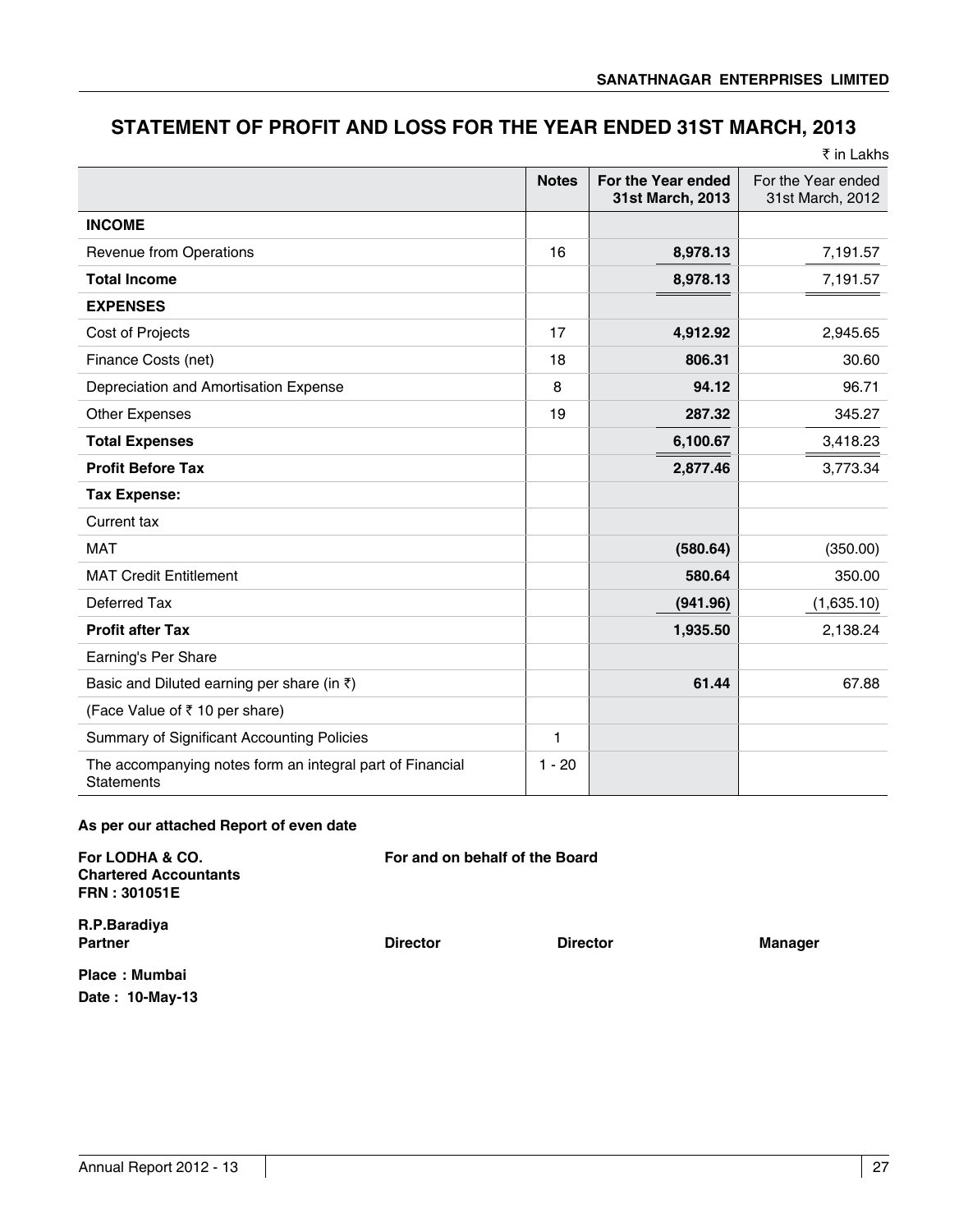# **STATEMENT OF PROFIT AND LOSS FOR THE YEAR ENDED 31ST MARCH, 2013**

|                                                                                |              |                                        | ₹ in Lakhs                             |
|--------------------------------------------------------------------------------|--------------|----------------------------------------|----------------------------------------|
|                                                                                | <b>Notes</b> | For the Year ended<br>31st March, 2013 | For the Year ended<br>31st March, 2012 |
| <b>INCOME</b>                                                                  |              |                                        |                                        |
| Revenue from Operations                                                        | 16           | 8,978.13                               | 7,191.57                               |
| <b>Total Income</b>                                                            |              | 8,978.13                               | 7,191.57                               |
| <b>EXPENSES</b>                                                                |              |                                        |                                        |
| Cost of Projects                                                               | 17           | 4,912.92                               | 2,945.65                               |
| Finance Costs (net)                                                            | 18           | 806.31                                 | 30.60                                  |
| Depreciation and Amortisation Expense                                          | 8            | 94.12                                  | 96.71                                  |
| Other Expenses                                                                 | 19           | 287.32                                 | 345.27                                 |
| <b>Total Expenses</b>                                                          |              | 6,100.67                               | 3,418.23                               |
| <b>Profit Before Tax</b>                                                       |              | 2,877.46                               | 3,773.34                               |
| <b>Tax Expense:</b>                                                            |              |                                        |                                        |
| Current tax                                                                    |              |                                        |                                        |
| <b>MAT</b>                                                                     |              | (580.64)                               | (350.00)                               |
| <b>MAT Credit Entitlement</b>                                                  |              | 580.64                                 | 350.00                                 |
| Deferred Tax                                                                   |              | (941.96)                               | (1,635.10)                             |
| <b>Profit after Tax</b>                                                        |              | 1,935.50                               | 2,138.24                               |
| Earning's Per Share                                                            |              |                                        |                                        |
| Basic and Diluted earning per share (in $\bar{z}$ )                            |              | 61.44                                  | 67.88                                  |
| (Face Value of ₹10 per share)                                                  |              |                                        |                                        |
| Summary of Significant Accounting Policies                                     | 1            |                                        |                                        |
| The accompanying notes form an integral part of Financial<br><b>Statements</b> | $1 - 20$     |                                        |                                        |

### **As per our attached Report of even date**

| <b>For LODHA &amp; CO.</b><br><b>Chartered Accountants</b><br>FRN : 301051E | For and on behalf of the Board |                 |                |
|-----------------------------------------------------------------------------|--------------------------------|-----------------|----------------|
| R.P.Baradiya                                                                |                                |                 |                |
| Partner                                                                     | <b>Director</b>                | <b>Director</b> | <b>Manager</b> |
| Place: Mumbai                                                               |                                |                 |                |
| Date: 10-May-13                                                             |                                |                 |                |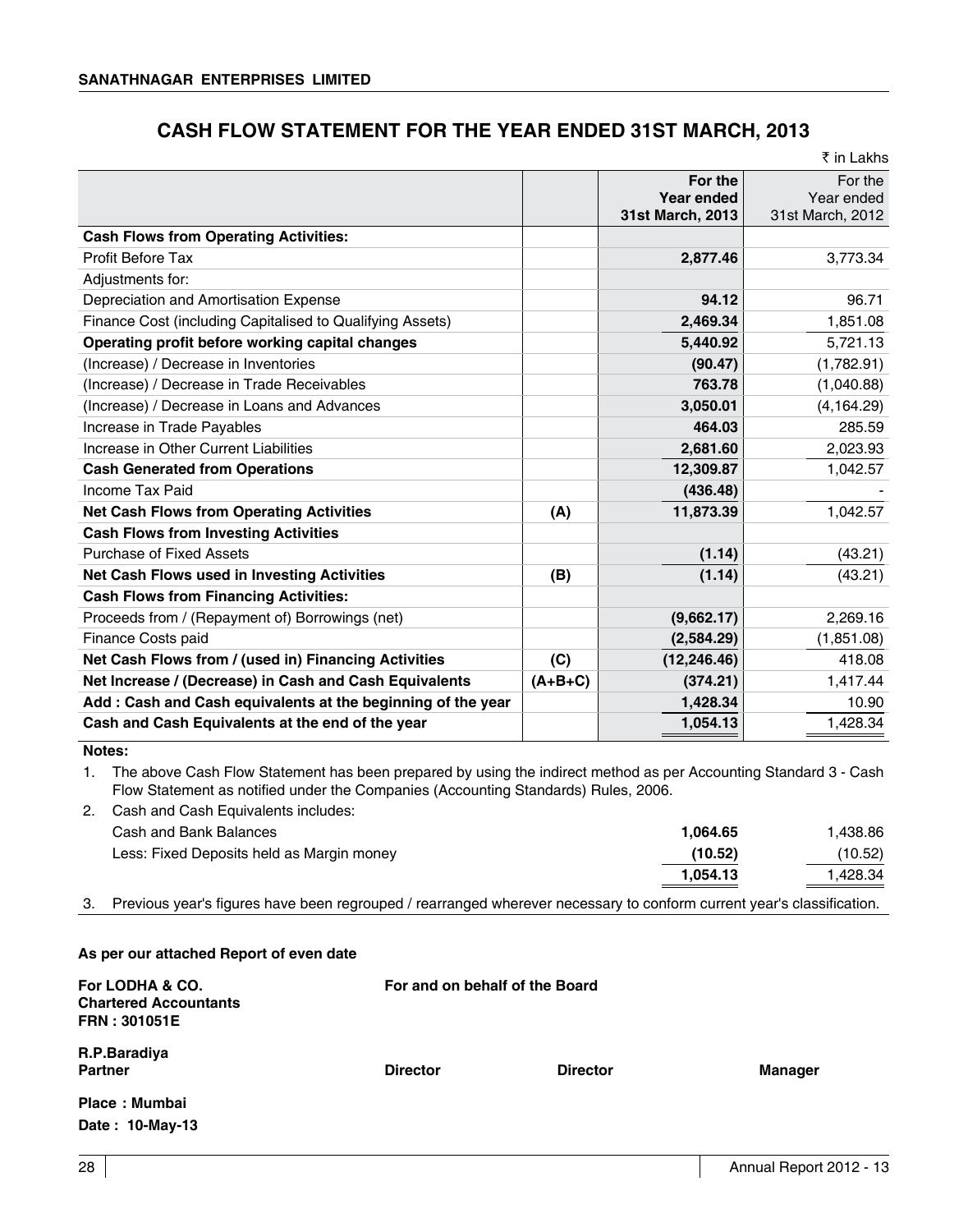# **CASH FLOW STATEMENT FOR THE YEAR ENDED 31ST MARCH, 2013**

|                                                             |           |                                           | ₹ in Lakhs                                |
|-------------------------------------------------------------|-----------|-------------------------------------------|-------------------------------------------|
|                                                             |           | For the<br>Year ended<br>31st March, 2013 | For the<br>Year ended<br>31st March, 2012 |
| <b>Cash Flows from Operating Activities:</b>                |           |                                           |                                           |
| Profit Before Tax                                           |           | 2,877.46                                  | 3,773.34                                  |
| Adjustments for:                                            |           |                                           |                                           |
| Depreciation and Amortisation Expense                       |           | 94.12                                     | 96.71                                     |
| Finance Cost (including Capitalised to Qualifying Assets)   |           | 2,469.34                                  | 1,851.08                                  |
| Operating profit before working capital changes             |           | 5,440.92                                  | 5,721.13                                  |
| (Increase) / Decrease in Inventories                        |           | (90.47)                                   | (1,782.91)                                |
| (Increase) / Decrease in Trade Receivables                  |           | 763.78                                    | (1,040.88)                                |
| (Increase) / Decrease in Loans and Advances                 |           | 3,050.01                                  | (4, 164.29)                               |
| Increase in Trade Payables                                  |           | 464.03                                    | 285.59                                    |
| Increase in Other Current Liabilities                       |           | 2,681.60                                  | 2,023.93                                  |
| <b>Cash Generated from Operations</b>                       |           | 12,309.87                                 | 1,042.57                                  |
| Income Tax Paid                                             |           | (436.48)                                  |                                           |
| <b>Net Cash Flows from Operating Activities</b>             | (A)       | 11,873.39                                 | 1,042.57                                  |
| <b>Cash Flows from Investing Activities</b>                 |           |                                           |                                           |
| Purchase of Fixed Assets                                    |           | (1.14)                                    | (43.21)                                   |
| Net Cash Flows used in Investing Activities                 | (B)       | (1.14)                                    | (43.21)                                   |
| <b>Cash Flows from Financing Activities:</b>                |           |                                           |                                           |
| Proceeds from / (Repayment of) Borrowings (net)             |           | (9,662.17)                                | 2.269.16                                  |
| Finance Costs paid                                          |           | (2,584.29)                                | (1,851.08)                                |
| Net Cash Flows from / (used in) Financing Activities        | (C)       | (12, 246.46)                              | 418.08                                    |
| Net Increase / (Decrease) in Cash and Cash Equivalents      | $(A+B+C)$ | (374.21)                                  | 1,417.44                                  |
| Add: Cash and Cash equivalents at the beginning of the year |           | 1,428.34                                  | 10.90                                     |
| Cash and Cash Equivalents at the end of the year            |           | 1,054.13                                  | 1,428.34                                  |

### **Notes:**

1. The above Cash Flow Statement has been prepared by using the indirect method as per Accounting Standard 3 - Cash Flow Statement as notified under the Companies (Accounting Standards) Rules, 2006.

2. Cash and Cash Equivalents includes:

| Cash and Bank Balances                    | 1.064.65 | l.438.86 |
|-------------------------------------------|----------|----------|
| Less: Fixed Deposits held as Margin money | (10.52)  | (10.52)  |
|                                           | 1.054.13 | l.428.34 |
|                                           |          |          |

3. Previous year's figures have been regrouped / rearranged wherever necessary to conform current year's classification.

### **As per our attached Report of even date**

| For LODHA & CO.<br><b>Chartered Accountants</b><br><b>FRN: 301051E</b> |                 | For and on behalf of the Board |                |
|------------------------------------------------------------------------|-----------------|--------------------------------|----------------|
| R.P.Baradiya<br><b>Partner</b>                                         | <b>Director</b> | <b>Director</b>                | <b>Manager</b> |
| Place: Mumbai                                                          |                 |                                |                |
| Date: 10-May-13                                                        |                 |                                |                |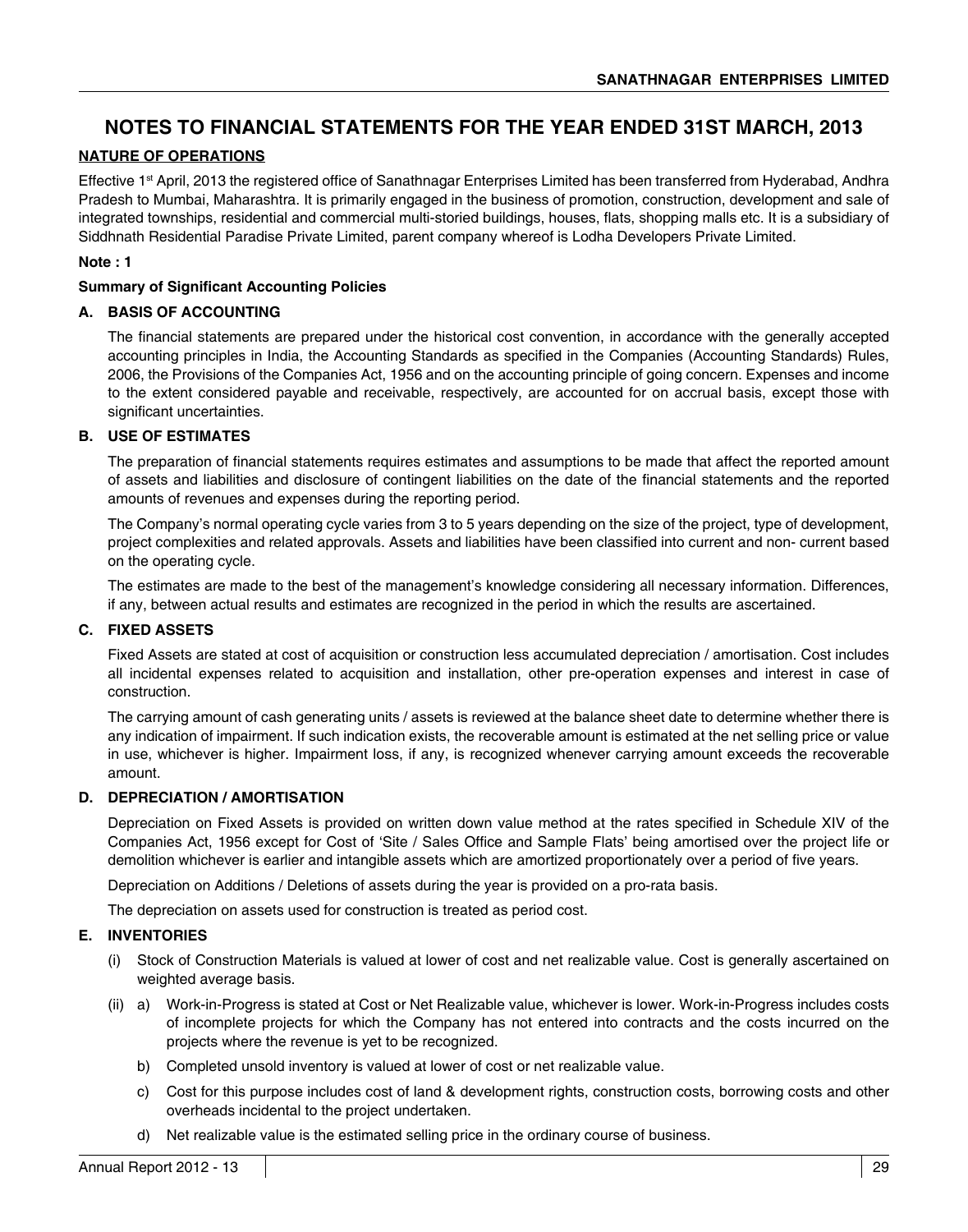# **NOTES TO FINANCIAL STATEMENTS FOR THE YEAR ENDED 31ST MARCH, 2013**

### **NATURE OF OPERATIONS**

Effective 1<sup>st</sup> April, 2013 the registered office of Sanathnagar Enterprises Limited has been transferred from Hyderabad, Andhra Pradesh to Mumbai, Maharashtra. It is primarily engaged in the business of promotion, construction, development and sale of integrated townships, residential and commercial multi-storied buildings, houses, flats, shopping malls etc. It is a subsidiary of Siddhnath Residential Paradise Private Limited, parent company whereof is Lodha Developers Private Limited.

### **Note : 1**

### **Summary of Significant Accounting Policies**

### **A. BASIS OF ACCOUNTING**

The financial statements are prepared under the historical cost convention, in accordance with the generally accepted accounting principles in India, the Accounting Standards as specified in the Companies (Accounting Standards) Rules, 2006, the Provisions of the Companies Act, 1956 and on the accounting principle of going concern. Expenses and income to the extent considered payable and receivable, respectively, are accounted for on accrual basis, except those with significant uncertainties.

### **B. USE OF ESTIMATES**

The preparation of financial statements requires estimates and assumptions to be made that affect the reported amount of assets and liabilities and disclosure of contingent liabilities on the date of the financial statements and the reported amounts of revenues and expenses during the reporting period.

The Company's normal operating cycle varies from 3 to 5 years depending on the size of the project, type of development, project complexities and related approvals. Assets and liabilities have been classified into current and non- current based on the operating cycle.

The estimates are made to the best of the management's knowledge considering all necessary information. Differences, if any, between actual results and estimates are recognized in the period in which the results are ascertained.

### **C. FIXED ASSETS**

Fixed Assets are stated at cost of acquisition or construction less accumulated depreciation / amortisation. Cost includes all incidental expenses related to acquisition and installation, other pre-operation expenses and interest in case of construction.

The carrying amount of cash generating units / assets is reviewed at the balance sheet date to determine whether there is any indication of impairment. If such indication exists, the recoverable amount is estimated at the net selling price or value in use, whichever is higher. Impairment loss, if any, is recognized whenever carrying amount exceeds the recoverable amount.

### **D. DEPRECIATION / AMORTISATION**

Depreciation on Fixed Assets is provided on written down value method at the rates specified in Schedule XIV of the Companies Act, 1956 except for Cost of 'Site / Sales Office and Sample Flats' being amortised over the project life or demolition whichever is earlier and intangible assets which are amortized proportionately over a period of five years.

Depreciation on Additions / Deletions of assets during the year is provided on a pro-rata basis.

The depreciation on assets used for construction is treated as period cost.

### **E. INVENTORIES**

- (i) Stock of Construction Materials is valued at lower of cost and net realizable value. Cost is generally ascertained on weighted average basis.
- (ii) a) Work-in-Progress is stated at Cost or Net Realizable value, whichever is lower. Work-in-Progress includes costs of incomplete projects for which the Company has not entered into contracts and the costs incurred on the projects where the revenue is yet to be recognized.
	- b) Completed unsold inventory is valued at lower of cost or net realizable value.
	- c) Cost for this purpose includes cost of land & development rights, construction costs, borrowing costs and other overheads incidental to the project undertaken.
	- d) Net realizable value is the estimated selling price in the ordinary course of business.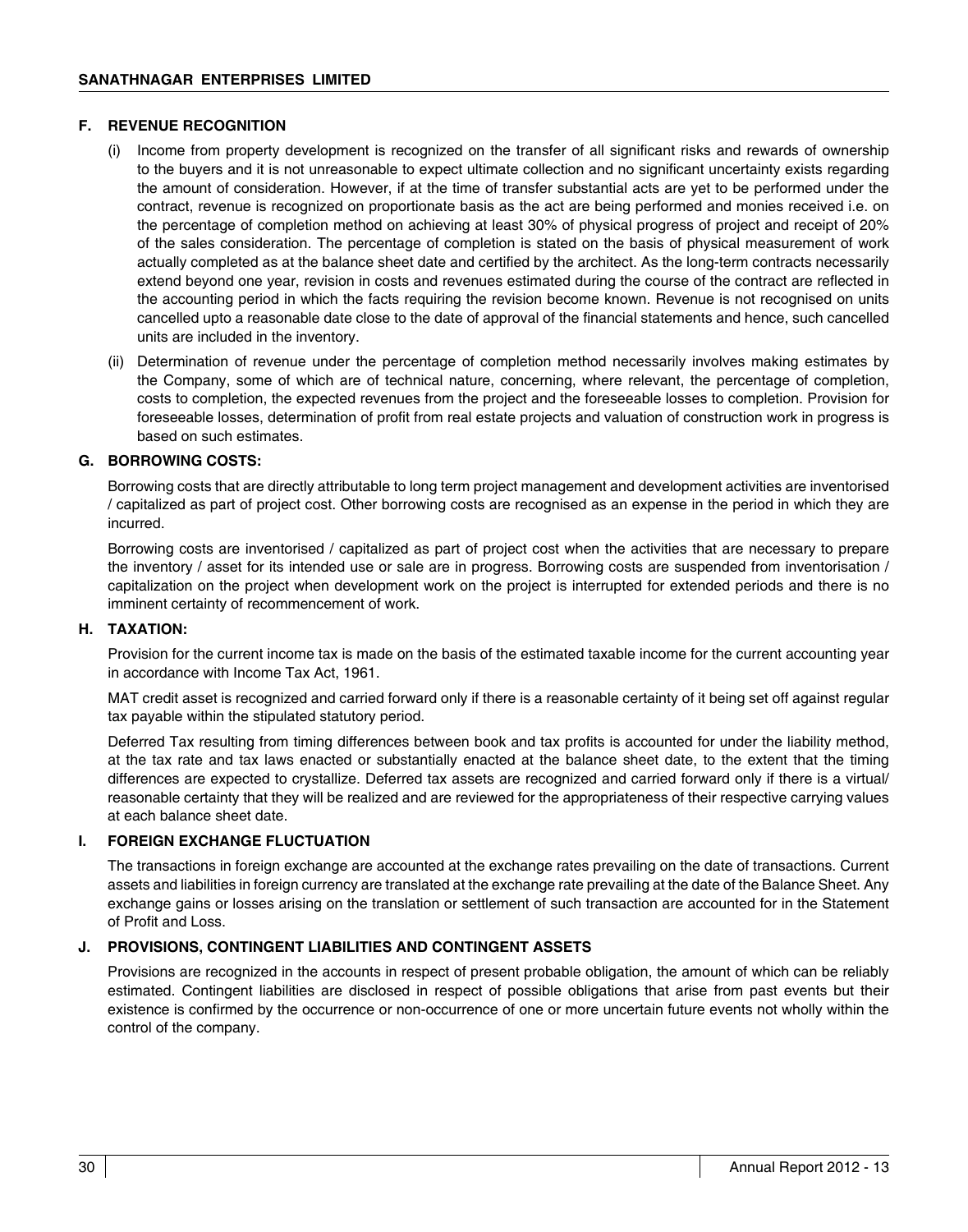### **F. REVENUE RECOGNITION**

- (i) Income from property development is recognized on the transfer of all significant risks and rewards of ownership to the buyers and it is not unreasonable to expect ultimate collection and no significant uncertainty exists regarding the amount of consideration. However, if at the time of transfer substantial acts are yet to be performed under the contract, revenue is recognized on proportionate basis as the act are being performed and monies received i.e. on the percentage of completion method on achieving at least 30% of physical progress of project and receipt of 20% of the sales consideration. The percentage of completion is stated on the basis of physical measurement of work actually completed as at the balance sheet date and certified by the architect. As the long-term contracts necessarily extend beyond one year, revision in costs and revenues estimated during the course of the contract are reflected in the accounting period in which the facts requiring the revision become known. Revenue is not recognised on units cancelled upto a reasonable date close to the date of approval of the financial statements and hence, such cancelled units are included in the inventory.
- (ii) Determination of revenue under the percentage of completion method necessarily involves making estimates by the Company, some of which are of technical nature, concerning, where relevant, the percentage of completion, costs to completion, the expected revenues from the project and the foreseeable losses to completion. Provision for foreseeable losses, determination of profit from real estate projects and valuation of construction work in progress is based on such estimates.

### **G. BORROWING COSTS:**

Borrowing costs that are directly attributable to long term project management and development activities are inventorised / capitalized as part of project cost. Other borrowing costs are recognised as an expense in the period in which they are incurred.

Borrowing costs are inventorised / capitalized as part of project cost when the activities that are necessary to prepare the inventory / asset for its intended use or sale are in progress. Borrowing costs are suspended from inventorisation / capitalization on the project when development work on the project is interrupted for extended periods and there is no imminent certainty of recommencement of work.

### **H. TAXATION:**

Provision for the current income tax is made on the basis of the estimated taxable income for the current accounting year in accordance with Income Tax Act, 1961.

MAT credit asset is recognized and carried forward only if there is a reasonable certainty of it being set off against regular tax payable within the stipulated statutory period.

Deferred Tax resulting from timing differences between book and tax profits is accounted for under the liability method, at the tax rate and tax laws enacted or substantially enacted at the balance sheet date, to the extent that the timing differences are expected to crystallize. Deferred tax assets are recognized and carried forward only if there is a virtual/ reasonable certainty that they will be realized and are reviewed for the appropriateness of their respective carrying values at each balance sheet date.

### **I. FOREIGN EXCHANGE FLUCTUATION**

The transactions in foreign exchange are accounted at the exchange rates prevailing on the date of transactions. Current assets and liabilities in foreign currency are translated at the exchange rate prevailing at the date of the Balance Sheet. Any exchange gains or losses arising on the translation or settlement of such transaction are accounted for in the Statement of Profit and Loss.

### **J. PROVISIONS, CONTINGENT LIABILITIES AND CONTINGENT ASSETS**

Provisions are recognized in the accounts in respect of present probable obligation, the amount of which can be reliably estimated. Contingent liabilities are disclosed in respect of possible obligations that arise from past events but their existence is confirmed by the occurrence or non-occurrence of one or more uncertain future events not wholly within the control of the company.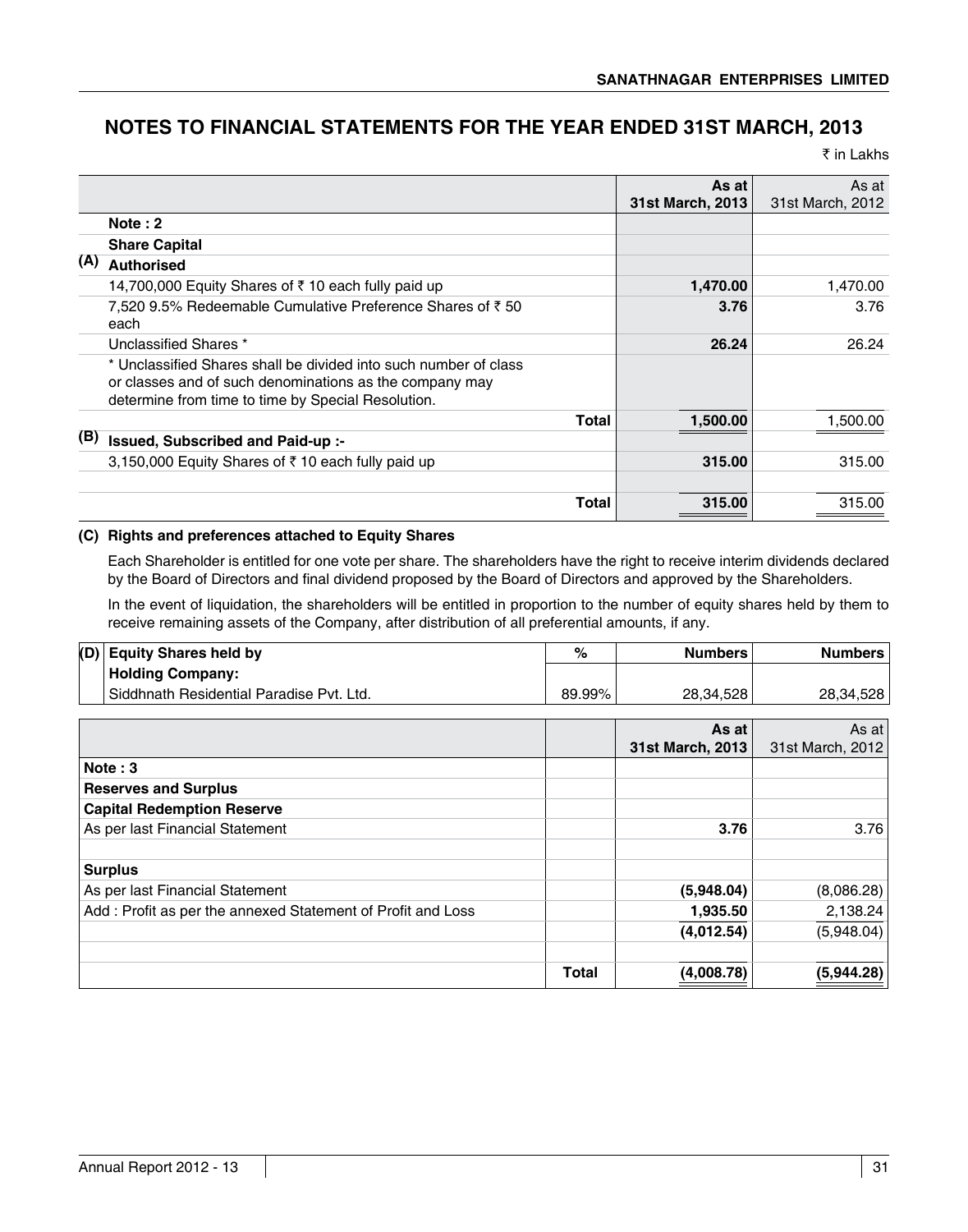# **NOTES TO FINANCIAL STATEMENTS FOR THE YEAR ENDED 31ST MARCH, 2013**

₹ in Lakhs

|     |                                                                                                                                                                                   | As at<br>31st March, 2013 | As at<br>31st March, 2012 |
|-----|-----------------------------------------------------------------------------------------------------------------------------------------------------------------------------------|---------------------------|---------------------------|
|     | Note $: 2$                                                                                                                                                                        |                           |                           |
|     | <b>Share Capital</b>                                                                                                                                                              |                           |                           |
| (A) | <b>Authorised</b>                                                                                                                                                                 |                           |                           |
|     | 14,700,000 Equity Shares of ₹10 each fully paid up                                                                                                                                | 1,470.00                  | 1,470.00                  |
|     | 7,520 9.5% Redeemable Cumulative Preference Shares of ₹50<br>each                                                                                                                 | 3.76                      | 3.76                      |
|     | Unclassified Shares *                                                                                                                                                             | 26.24                     | 26.24                     |
|     | * Unclassified Shares shall be divided into such number of class<br>or classes and of such denominations as the company may<br>determine from time to time by Special Resolution. |                           |                           |
|     | <b>Total</b>                                                                                                                                                                      | 1,500.00                  | 1,500.00                  |
| (B) | Issued, Subscribed and Paid-up :-                                                                                                                                                 |                           |                           |
|     | 3,150,000 Equity Shares of ₹10 each fully paid up                                                                                                                                 | 315.00                    | 315.00                    |
|     | Total                                                                                                                                                                             | 315.00                    | 315.00                    |

### **(C) Rights and preferences attached to Equity Shares**

Each Shareholder is entitled for one vote per share. The shareholders have the right to receive interim dividends declared by the Board of Directors and final dividend proposed by the Board of Directors and approved by the Shareholders.

In the event of liquidation, the shareholders will be entitled in proportion to the number of equity shares held by them to receive remaining assets of the Company, after distribution of all preferential amounts, if any.

| (D) | <b>Equity Shares held by</b>                                | $\%$         | <b>Numbers</b>   | <b>Numbers</b>   |
|-----|-------------------------------------------------------------|--------------|------------------|------------------|
|     | <b>Holding Company:</b>                                     |              |                  |                  |
|     | Siddhnath Residential Paradise Pvt. Ltd.                    | 89.99%       | 28,34,528        | 28,34,528        |
|     |                                                             |              |                  |                  |
|     |                                                             |              | As at            | As at            |
|     |                                                             |              | 31st March, 2013 | 31st March, 2012 |
|     | Note: $3$                                                   |              |                  |                  |
|     | <b>Reserves and Surplus</b>                                 |              |                  |                  |
|     | <b>Capital Redemption Reserve</b>                           |              |                  |                  |
|     | As per last Financial Statement                             |              | 3.76             | 3.76             |
|     | <b>Surplus</b>                                              |              |                  |                  |
|     | As per last Financial Statement                             |              | (5,948.04)       | (8,086.28)       |
|     | Add: Profit as per the annexed Statement of Profit and Loss |              | 1,935.50         | 2,138.24         |
|     |                                                             |              | (4,012.54)       | (5,948.04)       |
|     |                                                             | <b>Total</b> | (4,008.78)       | (5,944.28)       |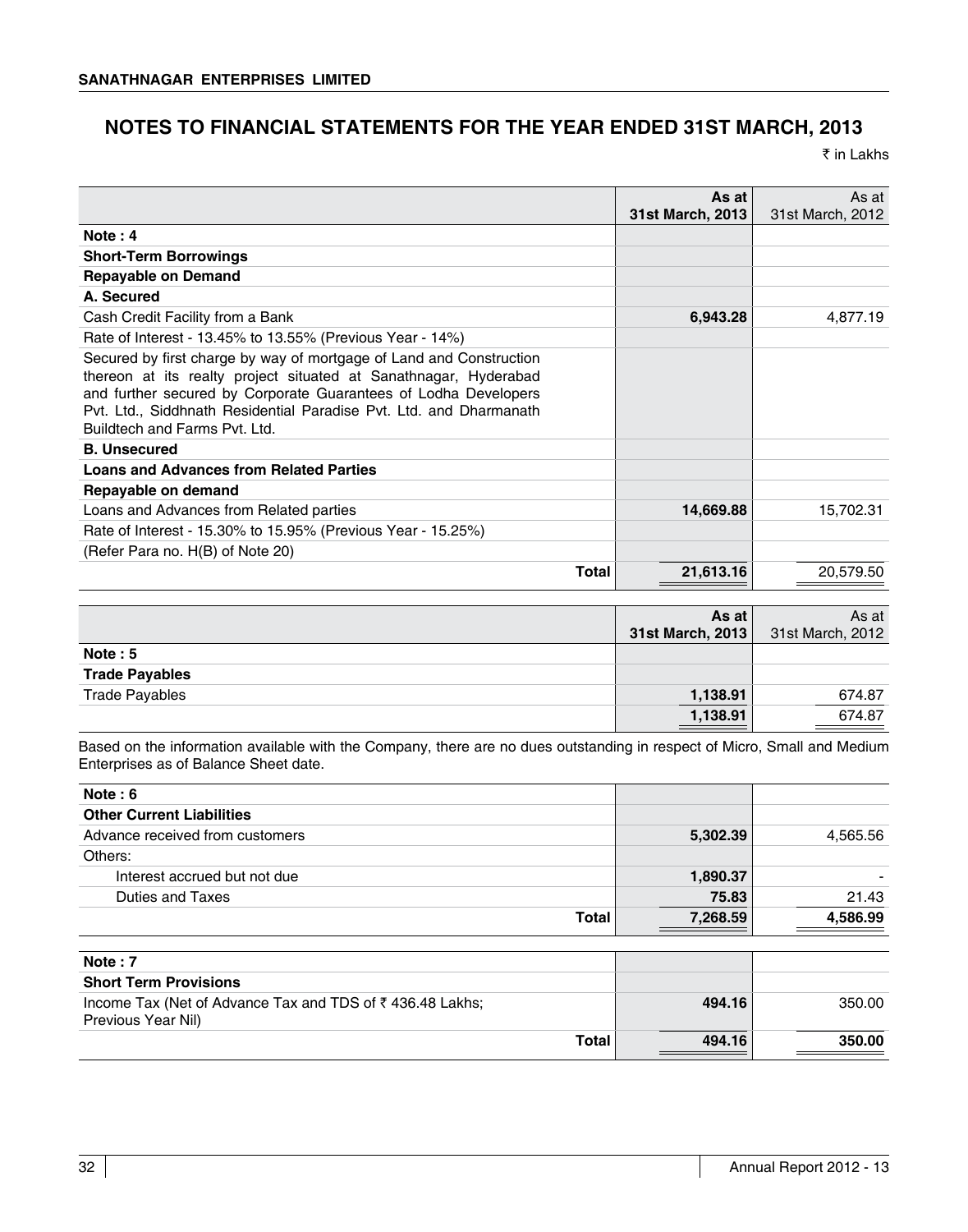# **NOTES TO FINANCIAL STATEMENTS FOR THE YEAR ENDED 31ST MARCH, 2013**

₹ in Lakhs

|                                                                                                                                                                                                                                                                                                                   | As at<br>31st March, 2013 | As at<br>31st March, 2012 |
|-------------------------------------------------------------------------------------------------------------------------------------------------------------------------------------------------------------------------------------------------------------------------------------------------------------------|---------------------------|---------------------------|
| Note: $4$                                                                                                                                                                                                                                                                                                         |                           |                           |
| <b>Short-Term Borrowings</b>                                                                                                                                                                                                                                                                                      |                           |                           |
| <b>Repayable on Demand</b>                                                                                                                                                                                                                                                                                        |                           |                           |
| A. Secured                                                                                                                                                                                                                                                                                                        |                           |                           |
| Cash Credit Facility from a Bank                                                                                                                                                                                                                                                                                  | 6,943.28                  | 4,877.19                  |
| Rate of Interest - 13.45% to 13.55% (Previous Year - 14%)                                                                                                                                                                                                                                                         |                           |                           |
| Secured by first charge by way of mortgage of Land and Construction<br>thereon at its realty project situated at Sanathnagar, Hyderabad<br>and further secured by Corporate Guarantees of Lodha Developers<br>Pyt. Ltd., Siddhnath Residential Paradise Pyt. Ltd. and Dharmanath<br>Buildtech and Farms Pvt. Ltd. |                           |                           |
| <b>B.</b> Unsecured                                                                                                                                                                                                                                                                                               |                           |                           |
| <b>Loans and Advances from Related Parties</b>                                                                                                                                                                                                                                                                    |                           |                           |
| Repayable on demand                                                                                                                                                                                                                                                                                               |                           |                           |
| Loans and Advances from Related parties                                                                                                                                                                                                                                                                           | 14,669.88                 | 15,702.31                 |
| Rate of Interest - 15.30% to 15.95% (Previous Year - 15.25%)                                                                                                                                                                                                                                                      |                           |                           |
| (Refer Para no. H(B) of Note 20)                                                                                                                                                                                                                                                                                  |                           |                           |
| Total                                                                                                                                                                                                                                                                                                             | 21,613.16                 | 20,579.50                 |

|                       | As at l<br>31st March, 2013 | As at<br>31st March, 2012                   |
|-----------------------|-----------------------------|---------------------------------------------|
| Note: 5               |                             |                                             |
| <b>Trade Payables</b> |                             |                                             |
| <b>Trade Payables</b> | 1,138.91                    | 674.87                                      |
|                       | 1,138.91                    | 674.87<br>the control of the control of the |

Based on the information available with the Company, there are no dues outstanding in respect of Micro, Small and Medium Enterprises as of Balance Sheet date.

| Note: $6$                                                                      |          |          |
|--------------------------------------------------------------------------------|----------|----------|
| <b>Other Current Liabilities</b>                                               |          |          |
| Advance received from customers                                                | 5,302.39 | 4,565.56 |
| Others:                                                                        |          |          |
| Interest accrued but not due                                                   | 1,890.37 |          |
| <b>Duties and Taxes</b>                                                        | 75.83    | 21.43    |
| <b>Total</b>                                                                   | 7,268.59 | 4,586.99 |
| Note: $7$                                                                      |          |          |
| <b>Short Term Provisions</b>                                                   |          |          |
| Income Tax (Net of Advance Tax and TDS of ₹436.48 Lakhs;<br>Previous Year Nil) | 494.16   | 350.00   |
| Total                                                                          | 494.16   | 350.00   |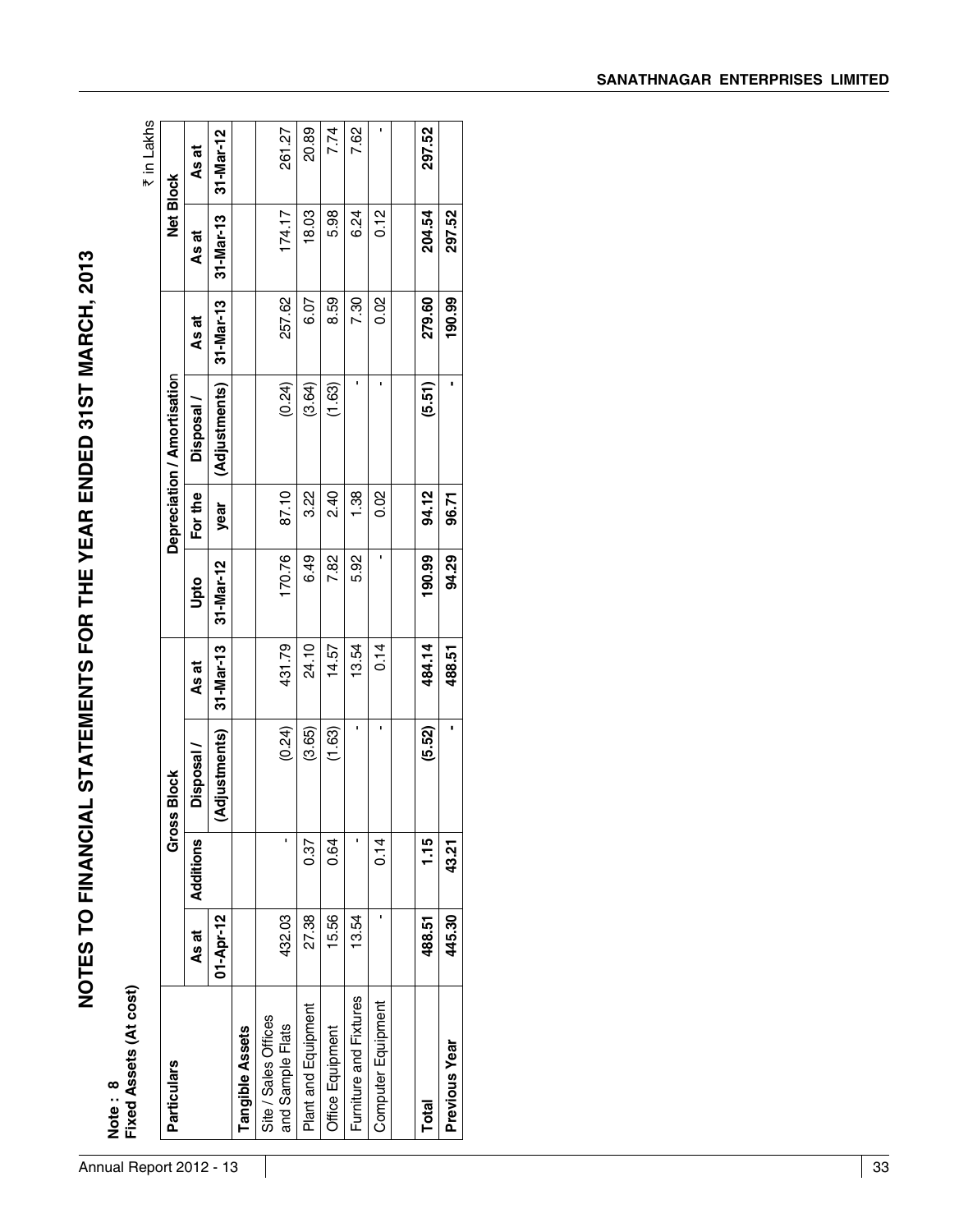# Annual Report 2012 - 13 33 **NOTES TO FINANCIAL STATEMENTS FOR THE YEAR ENDED 31ST MARCH, 2013 Note : 8 Fixed Assets (At cost)** ` in Lakhs **Particulars Gross Block Depreciation / Amortisatio**n **Net Block As at Additions Disposal / As at Upto For the Disposal / As at As at As at 01-Apr-12 (Adjustments) 31-Mar-13 31-Mar-12 year (Adjustments) 31-Mar-13 31-Mar-13 31-Mar-12 Tangible Assets** Site / Sales Offices and Sample Flats 432.03 - (0.24) 431.79 170.76 87.10 (0.24) 257.62 174.17 261.27 Plant and Equipment 27.38 0.37 (3.65) 24.10 6.49 3.22 (3.64) 6.07 18.03 20.89 Office Equipment 15.56 0.64 (1.63) 14.57 7.82 2.40 (1.63) 8.59 5.98 7.74 Furniture and Fixtures 13.54 - - 13.54 5.92 1.38 - 7.30 6.24 7.62 Computer Equipment - 0.14 - 0.14 - 0.02 - 0.02 0.12 - **Total 488.51 1.15 (5.52) 484.14 190.99 94.12 (5.51) 279.60 204.54 297.52 Previous Year 445.30 43.21 - 488.51 94.29 96.71 - 190.99 297.52**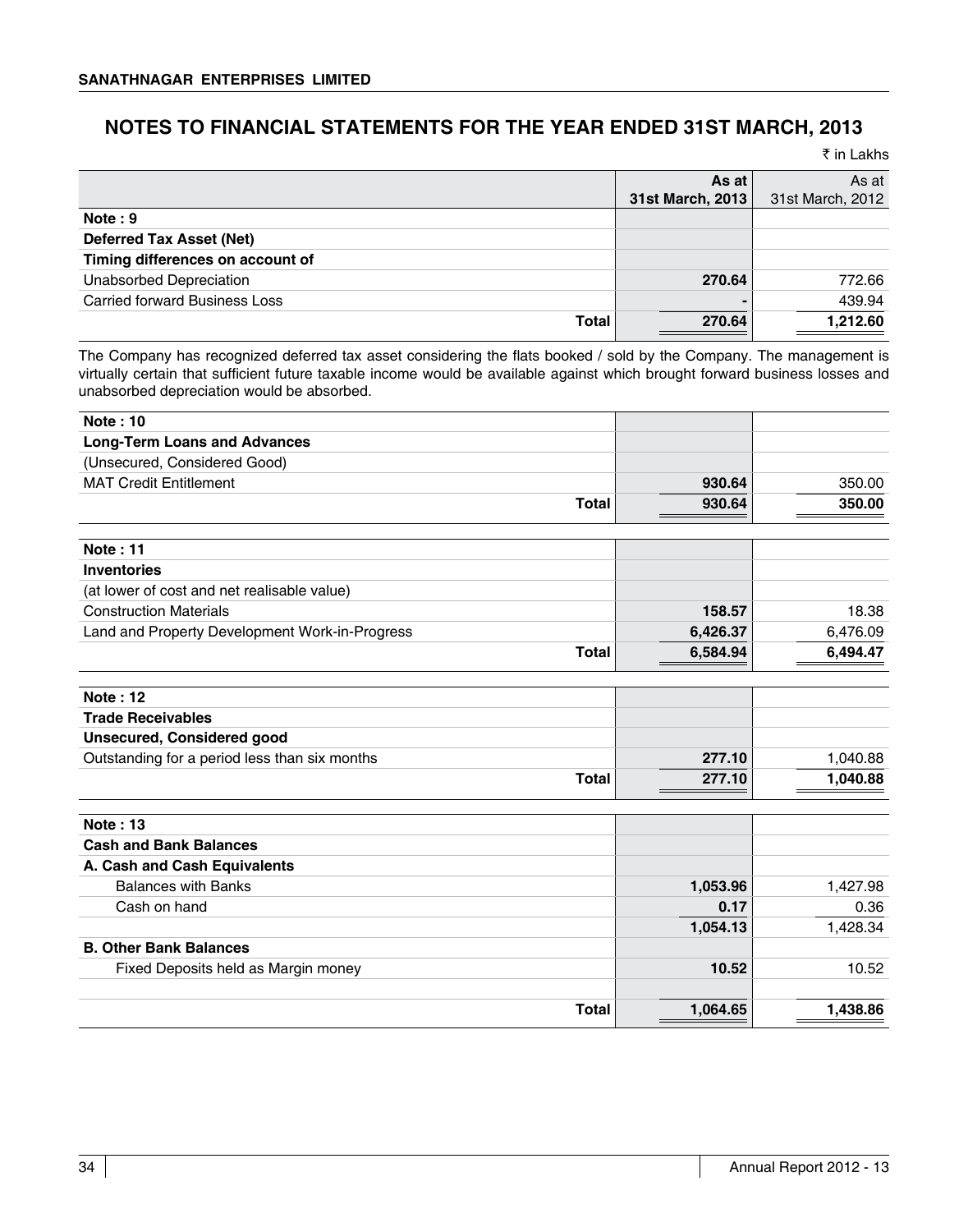# **NOTES TO FINANCIAL STATEMENTS FOR THE YEAR ENDED 31ST MARCH, 2013**

₹ in Lakhs

|                                      | As at<br>31st March, 2013 | As at<br>31st March, 2012 |
|--------------------------------------|---------------------------|---------------------------|
| Note: 9                              |                           |                           |
| <b>Deferred Tax Asset (Net)</b>      |                           |                           |
| Timing differences on account of     |                           |                           |
| <b>Unabsorbed Depreciation</b>       | 270.64                    | 772.66                    |
| <b>Carried forward Business Loss</b> |                           | 439.94                    |
| Total                                | 270.64                    | 1,212.60                  |

The Company has recognized deferred tax asset considering the flats booked / sold by the Company. The management is virtually certain that sufficient future taxable income would be available against which brought forward business losses and unabsorbed depreciation would be absorbed.

| <b>Note: 10</b>                                |          |          |
|------------------------------------------------|----------|----------|
| <b>Long-Term Loans and Advances</b>            |          |          |
| (Unsecured, Considered Good)                   |          |          |
| <b>MAT Credit Entitlement</b>                  | 930.64   | 350.00   |
| <b>Total</b>                                   | 930.64   | 350.00   |
| <b>Note: 11</b>                                |          |          |
| <b>Inventories</b>                             |          |          |
| (at lower of cost and net realisable value)    |          |          |
| <b>Construction Materials</b>                  | 158.57   | 18.38    |
| Land and Property Development Work-in-Progress | 6,426.37 | 6,476.09 |
| <b>Total</b>                                   | 6,584.94 | 6,494.47 |
| Note: 12                                       |          |          |
| <b>Trade Receivables</b>                       |          |          |
| <b>Unsecured, Considered good</b>              |          |          |
| Outstanding for a period less than six months  | 277.10   | 1,040.88 |
| <b>Total</b>                                   | 277.10   | 1,040.88 |
| <b>Note: 13</b>                                |          |          |
| <b>Cash and Bank Balances</b>                  |          |          |
| A. Cash and Cash Equivalents                   |          |          |
| <b>Balances with Banks</b>                     | 1,053.96 | 1,427.98 |
| Cash on hand                                   | 0.17     | 0.36     |
|                                                | 1,054.13 | 1,428.34 |
| <b>B. Other Bank Balances</b>                  |          |          |
| Fixed Deposits held as Margin money            | 10.52    | 10.52    |
| <b>Total</b>                                   | 1,064.65 | 1,438.86 |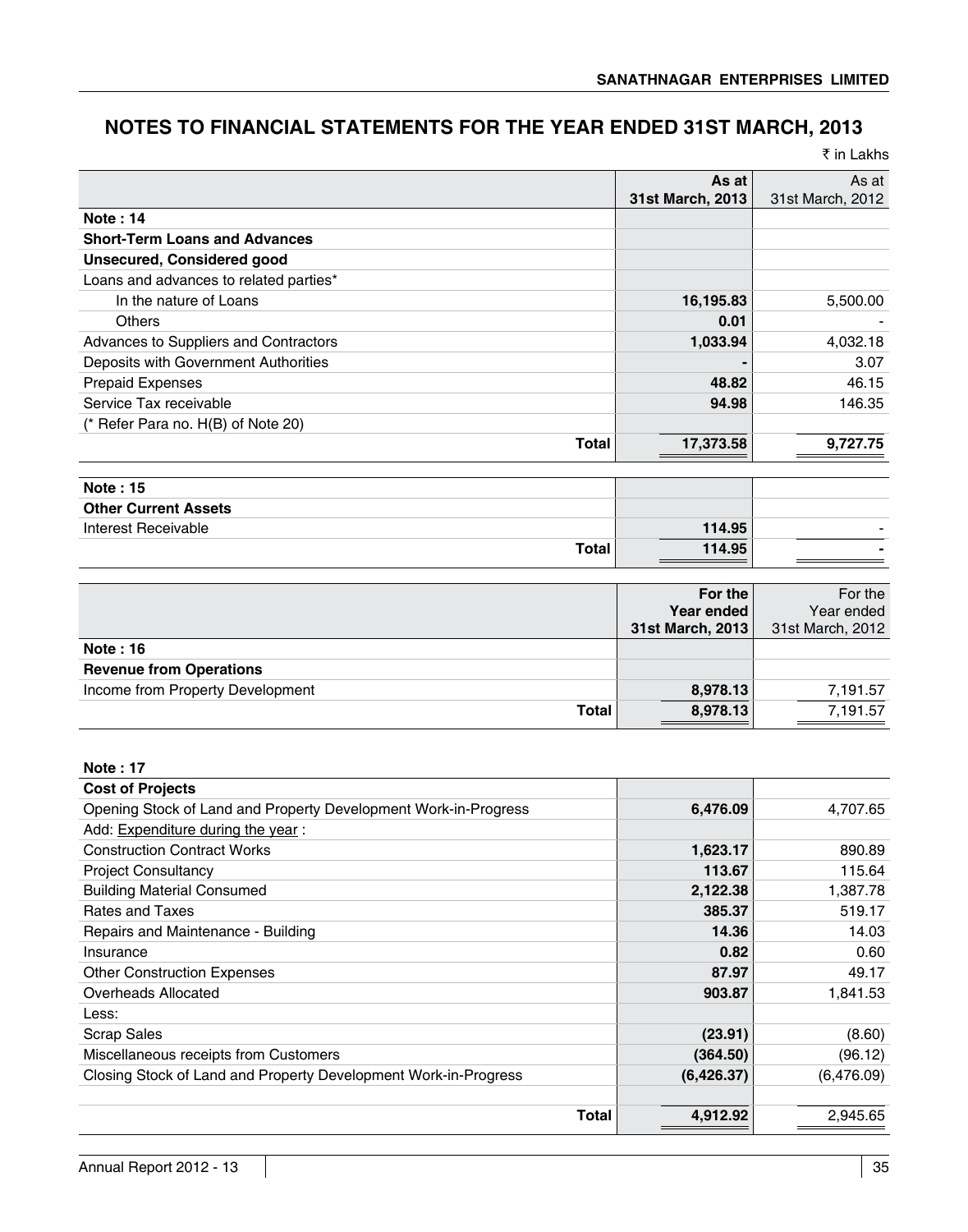# **NOTES TO FINANCIAL STATEMENTS FOR THE YEAR ENDED 31ST MARCH, 2013**

|  | ₹ in Lakhs |
|--|------------|
|  |            |

|                                                                 | As at<br>31st March, 2013 | As at<br>31st March, 2012 |
|-----------------------------------------------------------------|---------------------------|---------------------------|
| <b>Note: 14</b>                                                 |                           |                           |
| <b>Short-Term Loans and Advances</b>                            |                           |                           |
| <b>Unsecured, Considered good</b>                               |                           |                           |
| Loans and advances to related parties*                          |                           |                           |
| In the nature of Loans                                          | 16,195.83                 | 5,500.00                  |
| <b>Others</b>                                                   | 0.01                      |                           |
| Advances to Suppliers and Contractors                           | 1,033.94                  | 4,032.18                  |
| Deposits with Government Authorities                            |                           | 3.07                      |
| <b>Prepaid Expenses</b>                                         | 48.82                     | 46.15                     |
| Service Tax receivable                                          | 94.98                     | 146.35                    |
| (* Refer Para no. H(B) of Note 20)                              |                           |                           |
| <b>Total</b>                                                    | 17,373.58                 | 9,727.75                  |
| <b>Note: 15</b>                                                 |                           |                           |
| <b>Other Current Assets</b>                                     |                           |                           |
| Interest Receivable                                             | 114.95                    |                           |
| <b>Total</b>                                                    | 114.95                    |                           |
|                                                                 |                           |                           |
|                                                                 | For the                   | For the                   |
|                                                                 | Year ended                | Year ended                |
|                                                                 | 31st March, 2013          | 31st March, 2012          |
| <b>Note: 16</b>                                                 |                           |                           |
| <b>Revenue from Operations</b>                                  |                           |                           |
| Income from Property Development                                | 8,978.13                  | 7,191.57                  |
| <b>Total</b>                                                    | 8,978.13                  | 7,191.57                  |
|                                                                 |                           |                           |
| <b>Note: 17</b>                                                 |                           |                           |
| <b>Cost of Projects</b>                                         |                           |                           |
| Opening Stock of Land and Property Development Work-in-Progress | 6,476.09                  | 4,707.65                  |
| Add: Expenditure during the year:                               |                           |                           |
| <b>Construction Contract Works</b>                              | 1,623.17                  | 890.89                    |
| <b>Project Consultancy</b>                                      | 113.67                    | 115.64                    |
| <b>Building Material Consumed</b>                               | 2,122.38                  | 1,387.78                  |
| Rates and Taxes                                                 | 385.37                    | 519.17                    |
| Repairs and Maintenance - Building                              | 14.36                     | 14.03                     |
| Insurance                                                       | 0.82                      | 0.60                      |
| <b>Other Construction Expenses</b>                              | 87.97                     | 49.17                     |
| <b>Overheads Allocated</b>                                      | 903.87                    | 1,841.53                  |
| Less:                                                           |                           |                           |
| <b>Scrap Sales</b>                                              | (23.91)                   | (8.60)                    |
| Miscellaneous receipts from Customers                           | (364.50)                  | (96.12)                   |
| Closing Stock of Land and Property Development Work-in-Progress | (6,426.37)                | (6,476.09)                |
|                                                                 |                           |                           |

**Total 4,912.92** 2,945.65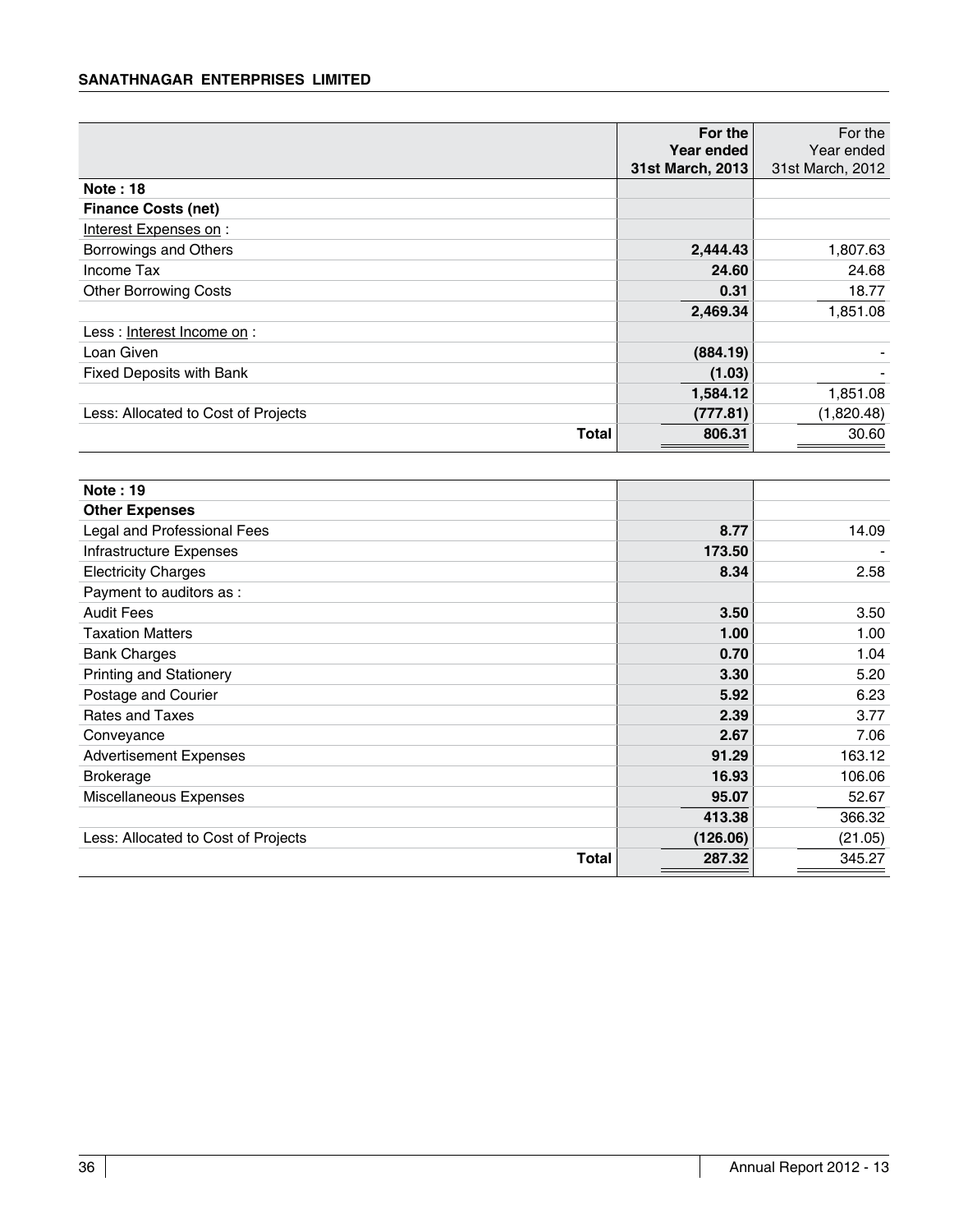### **Sanathnagar Enterprises Limited**

|                                     | For the<br>Year ended | For the<br>Year ended |
|-------------------------------------|-----------------------|-----------------------|
|                                     | 31st March, 2013      | 31st March, 2012      |
| <b>Note: 18</b>                     |                       |                       |
| <b>Finance Costs (net)</b>          |                       |                       |
| Interest Expenses on:               |                       |                       |
| Borrowings and Others               | 2,444.43              | 1,807.63              |
| Income Tax                          | 24.60                 | 24.68                 |
| <b>Other Borrowing Costs</b>        | 0.31                  | 18.77                 |
|                                     | 2,469.34              | 1,851.08              |
| Less: Interest Income on :          |                       |                       |
| Loan Given                          | (884.19)              |                       |
| <b>Fixed Deposits with Bank</b>     | (1.03)                |                       |
|                                     | 1,584.12              | 1,851.08              |
| Less: Allocated to Cost of Projects | (777.81)              | (1,820.48)            |
| Total                               | 806.31                | 30.60                 |

| <b>Note: 19</b>                     |          |         |
|-------------------------------------|----------|---------|
| <b>Other Expenses</b>               |          |         |
| Legal and Professional Fees         | 8.77     | 14.09   |
| Infrastructure Expenses             | 173.50   |         |
| <b>Electricity Charges</b>          | 8.34     | 2.58    |
| Payment to auditors as :            |          |         |
| <b>Audit Fees</b>                   | 3.50     | 3.50    |
| <b>Taxation Matters</b>             | 1.00     | 1.00    |
| <b>Bank Charges</b>                 | 0.70     | 1.04    |
| <b>Printing and Stationery</b>      | 3.30     | 5.20    |
| Postage and Courier                 | 5.92     | 6.23    |
| Rates and Taxes                     | 2.39     | 3.77    |
| Conveyance                          | 2.67     | 7.06    |
| <b>Advertisement Expenses</b>       | 91.29    | 163.12  |
| <b>Brokerage</b>                    | 16.93    | 106.06  |
| Miscellaneous Expenses              | 95.07    | 52.67   |
|                                     | 413.38   | 366.32  |
| Less: Allocated to Cost of Projects | (126.06) | (21.05) |
| Total                               | 287.32   | 345.27  |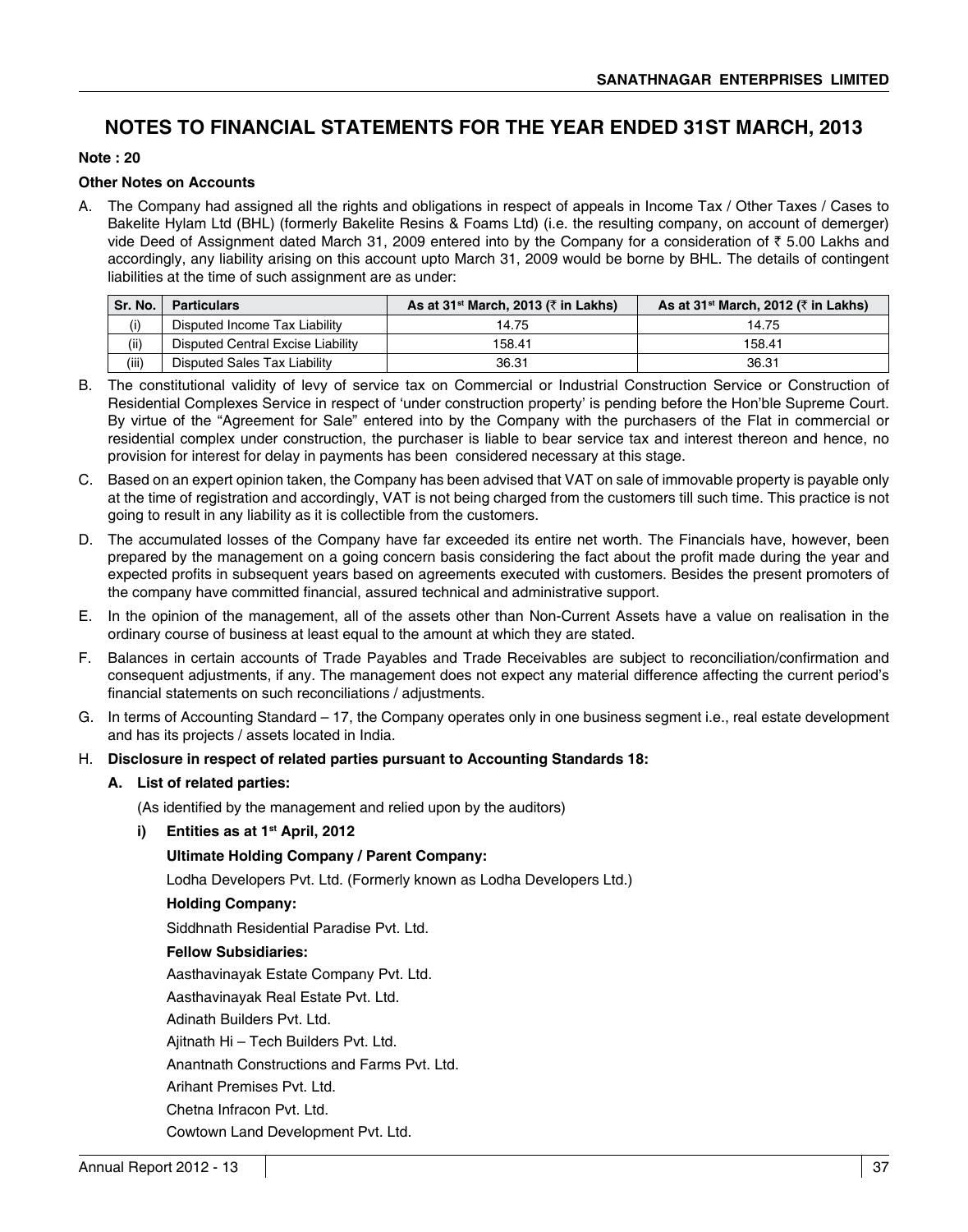# **NOTES TO FINANCIAL STATEMENTS FOR THE YEAR ENDED 31ST MARCH, 2013**

### **Note : 20**

### **Other Notes on Accounts**

A. The Company had assigned all the rights and obligations in respect of appeals in Income Tax / Other Taxes / Cases to Bakelite Hylam Ltd (BHL) (formerly Bakelite Resins & Foams Ltd) (i.e. the resulting company, on account of demerger) vide Deed of Assignment dated March 31, 2009 entered into by the Company for a consideration of  $\bar{\tau}$  5.00 Lakhs and accordingly, any liability arising on this account upto March 31, 2009 would be borne by BHL. The details of contingent liabilities at the time of such assignment are as under:

| Sr. No. | <b>Particulars</b>                | As at 31 <sup>st</sup> March, 2013 ( $\bar{\tau}$ in Lakhs) | As at 31 <sup>st</sup> March, 2012 ( $\bar{\tau}$ in Lakhs) |
|---------|-----------------------------------|-------------------------------------------------------------|-------------------------------------------------------------|
| (i)     | Disputed Income Tax Liability     | 14.75                                                       | 14.75                                                       |
| (ii)    | Disputed Central Excise Liability | 158.41                                                      | 158.41                                                      |
| (iii)   | Disputed Sales Tax Liability      | 36.31                                                       | 36.31                                                       |

- B. The constitutional validity of levy of service tax on Commercial or Industrial Construction Service or Construction of Residential Complexes Service in respect of 'under construction property' is pending before the Hon'ble Supreme Court. By virtue of the "Agreement for Sale" entered into by the Company with the purchasers of the Flat in commercial or residential complex under construction, the purchaser is liable to bear service tax and interest thereon and hence, no provision for interest for delay in payments has been considered necessary at this stage.
- C. Based on an expert opinion taken, the Company has been advised that VAT on sale of immovable property is payable only at the time of registration and accordingly, VAT is not being charged from the customers till such time. This practice is not going to result in any liability as it is collectible from the customers.
- D. The accumulated losses of the Company have far exceeded its entire net worth. The Financials have, however, been prepared by the management on a going concern basis considering the fact about the profit made during the year and expected profits in subsequent years based on agreements executed with customers. Besides the present promoters of the company have committed financial, assured technical and administrative support.
- E. In the opinion of the management, all of the assets other than Non-Current Assets have a value on realisation in the ordinary course of business at least equal to the amount at which they are stated.
- F. Balances in certain accounts of Trade Payables and Trade Receivables are subject to reconciliation/confirmation and consequent adjustments, if any. The management does not expect any material difference affecting the current period's financial statements on such reconciliations / adjustments.
- G. In terms of Accounting Standard 17, the Company operates only in one business segment i.e., real estate development and has its projects / assets located in India.

### H. **Disclosure in respect of related parties pursuant to Accounting Standards 18:**

### **A. List of related parties:**

 (As identified by the management and relied upon by the auditors)

**i) Entities as at 1st April, 2012**

### **Ultimate Holding Company / Parent Company:**

Lodha Developers Pvt. Ltd. (Formerly known as Lodha Developers Ltd.)

### **Holding Company:**

Siddhnath Residential Paradise Pvt. Ltd.

### **Fellow Subsidiaries:**

Aasthavinayak Estate Company Pvt. Ltd.

Aasthavinayak Real Estate Pvt. Ltd.

Adinath Builders Pvt. Ltd.

Ajitnath Hi – Tech Builders Pvt. Ltd.

Anantnath Constructions and Farms Pvt. Ltd.

Arihant Premises Pvt. Ltd.

Chetna Infracon Pvt. Ltd.

Cowtown Land Development Pvt. Ltd.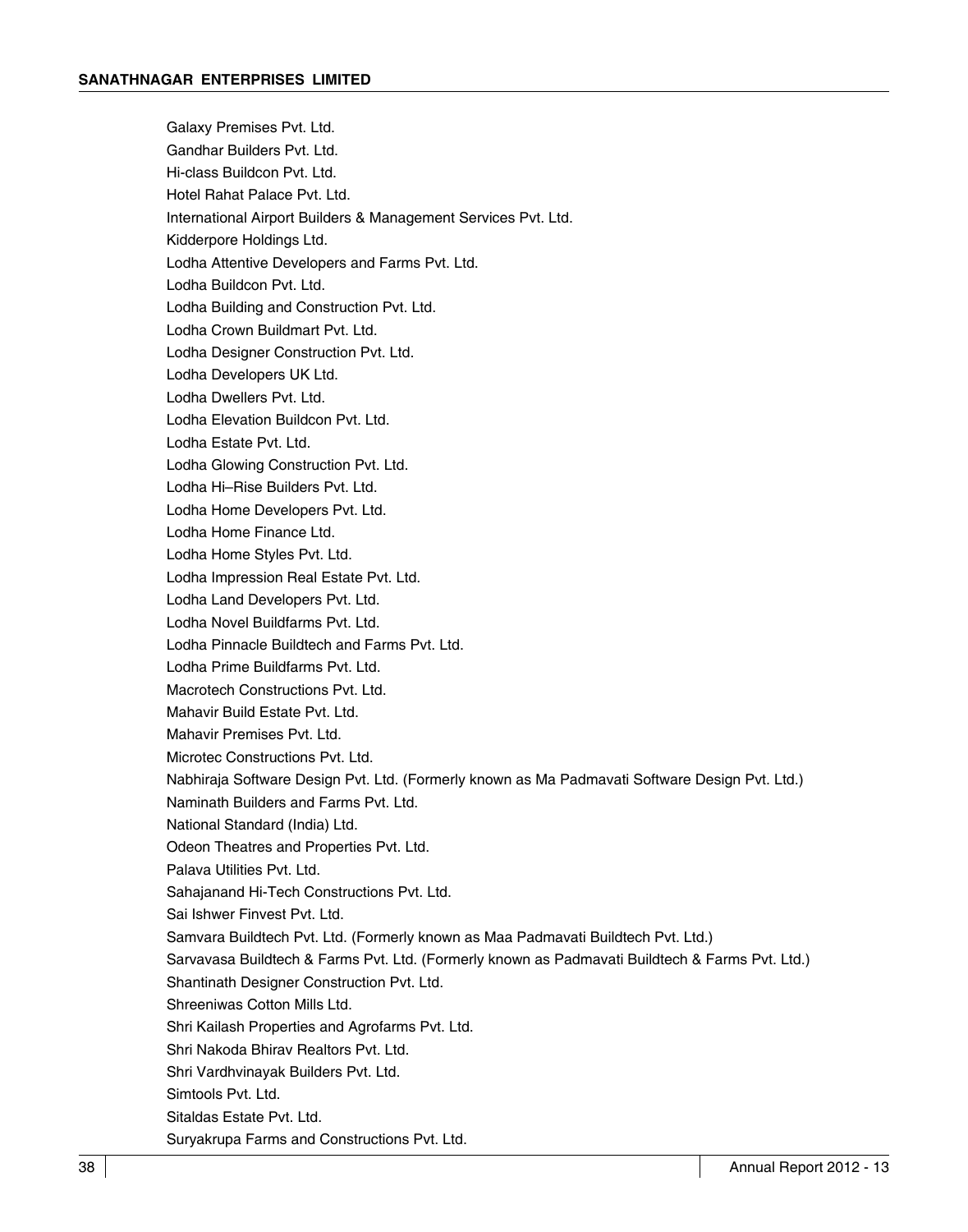Galaxy Premises Pvt. Ltd. Gandhar Builders Pvt. Ltd. Hi-class Buildcon Pvt. Ltd. Hotel Rahat Palace Pvt. Ltd. International Airport Builders & Management Services Pvt. Ltd. Kidderpore Holdings Ltd. Lodha Attentive Developers and Farms Pvt. Ltd. Lodha Buildcon Pvt. Ltd. Lodha Building and Construction Pvt. Ltd. Lodha Crown Buildmart Pvt. Ltd. Lodha Designer Construction Pvt. Ltd. Lodha Developers UK Ltd. Lodha Dwellers Pvt. Ltd. Lodha Elevation Buildcon Pvt. Ltd. Lodha Estate Pvt. Ltd. Lodha Glowing Construction Pvt. Ltd. Lodha Hi–Rise Builders Pvt. Ltd. Lodha Home Developers Pvt. Ltd. Lodha Home Finance Ltd. Lodha Home Styles Pvt. Ltd. Lodha Impression Real Estate Pvt. Ltd. Lodha Land Developers Pvt. Ltd. Lodha Novel Buildfarms Pvt. Ltd. Lodha Pinnacle Buildtech and Farms Pvt. Ltd. Lodha Prime Buildfarms Pvt. Ltd. Macrotech Constructions Pvt. Ltd. Mahavir Build Estate Pvt. Ltd. Mahavir Premises Pvt. Ltd. Microtec Constructions Pvt. Ltd. Nabhiraja Software Design Pvt. Ltd. (Formerly known as Ma Padmavati Software Design Pvt. Ltd.) Naminath Builders and Farms Pvt. Ltd. National Standard (India) Ltd. Odeon Theatres and Properties Pvt. Ltd. Palava Utilities Pvt. Ltd. Sahajanand Hi-Tech Constructions Pvt. Ltd. Sai Ishwer Finvest Pvt. Ltd. Samvara Buildtech Pvt. Ltd. (Formerly known as Maa Padmavati Buildtech Pvt. Ltd.) Sarvavasa Buildtech & Farms Pvt. Ltd. (Formerly known as Padmavati Buildtech & Farms Pvt. Ltd.) Shantinath Designer Construction Pvt. Ltd. Shreeniwas Cotton Mills Ltd. Shri Kailash Properties and Agrofarms Pvt. Ltd. Shri Nakoda Bhirav Realtors Pvt. Ltd. Shri Vardhvinayak Builders Pvt. Ltd. Simtools Pvt. Ltd. Sitaldas Estate Pvt. Ltd.

Suryakrupa Farms and Constructions Pvt. Ltd.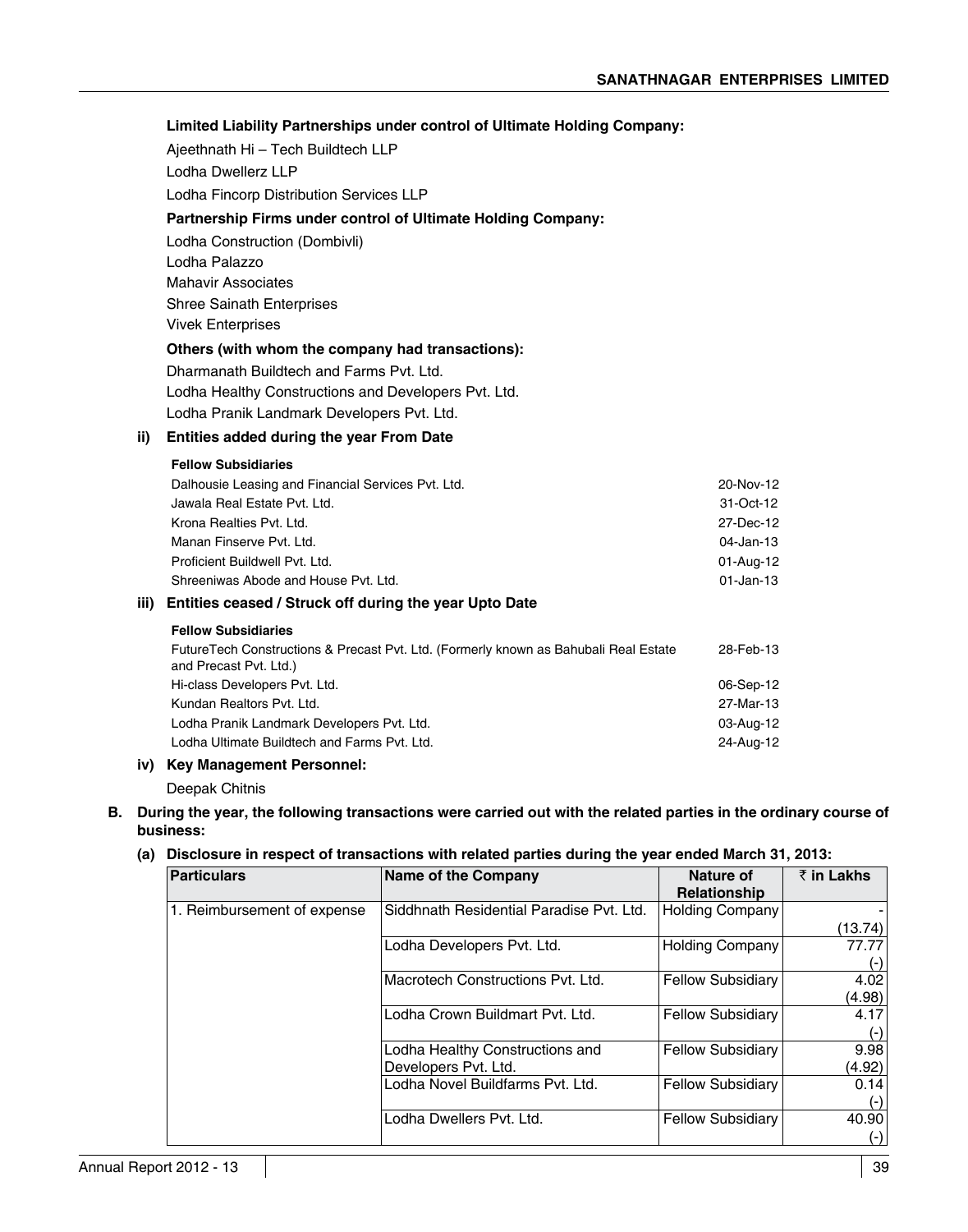### **Limited Liability Partnerships under control of Ultimate Holding Company:**

Ajeethnath Hi – Tech Buildtech LLP

 Lodha Dwellerz LLP

Lodha Fincorp Distribution Services LLP

### **Partnership Firms under control of Ultimate Holding Company:**

Lodha Construction (Dombivli)

 Lodha Palazzo

Mahavir Associates

Shree Sainath Enterprises

Vivek Enterprises

### **Others (with whom the company had transactions):**

Dharmanath Buildtech and Farms Pvt. Ltd.

Lodha Healthy Constructions and Developers Pvt. Ltd.

Lodha Pranik Landmark Developers Pvt. Ltd.

### **ii) Entities added during the year From Date**

### **Fellow Subsidiaries**

| iii) - | Entities ceased / Struck off during the year Upto Date |              |
|--------|--------------------------------------------------------|--------------|
|        | Shreeniwas Abode and House Pyt. Ltd.                   | $01$ -Jan-13 |
|        | Proficient Buildwell Pvt. Ltd.                         | 01-Aug-12    |
|        | Manan Finserve Pvt. Ltd.                               | 04-Jan-13    |
|        | Krona Realties Pvt. Ltd.                               | 27 Dec-12    |
|        | Jawala Real Estate Pyt. Ltd.                           | 31-Oct-12    |
|        | Dalhousie Leasing and Financial Services Pvt. Ltd.     | 20 Nov-12    |
|        |                                                        |              |

### **Fellow Subsidiaries**

| FutureTech Constructions & Precast Pvt. Ltd. (Formerly known as Bahubali Real Estate<br>and Precast Pvt. Ltd.) | 28-Feb-13 |
|----------------------------------------------------------------------------------------------------------------|-----------|
| Hi-class Developers Pvt. Ltd.                                                                                  | 06-Sep-12 |
| Kundan Realtors Pvt. Ltd.                                                                                      | 27-Mar-13 |
| Lodha Pranik Landmark Developers Pvt. Ltd.                                                                     | 03-Aug-12 |
| Lodha Ultimate Buildtech and Farms Pyt. Ltd.                                                                   | 24-Aug-12 |
|                                                                                                                |           |

### **iv) Key Management Personnel:**

Deepak Chitnis

### **B. During the year, the following transactions were carried out with the related parties in the ordinary course of business:**

### **(a) Disclosure in respect of transactions with related parties during the year ended March 31, 2013:**

| Particulars                 | Name of the Company                      | Nature of                | $\bar{z}$ in Lakhs |
|-----------------------------|------------------------------------------|--------------------------|--------------------|
|                             |                                          | <b>Relationship</b>      |                    |
| 1. Reimbursement of expense | Siddhnath Residential Paradise Pvt. Ltd. | <b>Holding Company</b>   |                    |
|                             |                                          |                          | (13.74)            |
|                             | Lodha Developers Pvt. Ltd.               | <b>Holding Company</b>   | 77.77              |
|                             |                                          |                          | $(-)$              |
|                             | Macrotech Constructions Pvt. Ltd.        | <b>Fellow Subsidiary</b> | 4.02               |
|                             |                                          |                          | (4.98)             |
|                             | Lodha Crown Buildmart Pvt. Ltd.          | <b>Fellow Subsidiary</b> | 4.17               |
|                             |                                          |                          | $(-)$              |
|                             | Lodha Healthy Constructions and          | <b>Fellow Subsidiary</b> | 9.98               |
|                             | Developers Pvt. Ltd.                     |                          | (4.92)             |
|                             | Lodha Novel Buildfarms Pvt. Ltd.         | <b>Fellow Subsidiary</b> | 0.14               |
|                             |                                          |                          | $(-)$              |
|                             | Lodha Dwellers Pvt. Ltd.                 | <b>Fellow Subsidiary</b> | 40.90              |
|                             |                                          |                          | $(\cdot)$          |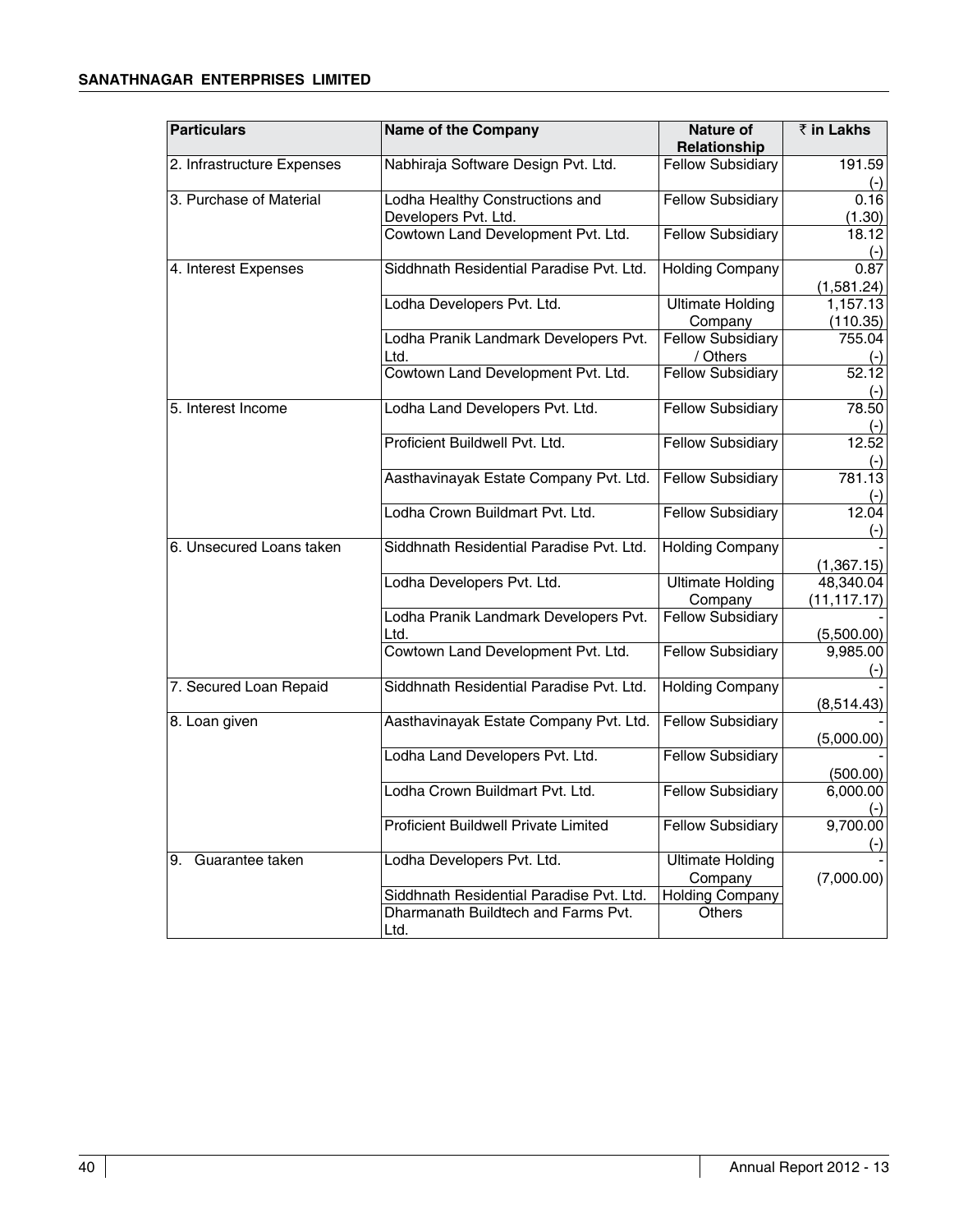### **Sanathnagar Enterprises Limited**

| <b>Particulars</b>         | <b>Name of the Company</b>                  | <b>Nature of</b>         | ₹ in Lakhs     |
|----------------------------|---------------------------------------------|--------------------------|----------------|
|                            |                                             | Relationship             |                |
| 2. Infrastructure Expenses | Nabhiraja Software Design Pvt. Ltd.         | <b>Fellow Subsidiary</b> | 191.59         |
|                            |                                             |                          | $(-)$          |
| 3. Purchase of Material    | Lodha Healthy Constructions and             | <b>Fellow Subsidiary</b> | 0.16           |
|                            | Developers Pvt. Ltd.                        |                          | (1.30)         |
|                            | Cowtown Land Development Pvt. Ltd.          | <b>Fellow Subsidiary</b> | 18.12          |
|                            |                                             |                          | $(-)$          |
| 4. Interest Expenses       | Siddhnath Residential Paradise Pvt. Ltd.    | <b>Holding Company</b>   | 0.87           |
|                            |                                             |                          | (1,581.24)     |
|                            | Lodha Developers Pvt. Ltd.                  | <b>Ultimate Holding</b>  | 1,157.13       |
|                            |                                             | Company                  | (110.35)       |
|                            | Lodha Pranik Landmark Developers Pvt.       | <b>Fellow Subsidiary</b> | 755.04         |
|                            | Ltd.                                        | / Others                 | $(-)$          |
|                            | Cowtown Land Development Pvt. Ltd.          | <b>Fellow Subsidiary</b> | 52.12          |
|                            |                                             |                          | $(-)$          |
| 5. Interest Income         | Lodha Land Developers Pvt. Ltd.             | <b>Fellow Subsidiary</b> | 78.50          |
|                            |                                             |                          |                |
|                            | Proficient Buildwell Pvt. Ltd.              | <b>Fellow Subsidiary</b> | 12.52          |
|                            |                                             |                          |                |
|                            | Aasthavinayak Estate Company Pvt. Ltd.      | <b>Fellow Subsidiary</b> | 781.13         |
|                            | Lodha Crown Buildmart Pyt. Ltd.             | <b>Fellow Subsidiary</b> | $(-)$<br>12.04 |
|                            |                                             |                          |                |
| 6. Unsecured Loans taken   | Siddhnath Residential Paradise Pvt. Ltd.    | <b>Holding Company</b>   | $(-)$          |
|                            |                                             |                          | (1,367.15)     |
|                            | Lodha Developers Pvt. Ltd.                  | <b>Ultimate Holding</b>  | 48,340.04      |
|                            |                                             | Company                  | (11, 117.17)   |
|                            | Lodha Pranik Landmark Developers Pvt.       | <b>Fellow Subsidiary</b> |                |
|                            | Ltd.                                        |                          | (5,500.00)     |
|                            | Cowtown Land Development Pvt. Ltd.          | <b>Fellow Subsidiary</b> | 9,985.00       |
|                            |                                             |                          | $(\cdot)$      |
| 7. Secured Loan Repaid     | Siddhnath Residential Paradise Pvt. Ltd.    | <b>Holding Company</b>   |                |
|                            |                                             |                          | (8,514.43)     |
| 8. Loan given              | Aasthavinayak Estate Company Pvt. Ltd.      | <b>Fellow Subsidiary</b> |                |
|                            |                                             |                          | (5,000.00)     |
|                            | Lodha Land Developers Pvt. Ltd.             | <b>Fellow Subsidiary</b> |                |
|                            |                                             |                          | (500.00)       |
|                            | Lodha Crown Buildmart Pvt. Ltd.             | <b>Fellow Subsidiary</b> | 6,000.00       |
|                            |                                             |                          | $(-)$          |
|                            | <b>Proficient Buildwell Private Limited</b> | <b>Fellow Subsidiary</b> | 9,700.00       |
|                            |                                             |                          | $(-)$          |
| 9. Guarantee taken         | Lodha Developers Pvt. Ltd.                  | <b>Ultimate Holding</b>  |                |
|                            |                                             | Company                  | (7,000.00)     |
|                            | Siddhnath Residential Paradise Pvt. Ltd.    | <b>Holding Company</b>   |                |
|                            | Dharmanath Buildtech and Farms Pvt.         | Others                   |                |
|                            | Ltd.                                        |                          |                |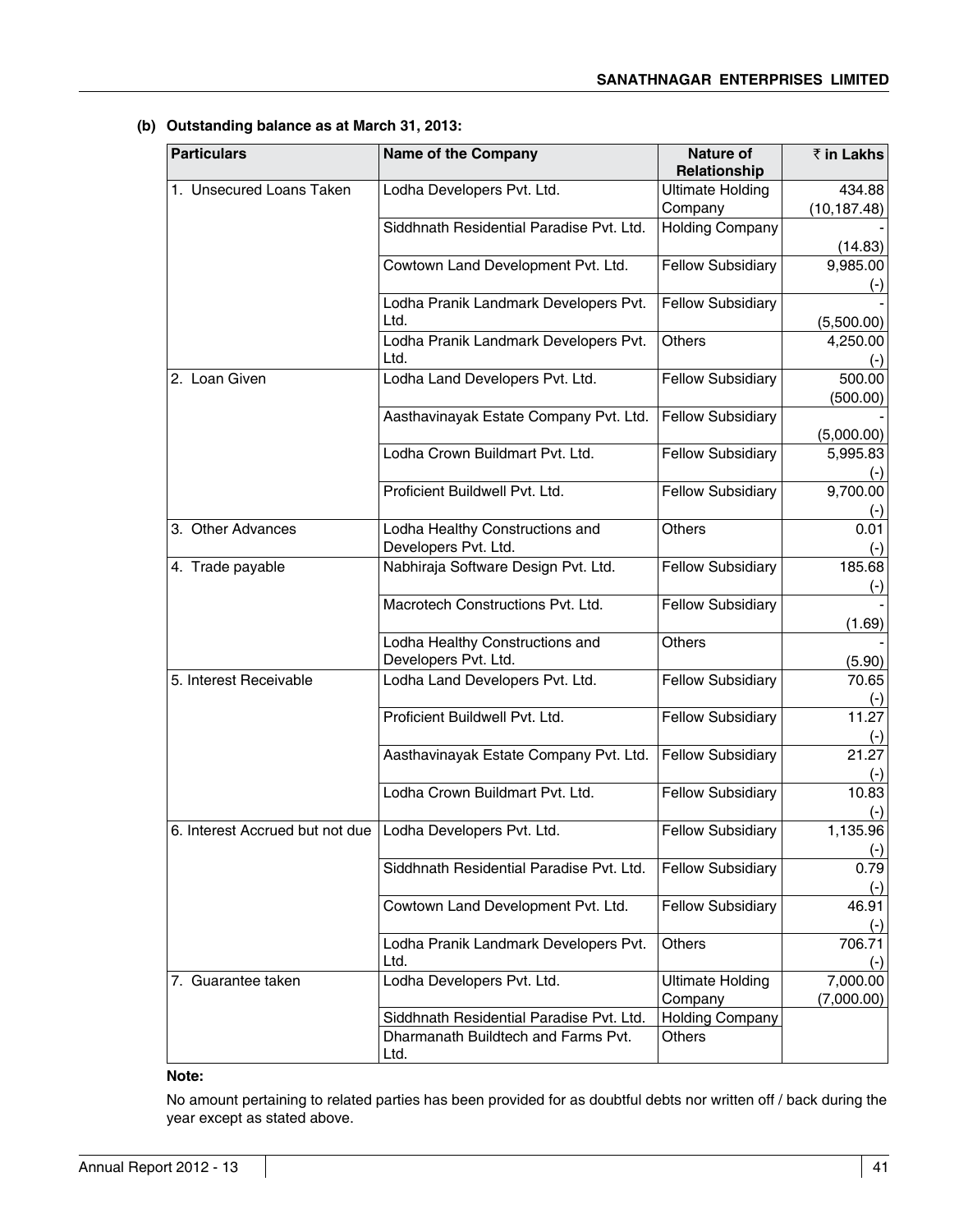| <b>Particulars</b>              | Name of the Company                                     | Nature of<br>Relationship          | ₹ in Lakhs             |
|---------------------------------|---------------------------------------------------------|------------------------------------|------------------------|
| 1. Unsecured Loans Taken        | Lodha Developers Pvt. Ltd.                              | <b>Ultimate Holding</b>            | 434.88                 |
|                                 |                                                         | Company                            | (10, 187.48)           |
|                                 | Siddhnath Residential Paradise Pvt. Ltd.                | <b>Holding Company</b>             | (14.83)                |
|                                 | Cowtown Land Development Pvt. Ltd.                      | <b>Fellow Subsidiary</b>           | 9,985.00               |
|                                 | Lodha Pranik Landmark Developers Pvt.<br>Ltd.           | <b>Fellow Subsidiary</b>           | (5,500.00)             |
|                                 | Lodha Pranik Landmark Developers Pvt.<br>Ltd.           | <b>Others</b>                      | 4,250.00<br>(-)        |
| 2. Loan Given                   | Lodha Land Developers Pvt. Ltd.                         | <b>Fellow Subsidiary</b>           | 500.00<br>(500.00)     |
|                                 | Aasthavinayak Estate Company Pvt. Ltd.                  | <b>Fellow Subsidiary</b>           | (5,000.00)             |
|                                 | Lodha Crown Buildmart Pvt. Ltd.                         | <b>Fellow Subsidiary</b>           | 5,995.83               |
|                                 | Proficient Buildwell Pvt. Ltd.                          | <b>Fellow Subsidiary</b>           | 9,700.00               |
| 3. Other Advances               | Lodha Healthy Constructions and<br>Developers Pvt. Ltd. | <b>Others</b>                      | 0.01                   |
| 4. Trade payable                | Nabhiraja Software Design Pvt. Ltd.                     | <b>Fellow Subsidiary</b>           | 185.68<br>$(\cdot)$    |
|                                 | Macrotech Constructions Pvt. Ltd.                       | <b>Fellow Subsidiary</b>           | (1.69)                 |
|                                 | Lodha Healthy Constructions and<br>Developers Pvt. Ltd. | Others                             | (5.90)                 |
| 5. Interest Receivable          | Lodha Land Developers Pvt. Ltd.                         | <b>Fellow Subsidiary</b>           | 70.65                  |
|                                 | Proficient Buildwell Pvt. Ltd.                          | <b>Fellow Subsidiary</b>           | 11.27<br><u>(-)</u>    |
|                                 | Aasthavinayak Estate Company Pvt. Ltd.                  | <b>Fellow Subsidiary</b>           | 21.27<br>$(-)$         |
|                                 | Lodha Crown Buildmart Pvt. Ltd.                         | <b>Fellow Subsidiary</b>           | 10.83<br>$(-)$         |
| 6. Interest Accrued but not due | Lodha Developers Pvt. Ltd.                              | <b>Fellow Subsidiary</b>           | 1,135.96<br>$(-)$      |
|                                 | Siddhnath Residential Paradise Pyt. Ltd.                | <b>Fellow Subsidiary</b>           | 0.79<br>$(\cdot)$      |
|                                 | Cowtown Land Development Pvt. Ltd.                      | <b>Fellow Subsidiary</b>           | 46.91                  |
|                                 | Lodha Pranik Landmark Developers Pvt.<br>Ltd.           | Others                             | 706.71                 |
| 7. Guarantee taken              | Lodha Developers Pvt. Ltd.                              | <b>Ultimate Holding</b><br>Company | 7,000.00<br>(7,000.00) |
|                                 | Siddhnath Residential Paradise Pvt. Ltd.                | <b>Holding Company</b>             |                        |
|                                 | Dharmanath Buildtech and Farms Pvt.<br>Ltd.             | Others                             |                        |

**(b) Outstanding balance as at March 31, 2013:**

### **Note:**

No amount pertaining to related parties has been provided for as doubtful debts nor written off / back during the year except as stated above.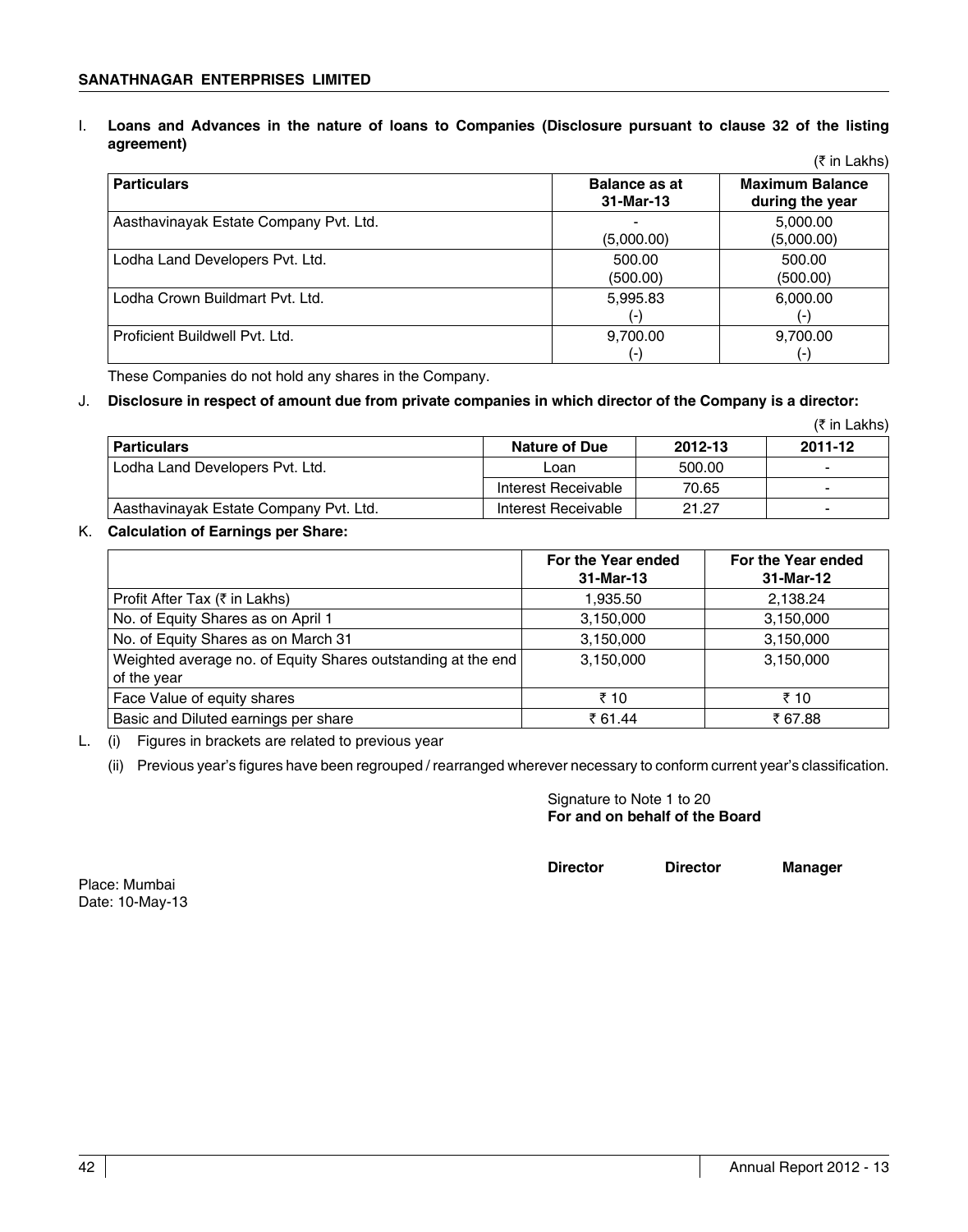I. **Loans and Advances in the nature of loans to Companies (Disclosure pursuant to clause 32 of the listing agreement)**  $(5 \text{ in } L)$ 

|                                        |                                   | (K III LANIS)                             |
|----------------------------------------|-----------------------------------|-------------------------------------------|
| <b>Particulars</b>                     | <b>Balance as at</b><br>31-Mar-13 | <b>Maximum Balance</b><br>during the year |
| Aasthavinayak Estate Company Pvt. Ltd. | (5,000.00)                        | 5,000.00<br>(5,000.00)                    |
| Lodha Land Developers Pvt. Ltd.        | 500.00<br>(500.00)                | 500.00<br>(500.00)                        |
| Lodha Crown Buildmart Pyt. Ltd.        | 5,995.83<br>$(-)$                 | 6,000.00<br>$(-)$                         |
| Proficient Buildwell Pyt. Ltd.         | 9,700.00<br>$(-)$                 | 9,700.00<br>$(-)$                         |

These Companies do not hold any shares in the Company.

### J. **Disclosure in respect of amount due from private companies in which director of the Company is a director:**

|                                        |                      |         | (₹ in Lakhs) |
|----------------------------------------|----------------------|---------|--------------|
| <b>Particulars</b>                     | <b>Nature of Due</b> | 2012-13 | 2011-12      |
| Lodha Land Developers Pvt. Ltd.        | Loan                 | 500.00  | -            |
|                                        | Interest Receivable  | 70.65   | $\sim$       |
| Aasthavinayak Estate Company Pvt. Ltd. | Interest Receivable  | 21.27   | -            |

### K. **Calculation of Earnings per Share:**

|                                                                             | For the Year ended<br>31-Mar-13 | For the Year ended<br>31-Mar-12 |
|-----------------------------------------------------------------------------|---------------------------------|---------------------------------|
| Profit After Tax (₹ in Lakhs)                                               | 1.935.50                        | 2,138.24                        |
| No. of Equity Shares as on April 1                                          | 3,150,000                       | 3,150,000                       |
| No. of Equity Shares as on March 31                                         | 3,150,000                       | 3,150,000                       |
| Weighted average no. of Equity Shares outstanding at the end<br>of the year | 3,150,000                       | 3,150,000                       |
| Face Value of equity shares                                                 | ₹ 10                            | ₹ 10                            |
| Basic and Diluted earnings per share                                        | ₹ 61.44                         | ₹ 67.88                         |

L. (i) Figures in brackets are related to previous year

(ii) Previous year's figures have been regrouped / rearranged wherever necessary to conform current year's classification.

 Signature to Note 1 to 20 **For and on behalf of the Board**

**Director Director Manager**

Place: Mumbai Date: 10-May-13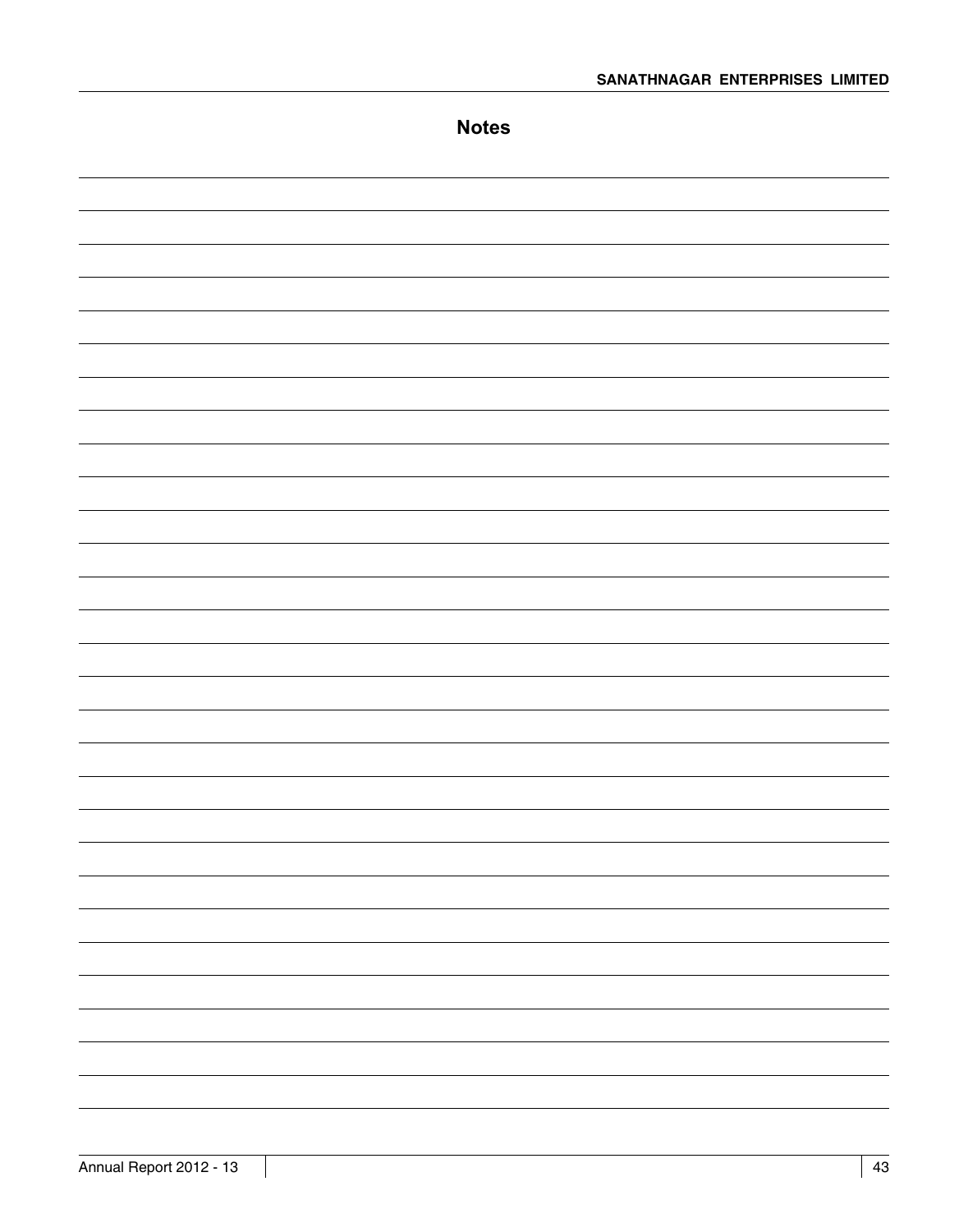| <b>Notes</b>             |
|--------------------------|
|                          |
|                          |
|                          |
|                          |
|                          |
|                          |
|                          |
|                          |
|                          |
|                          |
|                          |
|                          |
|                          |
|                          |
|                          |
|                          |
|                          |
|                          |
|                          |
|                          |
| $\overline{\phantom{a}}$ |
| ۳                        |
|                          |
|                          |
| $\overline{\phantom{a}}$ |
|                          |
|                          |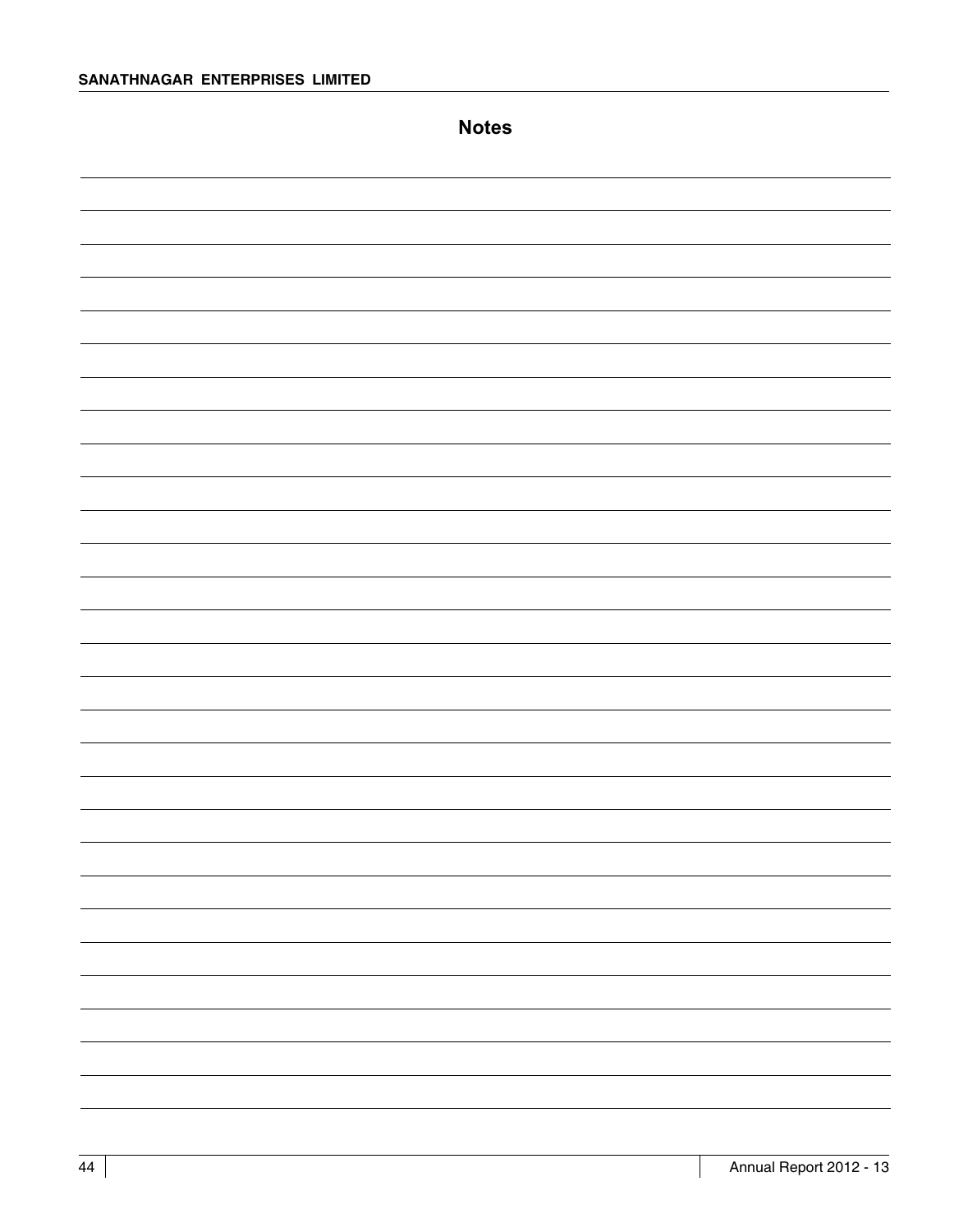**Notes**

| ۰ |
|---|
|   |
| ۰ |
| — |
|   |
|   |
|   |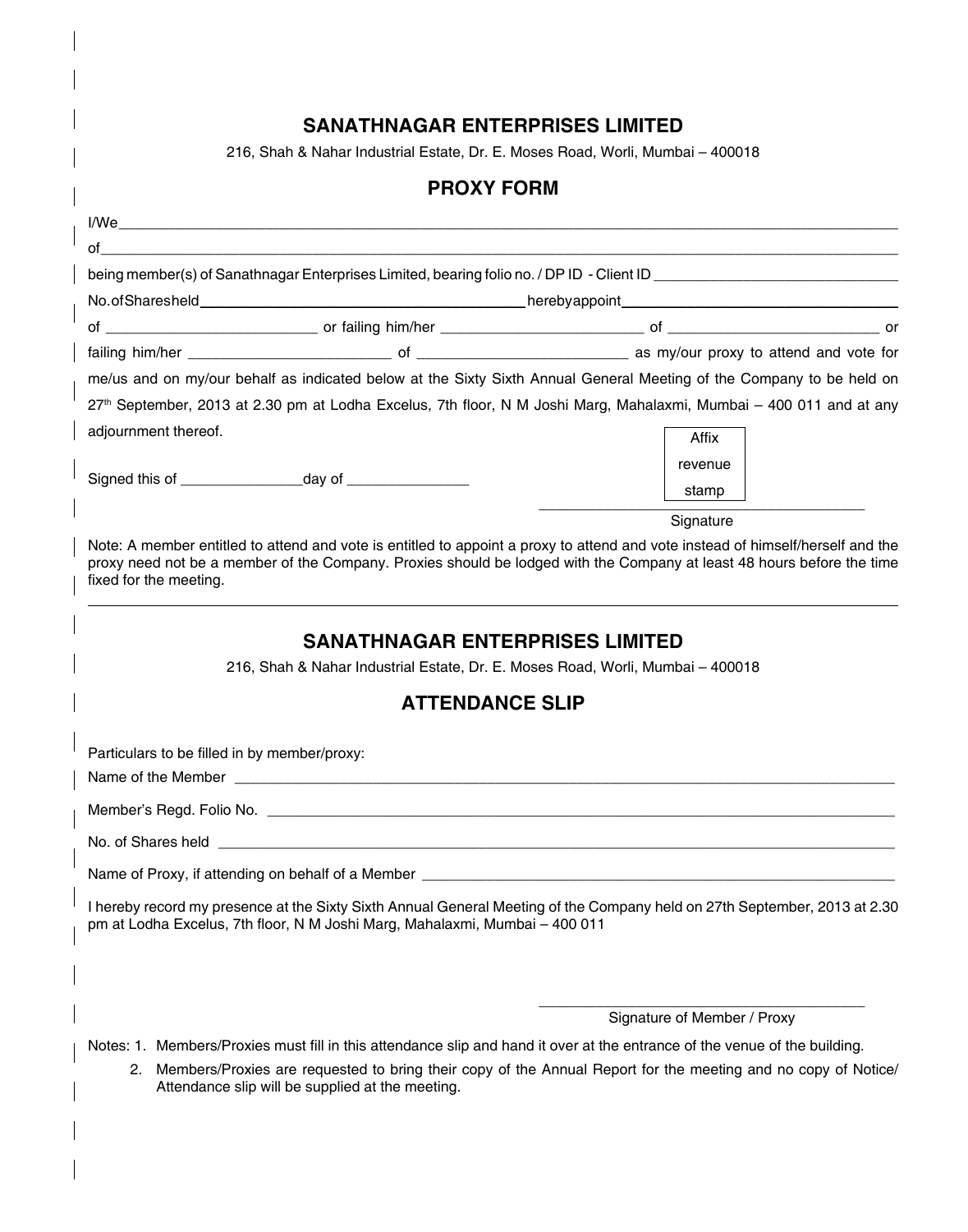# **SANATHNAGAR ENTERPRISES LIMITED**

216, Shah & Nahar Industrial Estate, Dr. E. Moses Road, Worli, Mumbai – 400018

|                                              | <b>PROXY FORM</b>                                                                                                        |                                                                                                                                                                                                                                                           |  |
|----------------------------------------------|--------------------------------------------------------------------------------------------------------------------------|-----------------------------------------------------------------------------------------------------------------------------------------------------------------------------------------------------------------------------------------------------------|--|
|                                              |                                                                                                                          |                                                                                                                                                                                                                                                           |  |
|                                              |                                                                                                                          |                                                                                                                                                                                                                                                           |  |
|                                              |                                                                                                                          |                                                                                                                                                                                                                                                           |  |
|                                              |                                                                                                                          |                                                                                                                                                                                                                                                           |  |
|                                              |                                                                                                                          |                                                                                                                                                                                                                                                           |  |
|                                              |                                                                                                                          |                                                                                                                                                                                                                                                           |  |
|                                              |                                                                                                                          | me/us and on my/our behalf as indicated below at the Sixty Sixth Annual General Meeting of the Company to be held on                                                                                                                                      |  |
|                                              |                                                                                                                          | 27 <sup>th</sup> September, 2013 at 2.30 pm at Lodha Excelus, 7th floor, N M Joshi Marg, Mahalaxmi, Mumbai – 400 011 and at any                                                                                                                           |  |
| adjournment thereof.                         |                                                                                                                          | Affix                                                                                                                                                                                                                                                     |  |
|                                              |                                                                                                                          | revenue                                                                                                                                                                                                                                                   |  |
|                                              |                                                                                                                          | stamp                                                                                                                                                                                                                                                     |  |
|                                              |                                                                                                                          | Signature                                                                                                                                                                                                                                                 |  |
| fixed for the meeting.                       |                                                                                                                          | Note: A member entitled to attend and vote is entitled to appoint a proxy to attend and vote instead of himself/herself and the<br>proxy need not be a member of the Company. Proxies should be lodged with the Company at least 48 hours before the time |  |
|                                              | <b>SANATHNAGAR ENTERPRISES LIMITED</b><br>216, Shah & Nahar Industrial Estate, Dr. E. Moses Road, Worli, Mumbai - 400018 |                                                                                                                                                                                                                                                           |  |
|                                              | <b>ATTENDANCE SLIP</b>                                                                                                   |                                                                                                                                                                                                                                                           |  |
| Particulars to be filled in by member/proxy: |                                                                                                                          |                                                                                                                                                                                                                                                           |  |
|                                              |                                                                                                                          |                                                                                                                                                                                                                                                           |  |
|                                              |                                                                                                                          |                                                                                                                                                                                                                                                           |  |
|                                              |                                                                                                                          | Name of Proxy, if attending on behalf of a Member [19] [19] Decree and the set of Proxy, if attending on behalf of a Member [19] Decree and the set of the set of the set of the set of the set of the set of the set of the s                            |  |
|                                              | pm at Lodha Excelus, 7th floor, N M Joshi Marg, Mahalaxmi, Mumbai - 400 011                                              | I hereby record my presence at the Sixty Sixth Annual General Meeting of the Company held on 27th September, 2013 at 2.30                                                                                                                                 |  |
|                                              |                                                                                                                          |                                                                                                                                                                                                                                                           |  |
|                                              |                                                                                                                          | Signature of Member / Proxy                                                                                                                                                                                                                               |  |
| 2.                                           | Attendance slip will be supplied at the meeting.                                                                         | Notes: 1. Members/Proxies must fill in this attendance slip and hand it over at the entrance of the venue of the building.<br>Members/Proxies are requested to bring their copy of the Annual Report for the meeting and no copy of Notice/               |  |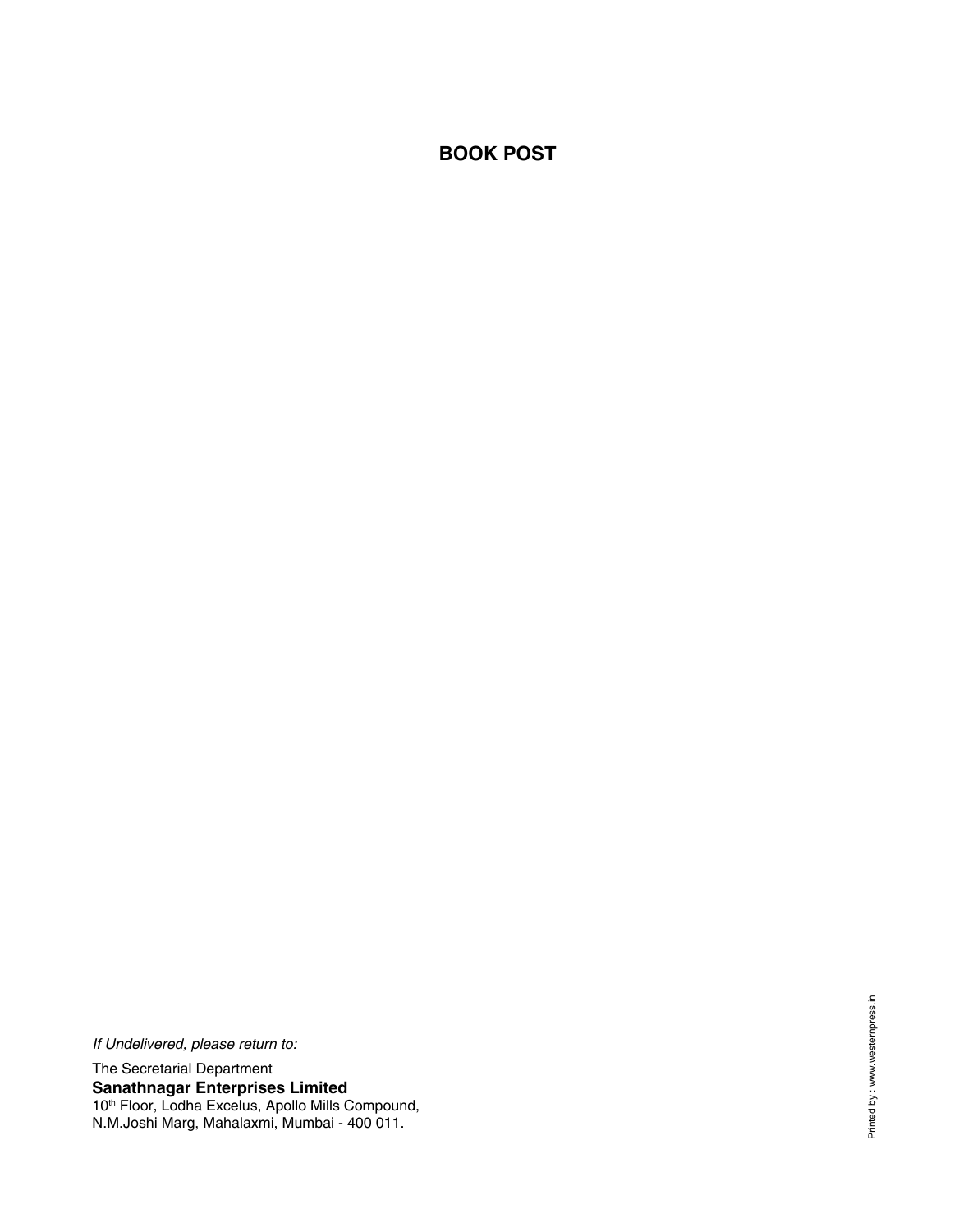# **BOOK POST**

*If Undelivered, please return to:* The Secretarial Department **Sanathnagar Enterprises Limited** 10<sup>th</sup> Floor, Lodha Excelus, Apollo Mills Compound, N.M.Joshi Marg, Mahalaxmi, Mumbai - 400 011.